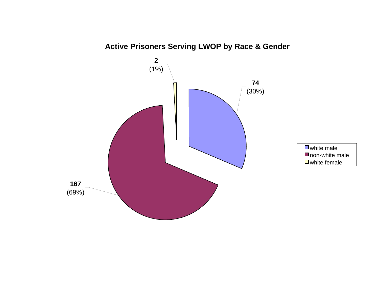

# **Active Prisoners Serving LWOP by Race & Gender**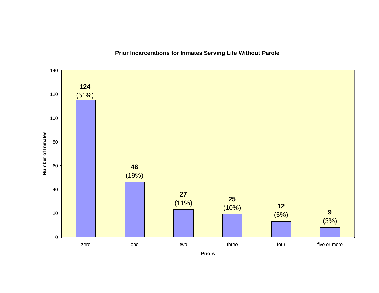

**Prior Incarcerations for Inmates Serving Life Without Parole**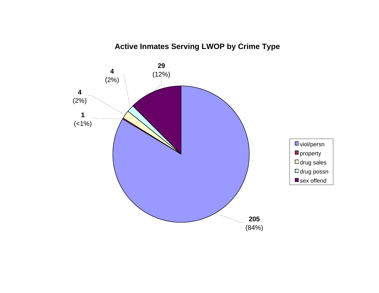# **Active Inmates Serving LWOP by Crime Type**

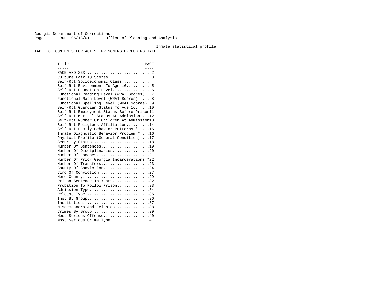Georgia Department of Corrections Page 1 Run 06/18/01 Office of Planning and Analysis

#### Inmate statistical profile

TABLE OF CONTENTS FOR ACTIVE PRISONERS EXCLUDING JAIL

Title PAGE ----- ---- RACE AND SEX............................ 2 Culture Fair IQ Scores.................. 3 Self-Rpt Socioeconomic Class............ 4 Self-Rpt Environment To Age 16.......... 5 Self-Rpt Education Level................ 6 Functional Reading Level (WRAT Scores).. 7 Functional Math Level (WRAT Scores)..... 8 Functional Spelling Level (WRAT Scores). 9 Self-Rpt Guardian Status To Age 16......10 Self-Rpt Employment Status Before Prison11 Self-Rpt Marital Status At Admission....12 Self-Rpt Number Of Children At Admission13 Self-Rpt Religious Affiliation..........14 Self-Rpt Family Behavior Patterns \*.....15 Inmate Diagnostic Behavior Problem \*....16 Physical Profile (General Condition)....17 Security Status...........................18 Number Of Sentences.....................19 Number Of Disciplinaries................20 Number Of Escapes........................21 Number Of Prior Georgia Incarcerations \*22 Number Of Transfers.....................23 County Of Conviction....................24 Circ Of Conviction......................27 Home County.............................29 Prison Sentence In Years.................32 Probation To Follow Prison..............33Admission Type............................34 Release Type..............................35 Inst By Group..............................36 Institution.............................37 Misdemeanors And Felonies...............38 Crimes By Group.............................39 Most Serious Offense....................40 Most Serious Crime Type.................41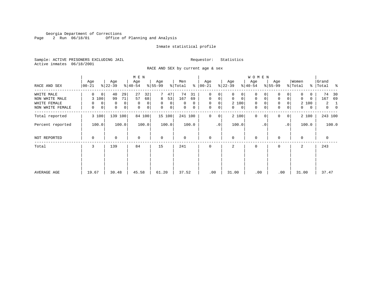Georgia Department of Corrections Page 2 Run 06/18/01 Office of Planning and Analysis

# Inmate statistical profile

Sample: ACTIVE PRISONERS EXCLUDING JAIL **Requestor:** Statistics Active inmates 06/18/2001

RACE AND SEX by current age & sex

|                                                                  |                                                      |                                                              | M E N                                                         |                                                           |                                                  |                                                                              |                                                                           | <b>WOMEN</b>                                   |                                                                          |                                                       |                                                                    |
|------------------------------------------------------------------|------------------------------------------------------|--------------------------------------------------------------|---------------------------------------------------------------|-----------------------------------------------------------|--------------------------------------------------|------------------------------------------------------------------------------|---------------------------------------------------------------------------|------------------------------------------------|--------------------------------------------------------------------------|-------------------------------------------------------|--------------------------------------------------------------------|
| RACE AND SEX                                                     | Age<br>$ 00-21 $                                     | Age<br>$ 22-39 $                                             | Age<br>$8 40-54$                                              | Age<br>$8 55-99$                                          | Men<br>% Total                                   | Age<br>$8   00 - 21$                                                         | Age<br>$ 22-39 $                                                          | Age<br>$ 40-54 $                               | Age<br>$8 55-99$                                                         | Women<br>% Total                                      | Grand<br>% Total %                                                 |
| WHITE MALE<br>NON WHITE MALE<br>WHITE FEMALE<br>NON WHITE FEMALE | $\Omega$<br>$\mathbf 0$<br>3 100<br>0<br>0<br>0<br>0 | 29<br>40<br>71<br>99<br>0<br>0<br>$\mathbf 0$<br>$\mathbf 0$ | 27<br>32<br>57<br>68<br>$\mathbf 0$<br>0<br>$\mathbf{0}$<br>0 | 47<br>8<br>53<br>$\mathbf 0$<br>$\overline{0}$<br>0<br> 0 | 74<br>31<br>167<br>69<br>$\Omega$<br>0<br>0<br>0 | $\mathbf 0$<br>0<br>$\mathbf 0$<br>0<br>$\mathbf 0$<br>0<br>0<br>$\mathbf 0$ | $\Omega$<br>0<br>$\mathbf 0$<br>$\mathbf 0$<br>2 100<br>$\mathbf{0}$<br>0 | 0<br>$\mathbf 0$<br>$\mathbf 0$<br>0<br>0<br>0 | 0<br>$\mathbf 0$<br>$\overline{0}$<br>0<br>$\mathbf 0$<br>$\overline{0}$ | 0<br>0<br>$\Omega$<br>0<br>2 100<br>$\mathbf{0}$<br>0 | 74<br>30<br>167<br>69<br>$\mathbf{2}$<br>-1<br>$\overline{0}$<br>0 |
| Total reported                                                   | 3 100                                                | 139 100                                                      | 84 100                                                        | 15 100                                                    | 241 100                                          | $\mathbf 0$<br>0                                                             | 2 100                                                                     | $\mathbf{0}$<br>$\Omega$                       | $\Omega$<br>0 <sup>1</sup>                                               | 2 100                                                 | 243 100                                                            |
| Percent reported                                                 | 100.0                                                | 100.0                                                        | 100.0                                                         | 100.0                                                     | 100.0                                            | $\cdot$ 0                                                                    | 100.0                                                                     | $\cdot$ 0                                      | .0 <sup>1</sup>                                                          | 100.0                                                 | 100.0                                                              |
| NOT REPORTED                                                     | 0                                                    | 0                                                            | $\mathbf 0$                                                   | $\mathbf 0$                                               | 0                                                | $\mathbf 0$                                                                  | $\Omega$                                                                  | 0                                              | $\Omega$                                                                 | $\Omega$                                              | $\mathbf 0$                                                        |
| Total                                                            | 3                                                    | 139                                                          | 84                                                            | 15                                                        | 241                                              | $\Omega$                                                                     | 2                                                                         | 0                                              | $\Omega$                                                                 | 2                                                     | 243                                                                |
| AVERAGE AGE                                                      | 19.67                                                | 30.48                                                        | 45.58                                                         | 61.20                                                     | 37.52                                            | .00                                                                          | 31.00                                                                     | .00                                            | .00                                                                      | 31.00                                                 | 37.47                                                              |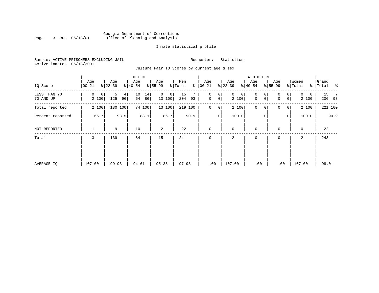# Georgia Department of Corrections Page 3 Run 06/18/01 Office of Planning and Analysis

# Inmate statistical profile

Sample: ACTIVE PRISONERS EXCLUDING JAIL **Requestor:** Statistics Active inmates 06/18/2001

Culture Fair IQ Scores by current age & sex

|                           |                  |                     | M E N                |                            |                     |                                                 |                            | W O M E N                            |                                         |                                   |                                 |
|---------------------------|------------------|---------------------|----------------------|----------------------------|---------------------|-------------------------------------------------|----------------------------|--------------------------------------|-----------------------------------------|-----------------------------------|---------------------------------|
| IQ Score                  | Age<br>$00 - 21$ | Age<br>$ 22-39 $    | Age<br>$8 40-54$     | Age<br>$8 55-99$           | Men<br>ి<br>% Total | Age<br>$ 00 - 21 $                              | Age<br>$ 22-39 $           | Age<br>$ 40-54 $                     | Age<br>$8 55-99$                        | Women<br>% Total<br>$\frac{8}{6}$ | Grand<br>$\sim$ $\sim$<br>Total |
| LESS THAN 70<br>70 AND UP | 0<br>0<br>2 100  | 5<br>4<br>125<br>96 | 10<br>14<br>64<br>86 | $\mathbf 0$<br>0<br>13 100 | 15<br>204<br>93     | $\mathbf{0}$<br>0<br>$\mathbf 0$<br>$\mathbf 0$ | $\mathbf{0}$<br>0<br>2 100 | 0<br>0<br>$\mathbf 0$<br>$\mathbf 0$ | 0<br>0<br>0 <sup>1</sup><br>$\mathbf 0$ | $\Omega$<br>0<br>2 100            | 15<br>$\overline{7}$<br>206 93  |
| Total reported            | 2 100            | 130 100             | 74 100               | 13 100                     | 219 100             | $\mathbf 0$<br>0                                | 2 100                      | $\mathbf 0$<br>0                     | 0<br>0 <sup>1</sup>                     | 2 100                             | 221 100                         |
| Percent reported          | 66.7             | 93.5                | 88.1                 | 86.7                       | 90.9                | $\cdot$ 0                                       | 100.0                      | $\cdot$ 0                            | $\cdot$ 0                               | 100.0                             | 90.9                            |
| NOT REPORTED              |                  | 9                   | 10                   | 2                          | 22                  | $\mathbf{0}$                                    | $\mathbf 0$                | $\mathbf 0$                          | $\mathbf 0$                             | $\mathbf 0$                       | 22                              |
| Total                     | 3                | 139                 | 84                   | 15                         | 241                 | $\mathbf 0$                                     | 2                          | 0                                    | 0                                       | 2                                 | 243                             |
|                           |                  |                     |                      |                            |                     |                                                 |                            |                                      |                                         |                                   |                                 |
|                           |                  |                     |                      |                            |                     |                                                 |                            |                                      |                                         |                                   |                                 |
| AVERAGE IQ                | 107.00           | 99.93               | 94.61                | 95.38                      | 97.93               | .00                                             | 107.00                     | .00                                  | .00                                     | 107.00                            | 98.01                           |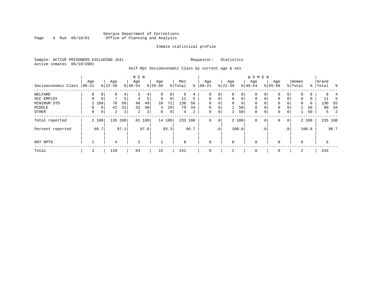# Georgia Department of Corrections<br>4 Run 06/18/01 Office of Planning and Analysis Page 4 Run 06/18/01 Office of Planning and Analysis

# Inmate statistical profile

Sample: ACTIVE PRISONERS EXCLUDING JAIL **Requestor:** Statistics Active inmates 06/18/2001

Self-Rpt Socioeconomic Class by current age & sex

|                     |          |              |                |                | M E N     |                |             |             |         |      |             |                 |              |             | <b>WOMEN</b> |             |             |                |             |       |           |         |
|---------------------|----------|--------------|----------------|----------------|-----------|----------------|-------------|-------------|---------|------|-------------|-----------------|--------------|-------------|--------------|-------------|-------------|----------------|-------------|-------|-----------|---------|
|                     | Age      |              | Age            |                | Age       |                | Age         |             | Men     |      | Age         |                 | Age          |             | Age          |             | Age         |                | Women       |       | Grand     |         |
| Socioeconomic Class | $ 00-21$ |              | $ 22-39 $      |                | $8 40-54$ |                | $8 55-99$   |             | % Total | ႜ    | $00 - 21$   |                 | $ 22-39 $    |             | $ 40-54 $    |             | $8155 - 99$ |                | % Total     |       | %   Total | ႜ       |
| WELFARE             | 0        | 0            | 6              | 4              |           | 4              | 0           | 0           | 9       | 4    | 0           | 0               | 0            | 0           | $\mathbf 0$  |             | 0           | 0              | $\Omega$    | 0     |           |         |
| OCC EMPLOY          | $\Omega$ | $\mathbf 0$  | 7              | 5 <sup>1</sup> | 4         | 5              | $\mathbf 0$ | $\mathbf 0$ | 11      | 5    | $\Omega$    | $\mathbf 0$     | $\mathbf 0$  | $\mathbf 0$ | $\mathbf 0$  | $\mathbf 0$ | 0           | $\Omega$       | $\mathbf 0$ | 0     | 11        | 5       |
| MINIMUM STD         |          | 2 100        | 78             | 58             | 40        | 49             | 10          | 71          | 130     | 56   |             | 0               | $\mathbf{0}$ | 0           | $\mathbf 0$  | 0           | 0           |                | 0           | 0     | 130       | - 55    |
| MIDDLE              | 0        | $\mathbf{0}$ | 42             | 31             | 33        | 40             | 4           | 29          | 79      | 34   | $\mathbf 0$ | $\mathbf 0$     |              | 50          | $\mathbf 0$  | $\mathbf 0$ | 0           |                |             | 50    | 80        | -34     |
| OTHER               | 0        | 0            | $\overline{a}$ | $\mathbf{1}$   | 2         | 2 <sub>1</sub> | 0           | 0           | 4       | 2    | 0           | 0               |              | 50          | $\mathbf 0$  | 0           | 0           | $\mathbf 0$    |             | 50    |           | 2<br>5  |
| Total reported      |          | 2 100        |                | 135 100        |           | 82 100         |             | 14 100      | 233 100 |      | 0           | 0               |              | 2 100       | $\mathbf 0$  | 0           | 0           | $\overline{0}$ |             | 2 100 |           | 235 100 |
| Percent reported    |          | 66.7         |                | 97.1           |           | 97.6           |             | 93.3        |         | 96.7 |             | .0 <sup>1</sup> |              | 100.0       |              | . 0         |             | $\cdot$ 0      |             | 100.0 |           | 96.7    |
| NOT RPTD            |          |              | 4              |                | 2         |                |             |             | 8       |      | $\mathbf 0$ |                 | 0            |             | $\mathbf 0$  |             | $\Omega$    |                | $\Omega$    |       | 8         |         |
| Total               | 3        |              | 139            |                | 84        |                | 15          |             | 241     |      | $\mathbf 0$ |                 | 2            |             | 0            |             | 0           |                | 2           |       | 243       |         |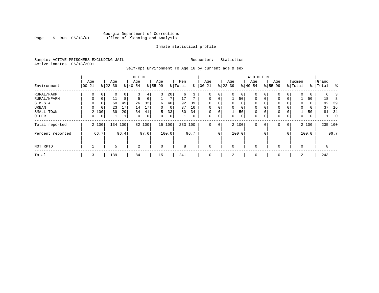# Georgia Department of Corrections Page 5 Run 06/18/01 Office of Planning and Analysis

# Inmate statistical profile

Sample: ACTIVE PRISONERS EXCLUDING JAIL **Requestor:** Statistics Active inmates 06/18/2001

Self-Rpt Environment To Age 16 by current age & sex

|                  |                |       |           |      | M E N       |      |           |        |         |      |             |                 |          |             | <b>WOMEN</b> |                 |             |                |             |       |           |         |
|------------------|----------------|-------|-----------|------|-------------|------|-----------|--------|---------|------|-------------|-----------------|----------|-------------|--------------|-----------------|-------------|----------------|-------------|-------|-----------|---------|
|                  | Age            |       | Age       |      | Age         |      | Age       |        | Men     |      | Age         |                 | Age      |             | Age          |                 | Age         |                | Women       |       | Grand     |         |
| Environment      | $00 - 21$      |       | $8 22-39$ |      | $8 40-54$   |      | $8 55-99$ |        | % Total | ႜ    | $00 - 21$   |                 | $ 22-39$ |             | $8 40-54$    |                 | $8155 - 99$ |                | % Total     |       | %   Total | ႜ       |
| RURAL/FARM       | 0              | 0     | 0         | 0    | 3           | 4    | 3         | 20     | 6       | 3    | $\mathbf 0$ | 0               | 0        | $\mathbf 0$ | $\mathbf 0$  | 0               | 0           | 0              | $\mathbf 0$ | 0     | б.        |         |
| RURAL/NFARM      | $\mathbf 0$    | 0     | 11        | 8    | 5           | 6    |           | 7      | 17      |      | $\mathbf 0$ | 0               |          | 50          | $\mathbf 0$  | $\mathbf 0$     | 0           | $\mathbf{0}$   |             | 50    | 18        | 8       |
| S.M.S.A          | $\Omega$       | 0     | 60        | 45   | 26          | 32   | 6         | 40     | 92      | 39   | 0           | $\Omega$        | $\Omega$ | 0           | $\Omega$     |                 | $\Omega$    |                | $\Omega$    | 0     | 92        | 39      |
| URBAN            | $\Omega$       | 0     | 23        | 17   | 14          | 17   | $\Omega$  | 0      | 37      | 16   | $\mathbf 0$ | 0               | $\Omega$ | 0           | $\Omega$     | $\Omega$        | $\Omega$    | $\Omega$       | $\Omega$    | 0     | 37        | 16      |
| SMALL TOWN       | $\overline{2}$ | 100   | 39        | 29   | 34          | 41   | 5         | 33     | 80      | 34   | $\mathbf 0$ | 0               |          | 50          | 0            | $\Omega$        | $\Omega$    | 0              |             | 50    | 81        | 34      |
| OTHER            | 0              | 0     |           | 1    | $\mathbf 0$ | 0    | 0         | 0      |         | 0    | $\mathbf 0$ | $\mathbf 0$     | 0        | 0           | 0            | $\mathbf 0$     | 0           | 0              | 0           | 0     |           | 0       |
| Total reported   |                | 2 100 | 134 100   |      | 82          | 100  |           | 15 100 | 233     | 100  | $\mathbf 0$ | $\mathbf 0$     |          | 2 100       | $\mathbf 0$  | $\mathbf 0$     | 0           | $\overline{0}$ |             | 2 100 |           | 235 100 |
| Percent reported |                | 66.7  |           | 96.4 |             | 97.6 |           | 100.0  |         | 96.7 |             | .0 <sup>°</sup> |          | 100.0       |              | .0 <sup>°</sup> |             | .0'            |             | 100.0 |           | 96.7    |
| NOT RPTD         |                |       | 5         |      | 2           |      | $\Omega$  |        | 8       |      | $\mathbf 0$ |                 | $\Omega$ |             | $\mathbf 0$  |                 | $\Omega$    |                | $\Omega$    |       | 8         |         |
| Total            | 3              |       | 139       |      | 84          |      | 15        |        | 241     |      | $\mathbf 0$ |                 |          |             | 0            |                 | $\Omega$    |                | 2           |       | 243       |         |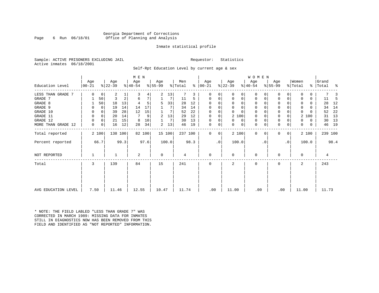# Georgia Department of Corrections Page 6 Run 06/18/01 Office of Planning and Analysis

# Inmate statistical profile

Sample: ACTIVE PRISONERS EXCLUDING JAIL **Requestor:** Statistics Active inmates 06/18/2001

Self-Rpt Education Level by current age & sex

|                     |                  |                |                  |         |                  | M E N  |                 |        |                |               |                  |             |                  |          | <b>WOMEN</b>     |          |                  |           |                  |       |                    |         |    |
|---------------------|------------------|----------------|------------------|---------|------------------|--------|-----------------|--------|----------------|---------------|------------------|-------------|------------------|----------|------------------|----------|------------------|-----------|------------------|-------|--------------------|---------|----|
| Education Level     | Age<br>$ 00-21 $ |                | Age<br>$ 22-39 $ |         | Age<br>$ 40-54 $ |        | Aqe<br>$ 55-99$ |        | Men<br>% Total | $\frac{1}{6}$ | Age<br>$ 00-21 $ |             | Age<br>$ 22-39 $ |          | Age<br>$ 40-54 $ |          | Age<br>$8 55-99$ |           | Women<br>% Total |       | Grand<br>% Total % |         |    |
| LESS THAN GRADE 7   | $\Omega$         | 0              | 2                |         |                  |        | 2               | 13     |                | 3             | 0                |             | $\Omega$         | 0        | 0                |          | 0                |           |                  |       |                    |         |    |
| GRADE 7             |                  | 50             | 3                | 2       | 6                |        |                 |        | 11             | 5             | 0                |             | 0                | 0        | 0                |          | $\Omega$         |           |                  | 0     | 11                 |         | -5 |
| GRADE 8             |                  | 50             | 18               | 13      |                  |        | 5               | 33     | 28             | 12            | $\Omega$         |             | $\Omega$         | 0        | $\Omega$         |          | $\Omega$         |           |                  | 0     | 28                 |         | 12 |
| GRADE 9             |                  | 0              | 19               | 14      | 14               | 17     |                 |        | 34             | 14            | 0                |             | $\Omega$         | 0        | 0                |          | 0                |           | <sup>0</sup>     | U     | 34                 |         | 14 |
| GRADE 10            | $\Omega$         | 0              | 39               | 28      | 12               | 15     |                 | 7      | 52             | 22            | 0                | $\Omega$    |                  | $\Omega$ | 0                | $\Omega$ | 0                |           | $\Omega$         |       | 52                 |         | 22 |
| GRADE 11            |                  | 0              | 20               | 14      | 7                | 9      | 2               | 13     | 29             | 12            | $\Omega$         |             | 2 100            |          | 0                |          | $\Omega$         |           |                  | 2 100 | 31                 |         | 13 |
| GRADE 12            | O                | 0              | 21               | 15      | 8                | 10     |                 | 7      | 30             | 13            | $\Omega$         | 0           | $\Omega$         | 0        | 0                | n        | 0                |           | 0                | 0     | 30                 |         | 13 |
| MORE THAN GRADE 12  | 0                | 0 <sup>1</sup> | 16               | 12      | 28               | 34     | 2               | 13     | 46             | 19            | 0                | 0           | 0                | 0        | $\mathbf 0$      | 0        | 0                | 0         | 0                | 0     |                    | 46      | 19 |
| Total reported      |                  | 2 100          |                  | 138 100 |                  | 82 100 |                 | 15 100 | 237 100        |               | $\mathbf{0}$     | $\mathbf 0$ | 2 100            |          | $\mathbf 0$      | $\Omega$ | 0                | 0         |                  | 2 100 |                    | 239 100 |    |
| Percent reported    |                  | 66.7           |                  | 99.3    |                  | 97.6   |                 | 100.0  |                | 98.3          |                  | .0          | 100.0            |          |                  | . 0      |                  | $\cdot$ 0 |                  | 100.0 |                    | 98.4    |    |
| NOT REPORTED        |                  |                |                  |         | 2                |        | 0               |        | 4              |               | 0                |             | $\Omega$         |          | $\mathbf 0$      |          | <sup>0</sup>     |           | $\Omega$         |       |                    | 4       |    |
| Total               | 3                |                | 139              |         | 84               |        | 15              |        | 241            |               | 0                |             |                  |          | $\Omega$         |          | $\Omega$         |           | 2                |       | 243                |         |    |
|                     |                  |                |                  |         |                  |        |                 |        |                |               |                  |             |                  |          |                  |          |                  |           |                  |       |                    |         |    |
| AVG EDUCATION LEVEL | 7.50             |                | 11.46            |         | 12.55            |        | 10.47           |        | 11.74          |               | .00              |             | 11.00            |          | .00              |          | .00              |           | 11.00            |       |                    | 11.73   |    |

\* NOTE: THE FIELD LABLED "LESS THAN GRADE 7" WAS CORRECTED IN MARCH 1989: MISSING DATA FOR INMATES STILL IN DIAGNOSTICS NOW HAS BEEN REMOVED FROM THIS FIELD AND IDENTIFIED AS "NOT REPORTED" INFORMATION.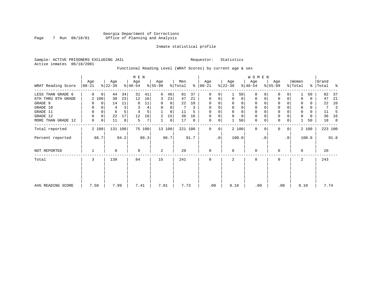# Georgia Department of Corrections Page 7 Run 06/18/01 Office of Planning and Analysis

# Inmate statistical profile

Sample: ACTIVE PRISONERS EXCLUDING JAIL **Requestor:** Statistics Active inmates 06/18/2001

# Functional Reading Level (WRAT Scores) by current age & sex

|                     |                  |             |                  | M E N   |                  |        |                  |        |                |      |                 |           |                  | W O M E N   |                  |          |                  |                |                  |       |                    |      |
|---------------------|------------------|-------------|------------------|---------|------------------|--------|------------------|--------|----------------|------|-----------------|-----------|------------------|-------------|------------------|----------|------------------|----------------|------------------|-------|--------------------|------|
| WRAT Reading Score  | Age<br>$00 - 21$ |             | Age<br>$ 22-39 $ |         | Age<br>$ 40-54 $ |        | Age<br>$ 55-99 $ |        | Men<br>% Total | ွေ   | Age<br>$ 00-21$ |           | Age<br>$ 22-39 $ |             | Age<br>$ 40-54 $ |          | Age<br>$8 55-99$ |                | Women<br>% Total |       | Grand<br>%   Total | ႜ    |
| LESS THAN GRADE 6   | $\Omega$         | $\mathbf 0$ | 44               | 34      | 31               | 41     | 6                | 46     | 81             | 37   | $\mathbf 0$     | 0         |                  | 50          | $\Omega$         | $\Omega$ | $\Omega$         | 0              |                  | 50    | 82                 | 37   |
| 6TH THRU 8TH GRADE  |                  | 2 100       | 30               | 23      | 12               | 16     | 3                | 23     | 47             | 21   | $\mathbf 0$     | 0         | $\mathbf 0$      | $\mathbf 0$ | $\mathbf 0$      | 0        | 0                | 0              |                  | 0     | 47                 | 21   |
| GRADE 9             |                  | $\mathbf 0$ | 14               | 11      | 8                | 11     | 0                | 0      | 22             | 10   | $\mathbf 0$     |           |                  | 0           | 0                |          | $\Omega$         |                |                  | 0     | 22                 | 10   |
| GRADE 10            | 0                | 0           | 4                |         | 3                | 4      | 0                | 0      |                | 3    | $\mathbf 0$     | 0         | $\mathbf 0$      | 0           | $\mathbf 0$      |          | 0                |                | $\mathbf 0$      | 0     | 7                  | 3    |
| GRADE 11            | 0                | 0           | 6                |         | 4                | 5      |                  | 8      | 11             | 5    | $\mathbf 0$     |           |                  | $\mathbf 0$ | 0                |          | $\mathbf 0$      |                |                  | 0     | 11                 | -5   |
| GRADE 12            | 0                | 0           | 22               | 17      | 12               | 16     | 2                | 15     | 36             | 16   | $\mathbf 0$     | 0         | $\Omega$         | $\mathbf 0$ | 0                |          | 0                |                | 0                | 0     | 36                 | 16   |
| MORE THAN GRADE 12  | 0                | 0           | 11               | 8       | 5                | 7      |                  | 8      | 17             | 8    | 0               | 0         |                  | 50          | $\mathbf 0$      | 0        | $\mathbf 0$      | 0              |                  | 50    | 18                 | 8    |
| Total reported      |                  | 2 100       |                  | 131 100 |                  | 75 100 |                  | 13 100 | 221 100        |      | 0               | 0         |                  | 2 100       | $\mathbf 0$      | $\Omega$ | $\Omega$         | $\overline{0}$ |                  | 2 100 | 223 100            |      |
| Percent reported    |                  | 66.7        |                  | 94.2    |                  | 89.3   |                  | 86.7   |                | 91.7 |                 | $\cdot$ 0 |                  | 100.0       |                  | . 0      |                  | $\cdot$ 0      |                  | 100.0 |                    | 91.8 |
| <b>NOT REPORTED</b> |                  |             | 8                |         | 9                |        | 2                |        | 20             |      | $\mathbf 0$     |           | $\Omega$         |             | $\mathbf 0$      |          | $\Omega$         |                | $\Omega$         |       | 20                 |      |
| Total               | 3                |             | 139              |         | 84               |        | 15               |        | 241            |      | $\mathbf 0$     |           | 2                |             | $\mathbf 0$      |          | 0                |                | 2                |       | 243                |      |
|                     |                  |             |                  |         |                  |        |                  |        |                |      |                 |           |                  |             |                  |          |                  |                |                  |       |                    |      |
| AVG READING SCORE   | 7.50             |             | 7.99             |         | 7.41             |        | 7.01             |        | 7.73           |      | .00             |           | 9.10             |             | .00              |          | .00              |                | 9.10             |       | 7.74               |      |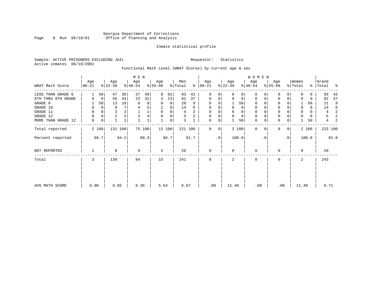# Georgia Department of Corrections Page 8 Run 06/18/01 Office of Planning and Analysis

# Inmate statistical profile

Sample: ACTIVE PRISONERS EXCLUDING JAIL **Requestor:** Statistics Active inmates 06/18/2001

Functional Math Level (WRAT Scores) by current age & sex

|                    |                   |             |                  |         | M E N            |        |                 |        |                |      |                      |           |                  |          | W O M E N        |           |                 |           |                  |       |                 |      |
|--------------------|-------------------|-------------|------------------|---------|------------------|--------|-----------------|--------|----------------|------|----------------------|-----------|------------------|----------|------------------|-----------|-----------------|-----------|------------------|-------|-----------------|------|
| WRAT Math Score    | Age<br>$ 00 - 21$ |             | Age<br>$ 22-39 $ |         | Age<br>$ 40-54 $ |        | Age<br>$ 55-99$ |        | Men<br>% Total |      | Age<br>$8   00 - 21$ |           | Age<br>$ 22-39 $ |          | Age<br>$ 40-54 $ |           | Age<br>$ 55-99$ |           | Women<br>% Total | ွေ    | Grand<br> Total | ႜ    |
| LESS THAN GRADE 6  |                   | 50          | 47               | 36      | 37               | 49     | 8               | 62     | 93             | 42   | $\Omega$             | 0         | $\Omega$         | $\Omega$ | $\Omega$         |           | $\mathbf 0$     | $\Omega$  | U                | 0     | 93              | 42   |
| 6TH THRU 8TH GRADE | 0                 | 0           | 56               | 43      | 23               | 31     | 3               | 23     | 82             | 37   | $\mathbf 0$          | 0         | 0                | $\Omega$ | 0                | 0         | 0               | 0         |                  | 0     | 82              | 37   |
| GRADE 9            |                   | 50          | 13               | 10      | 6                | 8      |                 | 0      | 20             | 9    | $\mathbf 0$          | $\Omega$  |                  | 50       | $\Omega$         |           | 0               |           |                  | 50    | 21              | 9    |
| GRADE 10           | 0                 | 0           | 9                |         |                  | 5      |                 | 8      | 14             | 6    | $\mathbf 0$          | 0         | $\Omega$         | 0        | 0                |           | $\mathbf 0$     |           | 0                | 0     | 14              | 6    |
| GRADE 11           | 0                 | $\Omega$    | 3                |         |                  |        | $\Omega$        | 0      | 4              |      | $\Omega$             |           |                  |          |                  |           | $\mathbf 0$     |           |                  | 0     | 4               |      |
| GRADE 12           | 0                 | $\mathbf 0$ | $\overline{c}$   |         | 3                | 4      | $\Omega$        | 0      | 5              |      | $\mathbf 0$          | 0         | $\Omega$         | $\Omega$ | 0                |           | $\mathbf 0$     |           | 0                | 0     | 5               |      |
| MORE THAN GRADE 12 | 0                 | $\mathbf 0$ | 1                | 1       |                  |        |                 | 8      | 3              |      | 0                    | 0         |                  | 50       | $\mathbf 0$      |           | $\mathbf 0$     | 0         |                  | 50    | 4               |      |
| Total reported     |                   | 2 100       |                  | 131 100 |                  | 75 100 |                 | 13 100 | 221 100        |      | $\Omega$             | 0         |                  | 2 100    | $\mathbf 0$      | $\Omega$  | $\mathbf{0}$    | 0         |                  | 2 100 | 223 100         |      |
| Percent reported   |                   | 66.7        |                  | 94.2    |                  | 89.3   |                 | 86.7   |                | 91.7 |                      | $\cdot$ 0 |                  | 100.0    |                  | $\cdot$ 0 |                 | $\cdot$ 0 |                  | 100.0 |                 | 91.8 |
| NOT REPORTED       |                   |             | 8                |         | 9                |        | 2               |        | 20             |      | $\mathbf 0$          |           | $\Omega$         |          | 0                |           | 0               |           | $\Omega$         |       | 20              |      |
| Total              | 3                 |             | 139              |         | 84               |        | 15              |        | 241            |      | $\mathbf 0$          |           | 2                |          | 0                |           | $\mathbf 0$     |           | 2                |       | 243             |      |
|                    |                   |             |                  |         |                  |        |                 |        |                |      |                      |           |                  |          |                  |           |                 |           |                  |       |                 |      |
| AVG MATH SCORE     | 6.90              |             | 6.95             |         | 6.36             |        | 5.64            |        | 6.67           |      | .00                  |           | 11.40            |          | .00              |           | .00             |           | 11.40            |       | 6.71            |      |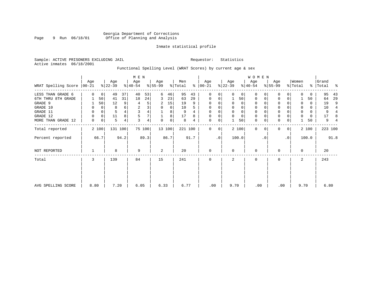# Inmate statistical profile

Sample: ACTIVE PRISONERS EXCLUDING JAIL **Requestor:** Statistics Active inmates 06/18/2001

Functional Spelling Level (WRAT Scores) by current age & sex

|                             |          |       |                  |         | M E N            |                |                 |        |                            |      |                      |           |                  |          | W O M E N        |           |                  |             |                              |       |                |      |
|-----------------------------|----------|-------|------------------|---------|------------------|----------------|-----------------|--------|----------------------------|------|----------------------|-----------|------------------|----------|------------------|-----------|------------------|-------------|------------------------------|-------|----------------|------|
| WRAT Spelling Score   00-21 | Age      |       | Age<br>$ 22-39 $ |         | Age<br>$ 40-54 $ |                | Age<br>$ 55-99$ |        | Men<br>$\frac{1}{2}$ Total |      | Age<br>$8   00 - 21$ |           | Age<br>$ 22-39 $ |          | Age<br>$ 40-54 $ |           | Age<br>$ 55-99 $ |             | Women<br>$\frac{1}{2}$ Total | ွေ    | Grand<br>Total | ႜ    |
| LESS THAN GRADE 6           | $\Omega$ | 0     | 49               | 37      | 40               | 53             | 6               | 46     | 95                         | 43   | $\Omega$             | 0         |                  | $\Omega$ | $\Omega$         |           | 0                | O           |                              | 0     | 95             | 43   |
| 6TH THRU 8TH GRADE          |          | 50    | 41               | 31      | 18               | 24             | 3               | 23     | 63                         | 29   | $\mathbf 0$          | 0         |                  | 50       | 0                | 0         | 0                | 0           |                              | 50    | 64             | 29   |
| GRADE 9                     |          | 50    | 12               | 9       | 4                | 5              | 2               | 15     | 19                         | 9    | $\Omega$             | $\Omega$  |                  | $\Omega$ |                  |           | 0                |             |                              | 0     | 19             | 9    |
| GRADE 10                    | 0        | 0     | 8                |         | $\overline{c}$   | 3              | $\Omega$        | 0      | 10                         |      | 0                    |           |                  |          | 0                |           | 0                |             | 0                            | 0     | 10             |      |
| GRADE 11                    | 0        | 0     |                  |         | 3                | $\overline{4}$ |                 | 8      | 9                          |      | $\Omega$             |           |                  |          |                  |           | $\mathbf 0$      |             |                              | 0     | 9              |      |
| GRADE 12                    | $\Omega$ | 0     | 11               | 8       | 5                | 7              |                 | 8      | 17                         | 8    | $\Omega$             | 0         | $\Omega$         | $\Omega$ | $\Omega$         |           | 0                |             | U                            | 0     | 17             |      |
| MORE THAN GRADE 12          | 0        | 0     | 5                | 4       | 3                | 4              | $\Omega$        | 0      | 8                          | 4    | $\mathbf 0$          | 0         |                  | 50       | $\mathbf 0$      |           | $\mathbf{0}$     | 0           |                              | 50    | 9              |      |
| Total reported              |          | 2 100 |                  | 131 100 |                  | 75 100         |                 | 13 100 | 221 100                    |      | $\Omega$             | 0         |                  | 2 100    | $\mathbf 0$      | $\Omega$  | $\mathbf{0}$     | $\mathbf 0$ |                              | 2 100 | 223 100        |      |
| Percent reported            |          | 66.7  |                  | 94.2    |                  | 89.3           |                 | 86.7   |                            | 91.7 |                      | $\cdot$ 0 |                  | 100.0    |                  | $\cdot$ 0 |                  | $\cdot$ 0   |                              | 100.0 |                | 91.8 |
| NOT REPORTED                |          |       | 8                |         | 9                |                | 2               |        | 20                         |      | $\mathbf 0$          |           | $\Omega$         |          | $\mathbf 0$      |           | 0                |             | $\Omega$                     |       | 20             |      |
| Total                       | 3        |       | 139              |         | 84               |                | 15              |        | 241                        |      | $\mathbf 0$          |           | 2                |          | $\mathbf 0$      |           | $\mathbf 0$      |             | 2                            |       | 243            |      |
|                             |          |       |                  |         |                  |                |                 |        |                            |      |                      |           |                  |          |                  |           |                  |             |                              |       |                |      |
| AVG SPELLING SCORE          | 8.80     |       | 7.20             |         | 6.05             |                | 6.33            |        | 6.77                       |      | .00                  |           | 9.70             |          | .00              |           | .00              |             | 9.70                         |       | 6.80           |      |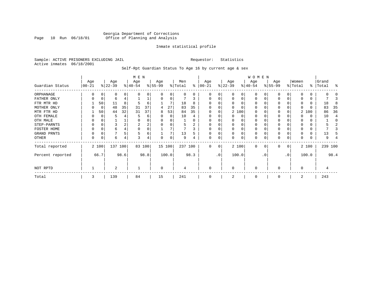# Georgia Department of Corrections Page 10 Run 06/18/01 Office of Planning and Analysis

# Inmate statistical profile

Sample: ACTIVE PRISONERS EXCLUDING JAIL **Requestor:** Statistics Active inmates 06/18/2001

Self-Rpt Guardian Status To Age 16 by current age & sex

|                  | M E N            |       |                  |      |                  |        |                 |          |                |      |                 |          |                 |          | WOMEN            |          |                  |          |                  |       |                    |         |
|------------------|------------------|-------|------------------|------|------------------|--------|-----------------|----------|----------------|------|-----------------|----------|-----------------|----------|------------------|----------|------------------|----------|------------------|-------|--------------------|---------|
| Guardian Status  | Age<br>$00 - 21$ |       | Age<br>$ 22-39 $ |      | Age<br>$ 40-54 $ |        | Age<br>$ 55-99$ |          | Men<br>% Total | ႜ    | Age<br>$ 00-21$ |          | Age<br>$ 22-39$ |          | Age<br>$ 40-54 $ |          | Age<br>$8 55-99$ |          | Women<br>% Total |       | Grand<br>%   Total | ႜ       |
| ORPHANAGE        |                  |       | 0                | 0    | n                | 0      |                 | 0        | 0              | 0    | O               | U        |                 | 0        | $\Omega$         |          | n                |          |                  |       |                    |         |
| FATHER ONLY      | 0                | 0     | 6                |      |                  |        | $\Omega$        | $\Omega$ |                | 3    | $\Omega$        | 0        | O               | $\Omega$ | $\Omega$         |          | $\Omega$         |          |                  |       |                    |         |
| FTR MTR HD       |                  | 50    | 11               | 8    | 5                | 6      |                 |          | 18             | 8    |                 |          |                 |          | O                |          | <sup>0</sup>     |          |                  |       | 18                 | Я       |
| MOTHER ONLY      |                  | 0     | 48               | 35   | 31               | 37     | 4               | 27       | 83             | 35   |                 |          |                 |          | O                |          | 0                |          |                  |       | 83                 | 35      |
| MTR FTR HD       |                  | 50    | 44               | 32   | 31               | 37     | 8               | 53       | 84             | 35   | $\Omega$        |          |                 | 2 100    | $\Omega$         |          | $\Omega$         |          |                  | 2 100 | 86                 | 36      |
| OTH FEMALE       |                  |       | 5                |      |                  | 6      |                 | $\Omega$ | 10             |      |                 |          |                 | 0        | 0                |          | 0                |          |                  | 0     | 10                 |         |
| OTH MALE         |                  |       |                  |      |                  | 0      |                 |          |                |      |                 |          |                 |          | O                |          |                  |          |                  |       |                    |         |
| STEP-PARNTS      | 0                | C     | 3                |      | 2                | 2      |                 |          | 5              | 2    | $\Omega$        |          | $\Omega$        | $\Omega$ | 0                |          | 0                |          |                  |       |                    |         |
| FOSTER HOME      |                  |       | 6                |      | $\Omega$         | 0      |                 |          |                |      | $\Omega$        |          |                 |          | 0                |          | <sup>0</sup>     |          |                  |       |                    |         |
| GRAND PRNTS      | 0                | C     |                  |      | 5                | 6      |                 |          | 13             | 5    | $\Omega$        | 0        | $\Omega$        | $\Omega$ | 0                |          | 0                |          |                  |       | 13                 |         |
| OTHER            | 0                | C     | 6                | 4    | 3                | 4      | $\Omega$        | 0        | 9              |      | $\mathbf 0$     | 0        |                 | 0        | 0                |          | 0                | $\Omega$ |                  |       | 9                  |         |
| Total reported   |                  | 2 100 | 137 100          |      |                  | 83 100 |                 | 15 100   | 237 100        |      | $\Omega$        | $\Omega$ |                 | 2 100    | $\Omega$         | $\Omega$ | $\Omega$         | 0        |                  | 2 100 |                    | 239 100 |
| Percent reported |                  | 66.7  |                  | 98.6 |                  | 98.8   |                 | 100.0    |                | 98.3 |                 | .0'      |                 | 100.0    |                  | . 0      |                  | .0       |                  | 100.0 |                    | 98.4    |
| NOT RPTD         |                  |       | 2                |      |                  |        | $\Omega$        |          | 4              |      | $\Omega$        |          | $\Omega$        |          | $\Omega$         |          | ∩                |          | U                |       |                    |         |
| Total            | 3                |       | 139              |      | 84               |        | 15              |          | 241            |      | $\Omega$        |          |                 |          | $\Omega$         |          | $\Omega$         |          | 2                |       | 243                |         |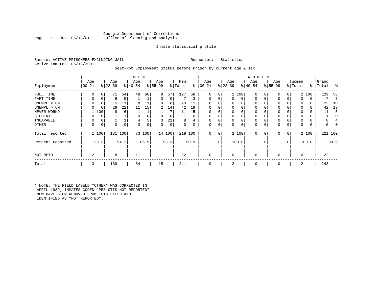# Georgia Department of Corrections<br>Page 11 Run 06/18/01 office of Planning and Analysis Office of Planning and Analysis

# Inmate statistical profile

Sample: ACTIVE PRISONERS EXCLUDING JAIL **Requestor:** Statistics Active inmates 06/18/2001

# Self-Rpt Employment Status Before Prison by current age & sex

|                  |                |          |           |      | M E N    |        |          |        |         |          |          |                 |             |       | W O M E N    |     |             |                |                |               |       |          |
|------------------|----------------|----------|-----------|------|----------|--------|----------|--------|---------|----------|----------|-----------------|-------------|-------|--------------|-----|-------------|----------------|----------------|---------------|-------|----------|
|                  | Age            |          | Age       |      | Age      |        | Age      |        | Men     |          | Age      |                 | Age         |       | Age          |     | Age         |                | Women          |               | Grand |          |
| Employment       | $00 - 21$      |          | $ 22-39 $ |      | $ 40-54$ |        | $ 55-99$ |        | % Total | ွေ       | $ 00-21$ |                 | $ 22-39$    |       | $ 40-54 $    |     | $ 55-99 $   |                | % Total        | $\frac{1}{6}$ | Total | ႜ        |
| FULL TIME        | $\Omega$       | 0        | 71        | 54   | 48       | 66     | 8        | 57     | 127     | 58       | 0        | 0               |             | 2 100 | $\mathbf 0$  | C   | 0           | $\overline{0}$ |                | 2 100         | 129   | 58       |
| PART TIME        | $\Omega$       | 0        | 6         | 5    |          |        | 0        | 0      |         | 3        | $\Omega$ | 0               | 0           | 0     | $\mathbf 0$  | 0   | 0           | 0              | $\Omega$       | 0             |       | 3        |
| UNEMPL < 6M      | 0              | 0        | 15        | 11   | 8        | 11     | 0        | 0      | 23      |          |          |                 | 0           | 0     | 0            |     | 0           |                | $\Omega$       | 0             | 23    | 10       |
| UNEMPL > 6M      | U              | $\Omega$ | 29        | 22   | 11       | 15     | 2        | 14     | 42      | 19       |          |                 | $\Omega$    | 0     | $\Omega$     |     | $\Omega$    |                | $\Omega$       | 0             | 42    | 19       |
| NEVER WORKD      |                | 100      | 8         | 6    |          |        |          |        | 11      | 5        | $\Omega$ |                 | $\mathbf 0$ | 0     | $\mathbf 0$  |     | $\Omega$    |                | $\Omega$       | 0             | 11    | .5       |
| <b>STUDENT</b>   | O              | 0        |           |      |          |        | 0        | 0      |         | $\Omega$ | $\Omega$ |                 | $\mathbf 0$ | 0     | 0            |     | $\mathbf 0$ |                | $\Omega$       | 0             |       | $\Omega$ |
| INCAPABLE        | $\Omega$       | 0        |           |      | 4        | 5      | 3        | 21     | 8       | 4        |          |                 | $\mathbf 0$ | 0     | 0            |     | 0           |                |                | 0             | 8     |          |
| OTHER            | $\Omega$       | 0        | 0         | 0    | 0        | 0      | 0        | 0      | 0       | 0        | $\Omega$ | 0               | 0           | 0     | 0            |     | 0           | 0              | 0              | 0             | 0     |          |
| Total reported   |                | 1 100    | 131       | 100  |          | 73 100 |          | 14 100 | 219 100 |          | $\Omega$ | $\overline{0}$  |             | 2 100 | $\mathbf{0}$ | 0   | 0           | 0 <sup>1</sup> |                | 2 100         |       | 221 100  |
| Percent reported |                | 33.3     |           | 94.2 |          | 86.9   |          | 93.3   |         | 90.9     |          | .0 <sup>1</sup> |             | 100.0 |              | . 0 |             | $\cdot$ 0      |                | 100.0         |       | 90.9     |
| NOT RPTD         | $\overline{2}$ |          | 8         |      | 11       |        |          |        | 22      |          |          |                 | $\Omega$    |       | $\mathbf 0$  |     | $\Omega$    |                | $\overline{0}$ |               | 22    |          |
| Total            | 3              |          | 139       |      | 84       |        | 15       |        | 241     |          |          |                 | 2           |       | 0            |     | $\mathbf 0$ |                | 2              |               | 243   |          |

\* NOTE: THE FIELD LABELD "OTHER" WAS CORRECTED IN APRIL 1989; INMATES CODED "PRE-OTIS NOT REPORTED" NOW HAVE BEEN REMOVED FROM THIS FIELD AND IDENTIFIED AS "NOT REPORTED".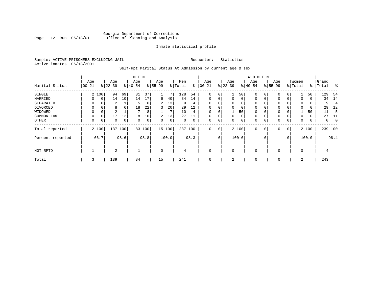# Georgia Department of Corrections Page 12 Run 06/18/01 Office of Planning and Analysis

# Inmate statistical profile

Sample: ACTIVE PRISONERS EXCLUDING JAIL **Requestor:** Statistics Active inmates 06/18/2001

# Self-Rpt Marital Status At Admission by current age & sex

|                  | M E N     |             |                |      |          |      |                |       |         |      |             |                 |             |       | <b>WOMEN</b> |             |           |              |          |       |           |                |
|------------------|-----------|-------------|----------------|------|----------|------|----------------|-------|---------|------|-------------|-----------------|-------------|-------|--------------|-------------|-----------|--------------|----------|-------|-----------|----------------|
|                  | Age       |             | Age            |      | Age      |      | Age            |       | Men     |      | Age         |                 | Age         |       | Age          |             | Age       |              | Women    |       | Grand     |                |
| Marital Status   | $00 - 21$ |             | $ 22-39 $      |      | $ 40-54$ |      | $8 55-99$      |       | % Total | ွေ   | $ 00-21$    |                 | $ 22-39 $   |       | $ 40-54 $    |             | $8 55-99$ |              | % Total  |       | %   Total | $^{\circ}$     |
| SINGLE           |           | 2 100       | 94             | 69   | 31       | 37   |                | 7     | 128     | 54   | 0           | 0               | 1           | 50    | $\mathbf 0$  | 0           | 0         | 0            |          | 50    | 129       | -54            |
| MARRIED          | $\Omega$  | $\mathbf 0$ | 14             | 10   | 14       | 17   | 6              | 40    | 34      | 14   | $\mathbf 0$ | 0               | 0           | 0     | $\mathbf 0$  | 0           | 0         | $\Omega$     | $\Omega$ | 0     | 34        | 14             |
| SEPARATED        | $\Omega$  | 0           | 2              |      | 5        | 6    | $\overline{2}$ | 13    | 9       | 4    | $\Omega$    |                 | $\mathbf 0$ | 0     | $\mathbf 0$  | $\Omega$    | $\Omega$  |              | 0        | 0     | 9         | $\overline{4}$ |
| DIVORCED         | 0         | 0           | 8              | 6    | 18       | 22   | 3              | 20    | 29      | 12   | 0           | 0               | 0           | 0     | 0            | 0           | 0         |              | $\Omega$ | 0     | 29        | 12             |
| WIDOWED          | $\Omega$  | 0           | 2              |      |          | 8    |                | 7     | 10      | 4    | $\Omega$    | 0               |             | 50    | $\mathbf 0$  | $\Omega$    | 0         |              |          | 50    | 11        | 5              |
| COMMON LAW       | 0         | $\Omega$    | 17             | 12   | 8        | 10   | 2              | 13    | 27      | 11   | $\Omega$    |                 | $\mathbf 0$ | 0     | $\mathbf 0$  | $\Omega$    | $\Omega$  | 0            | $\Omega$ | 0     | 27        | -11            |
| OTHER            | 0         | 0           | 0              | 0    | $\Omega$ | 0    | 0              | 0     | 0       | 0    | 0           | 0               | 0           | 0     | $\mathbf 0$  | 0           | 0         | 0            | 0        | 0     | 0         | $\overline{0}$ |
| Total reported   |           | 2 100       | 137            | 100  | 83       | 100  | 15 100         |       | 237     | 100  | 0           | 0               |             | 2 100 | $\mathbf 0$  | $\mathbf 0$ | 0         | $\mathbf{0}$ |          | 2 100 | 239 100   |                |
| Percent reported |           | 66.7        |                | 98.6 |          | 98.8 |                | 100.0 |         | 98.3 |             | .0 <sup>1</sup> |             | 100.0 |              | . 0         |           | $\cdot$ 0    |          | 100.0 |           | 98.4           |
| NOT RPTD         |           |             | $\overline{a}$ |      |          |      | $\mathbf 0$    |       | 4       |      | $\Omega$    |                 | 0           |       | $\mathbf 0$  |             | $\Omega$  |              | $\Omega$ |       | 4         |                |
| Total            | 3         |             | 139            |      | 84       |      | 15             |       | 241     |      | 0           |                 | 2           |       | 0            |             | 0         |              | 2        |       | 243       |                |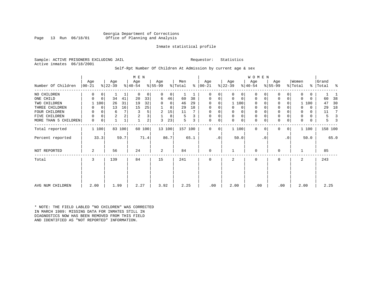Georgia Department of Corrections<br>Page 13 Run 06/18/01 office of Planning and Analysis Office of Planning and Analysis

# Inmate statistical profile

Sample: ACTIVE PRISONERS EXCLUDING JAIL **Requestor:** Statistics Active inmates 06/18/2001

# Self-Rpt Number Of Children At Admission by current age & sex

|                      |                 |             |                  |        | M E N            |                |                  |        |                |      |                   |           |                  |              | WOMEN            |           |                  |                |                  |          |                |      |
|----------------------|-----------------|-------------|------------------|--------|------------------|----------------|------------------|--------|----------------|------|-------------------|-----------|------------------|--------------|------------------|-----------|------------------|----------------|------------------|----------|----------------|------|
| Number Of Children   | Age<br>$ 00-21$ |             | Age<br>$ 22-39 $ |        | Age<br>$ 40-54 $ |                | Age<br>$ 55-99 $ |        | Men<br>% Total | နွ   | Age<br>$ 00 - 21$ |           | Age<br>$ 22-39 $ |              | Age<br>$ 40-54 $ |           | Age<br>$8 55-99$ |                | Women<br>% Total | ႜ        | Grand<br>Total | ႜ    |
| NO CHILDREN          | $\Omega$        | 0           |                  |        | $\Omega$         | 0              | 0                | 0      |                | 1    | 0                 | $\Omega$  | $\Omega$         | 0            | $\Omega$         | $\Omega$  | 0                | $\Omega$       | $\Omega$         | 0        |                |      |
| ONE CHILD            | 0               | $\mathbf 0$ | 34               | 41     | 20               | 33             | 6                | 46     | 60             | 38   | $\mathbf 0$       | 0         | 0                | $\mathbf 0$  | $\mathbf 0$      | 0         | $\mathbf 0$      | 0              | $\Omega$         | $\Omega$ | 60             | 38   |
| TWO CHILDREN         |                 | 100         | 26               | 31     | 19               | 32             | 0                | 0      | 46             | 29   | 0                 | 0         |                  | 1 100        | 0                |           | $\mathbf 0$      | 0              |                  | 100      | 47             | 30   |
| THREE CHILDREN       | 0               | $\mathbf 0$ | 13               | 16     | 15               | 25             |                  | 8      | 29             | 18   | 0                 | 0         | $\Omega$         | 0            | 0                |           | $\mathbf 0$      |                | $\Omega$         | 0        | 29             | 18   |
| FOUR CHILDREN        | 0               | $\Omega$    | 6                | 7      |                  | 5              | 2                | 15     | 11             |      | $\Omega$          |           |                  | 0            | 0                |           | $\mathbf 0$      |                | 0                | $\Omega$ | 11             | 7    |
| FIVE CHILDREN        | 0               | 0           | 2                | 2      |                  | 3              |                  | 8      | 5              | 3    | $\Omega$          | 0         | $\Omega$         | $\mathsf{O}$ | 0                |           | $\mathbf 0$      | 0              | 0                | $\Omega$ | 5              |      |
| MORE THAN 5 CHILDREN | $\mathbf 0$     | $\mathbf 0$ |                  |        |                  | 2 <sub>1</sub> | ζ                | 23     | 5              | 3    | 0                 | 0         | $\Omega$         | $\mathbf 0$  | 0                | 0         | $\mathbf 0$      | 0              | $\Omega$         | 0        | 5              |      |
| Total reported       | 1 100           |             |                  | 83 100 |                  | 60 100         |                  | 13 100 | 157 100        |      | $\Omega$          | 0         |                  | 1 100        | $\Omega$         | $\Omega$  | $\mathbf 0$      | $\overline{0}$ |                  | 1 100    | 158 100        |      |
| Percent reported     |                 | 33.3        |                  | 59.7   |                  | 71.4           |                  | 86.7   |                | 65.1 |                   | $\cdot$ 0 |                  | 50.0         |                  | $\cdot$ 0 |                  | $\cdot$ 0      |                  | 50.0     |                | 65.0 |
| NOT REPORTED         | 2               |             | 56               |        | 24               |                | 2                |        | 84             |      | 0                 |           |                  |              | 0                |           | $\mathbf 0$      |                |                  |          | 85             |      |
| Total                | 3               |             | 139              |        | 84               |                | 15               |        | 241            |      | $\Omega$          |           | 2                |              | 0                |           | $\mathbf 0$      |                | 2                |          | 243            |      |
|                      |                 |             |                  |        |                  |                |                  |        |                |      |                   |           |                  |              |                  |           |                  |                |                  |          |                |      |
| AVG NUM CHILDREN     | 2.00            |             | 1.99             |        | 2.27             |                | 3.92             |        | 2.25           |      | .00               |           | 2.00             |              | .00              |           | .00              |                | 2.00             |          | 2.25           |      |

\* NOTE: THE FIELD LABLED "NO CHILDREN" WAS CORRECTED IN MARCH 1989: MISSING DATA FOR INMATES STILL IN DIAGNOSTICS NOW HAS BEEN REMOVED FROM THIS FIELD AND IDENTIFIED AS "NOT REPORTED" INFORMATION.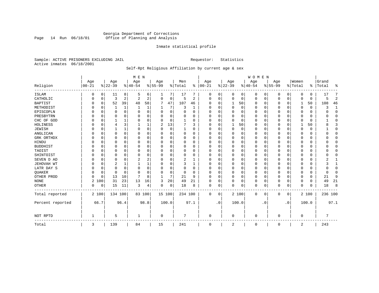# Georgia Department of Corrections<br>Page 14 Run 06/18/01 Office of Planning and Analysis Page 14 Run 06/18/01 Office of Planning and Analysis

# Inmate statistical profile

Sample: ACTIVE PRISONERS EXCLUDING JAIL **Requestor:** Statistics Active inmates 06/18/2001

# Self-Rpt Religious Affiliation by current age & sex

|                  |            |          |          |              | M E N          |          |              |             |           |                |             |           |              |          | <b>WOMEN</b> |             |           |           |             |          |           |                |
|------------------|------------|----------|----------|--------------|----------------|----------|--------------|-------------|-----------|----------------|-------------|-----------|--------------|----------|--------------|-------------|-----------|-----------|-------------|----------|-----------|----------------|
|                  | Age        |          | Age      |              | Age            |          | Age          |             | Men       |                | Age         |           | Age          |          | Age          |             | Age       |           | Women       |          | Grand     |                |
| Religion         | $ 00 - 21$ |          | $ 22-39$ |              | $ 40-54$       |          | $8 55-99$    |             | %   Total | ွေ             | $ 00 - 21$  |           | $ 22-39$     |          | $8 40-54$    |             | $8 55-99$ |           | % Total     |          | %   Total | န္             |
| <b>ISLAM</b>     | 0          | 0        | 11       | 8            | 5              | 6        | 1            | 7           | 17        |                | 0           | 0         | 0            | 0        | 0            | 0           | 0         | 0         | 0           | 0        | 17        | 7              |
| CATHOLIC         |            | 0        | 3        | 2            | $\overline{2}$ | 2        | $\Omega$     | 0           | 5         | $\overline{c}$ | $\Omega$    | 0         | $\Omega$     | 0        | $\mathbf 0$  | 0           | $\Omega$  | 0         | $\mathbf 0$ | 0        | 5         | $\overline{c}$ |
| <b>BAPTIST</b>   | O          | 0        | 52       | 39           | 48             | 58       | 7            | 47          | 107       | 46             | $\Omega$    | $\Omega$  | $\mathbf{1}$ | 50       | $\mathbf 0$  | 0           | 0         | 0         | 1           | 50       | 108       | 46             |
| METHODIST        |            | $\Omega$ |          | 1            |                | 1        |              | 7           | 3         | 1              | $\Omega$    | U         | $\mathbf 0$  | 0        | $\Omega$     | 0           | 0         | 0         | 0           | 0        |           | $\mathbf{1}$   |
| EPISCOPLN        |            | 0        | 0        | $\Omega$     | $\Omega$       | 0        | 0            | $\mathbf 0$ | 0         | 0              | $\Omega$    | $\cap$    | $\Omega$     | 0        | 0            | $\mathbf 0$ | $\Omega$  | 0         | O           | 0        |           | $\Omega$       |
| PRESBYTRN        |            | $\Omega$ |          | 0            | $\Omega$       | 0        | U            | 0           | 0         | 0              | O           | $\cap$    | 0            | O        |              | 0           | 0         | 0         | $\mathbf 0$ | 0        |           | $\Omega$       |
| CHC OF GOD       |            | $\Omega$ |          | 1            | $\Omega$       | 0        | U            | $\Omega$    |           | $\Omega$       | $\Omega$    | $\cap$    | $\Omega$     | $\Omega$ | $\Omega$     | $\Omega$    | $\Omega$  | $\Omega$  | $\mathbf 0$ | $\Omega$ |           | ∩              |
| HOLINESS         |            | $\Omega$ | 4        | 3            |                |          | 2            | 13          |           | 3              | $\Omega$    |           | $\mathbf{1}$ | 50       | $\Omega$     | $\mathbf 0$ | $\Omega$  | $\Omega$  |             | 50       |           |                |
| <b>JEWISH</b>    |            | 0        |          | $\mathbf{1}$ | $\Omega$       | 0        | U            | $\mathbf 0$ |           | $\Omega$       | $\Omega$    |           | $\Omega$     | $\Omega$ | $\Omega$     | 0           | $\Omega$  | $\Omega$  | $\Omega$    | $\Omega$ |           | $\Omega$       |
| ANGLICAN         |            | 0        | 0        | $\Omega$     | $\Omega$       | 0        | U            | 0           | 0         | 0              | $\Omega$    |           | 0            | 0        | $\Omega$     | 0           | 0         | 0         | 0           | 0        |           | ∩              |
| GRK ORTHDX       |            | 0        | U        | $\Omega$     | $\Omega$       | $\Omega$ | U            | 0           | 0         | 0              | $\Omega$    | O         | U            | O        | $\Omega$     | $\mathbf 0$ | $\Omega$  | 0         | 0           | 0        |           | $\Omega$       |
| HINDU            |            | $\Omega$ | U        | $\Omega$     | $\Omega$       | 0        | U            | 0           | $\Omega$  | $\Omega$       | $\Omega$    | $\Omega$  | $\Omega$     | 0        | $\Omega$     | $\Omega$    | $\Omega$  | $\Omega$  | $\mathbf 0$ | 0        |           | $\Omega$       |
| <b>BUDDHIST</b>  |            | $\Omega$ | 0        | $\Omega$     | $\Omega$       | 0        | U            | 0           | $\Omega$  | $\Omega$       | $\Omega$    | O         | 0            | 0        | $\Omega$     | 0           | 0         | 0         | O           | 0        |           | ∩              |
| TAOIST           |            | $\Omega$ |          | $\Omega$     | $\Omega$       | 0        | U            | 0           | 0         | 0              |             | $\Omega$  | $\Omega$     | 0        |              | 0           | $\Omega$  | 0         | $\Omega$    | 0        |           |                |
| SHINTOIST        |            | $\Omega$ | U        | $\Omega$     | $\mathbf 0$    | $\Omega$ | U            | O           | 0         | 0              | n           | $\Omega$  | U            | 0        | $\Omega$     | $\mathbf 0$ | $\Omega$  | $\Omega$  | $\mathbf 0$ | 0        |           | ∩              |
| SEVEN D AD       |            | $\Omega$ | U        | $\Omega$     | 2              | 2        | U            | O           | 2         | 1              | n           |           | $\Omega$     | O        | $\Omega$     | $\Omega$    | $\Omega$  | 0         | $\Omega$    | $\Omega$ |           |                |
| JEHOVAH WT       |            | $\Omega$ | 2        | 1            |                | 1        | U            | 0           | 3         | 1              | $\Omega$    | $\Omega$  | $\Omega$     | 0        | $\Omega$     | $\mathbf 0$ | $\Omega$  | $\Omega$  | $\mathbf 0$ | $\Omega$ |           |                |
| LATR DAY S       |            | 0        | 0        | $\Omega$     | $\Omega$       | 0        | U            | 0           | $\Omega$  | $\Omega$       | $\Omega$    | $\Omega$  | $\Omega$     | 0        | $\Omega$     | $\mathbf 0$ | $\Omega$  | $\Omega$  | $\mathbf 0$ | 0        |           | $\Omega$       |
| QUAKER           |            | 0        | 0        | $\Omega$     | $\mathbf 0$    | 0        | U            | 0           | 0         | 0              | $\Omega$    | O         | 0            | 0        | $\Omega$     | $\mathbf 0$ | 0         | 0         | 0           | 0        |           | ∩              |
| OTHER PROD       | U          | 0        | 13       | 10           | 7              | 8        | $\mathbf{1}$ | 7           | 21        | 9              | $\Omega$    | $\Omega$  | $\Omega$     | 0        | $\mathbf 0$  | 0           | $\Omega$  | $\Omega$  | 0           | 0        | 21        | 9              |
| <b>NONE</b>      | 2          | 100      | 31       | 23           | 13             | 16       | 3            | 20          | 49        | 21             | $\Omega$    | 0         | $\Omega$     | 0        | $\Omega$     | 0           | $\Omega$  | 0         | 0           | 0        | 49        | 21             |
| <b>OTHER</b>     | $\Omega$   | 0        | 15       | 11           | 3              | 4        | O            | 0           | 18        | 8              | $\mathbf 0$ | 0         | O            | 0        | $\Omega$     | 0           | $\Omega$  | 0         | $\mathbf 0$ | 0        | 18        | 8              |
| Total reported   | 2 100      |          | 134 100  |              | 83 100         |          | 15 100       |             | 234 100   |                | 0           | 0         |              | 2 100    | $\mathbf 0$  | 0           | 0         | 0         |             | 2 100    | 236 100   |                |
| Percent reported |            | 66.7     |          | 96.4         |                | 98.8     | 100.0        |             |           | 97.1           |             | $\cdot$ 0 |              | 100.0    |              | . 0         |           | $\cdot$ 0 |             | 100.0    |           | 97.1           |
| NOT RPTD         |            |          | 5        |              |                |          | 0            |             | 7         |                | $\cap$      |           | $\Omega$     |          | $\Omega$     |             | $\Omega$  |           | $\mathbf 0$ |          |           |                |
| Total            | 3          |          | 139      |              | 84             |          | 15           |             | 241       |                | $\Omega$    |           | 2            |          | 0            |             | 0         |           | 2           |          | 243       |                |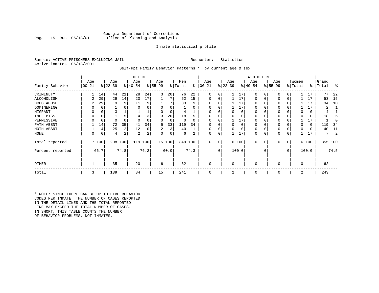# Georgia Department of Corrections<br>Page 15 Run 06/18/01 office of Planning and Analysis Office of Planning and Analysis

# Inmate statistical profile

Sample: ACTIVE PRISONERS EXCLUDING JAIL **Requestor:** Statistics Active inmates 06/18/2001

Self-Rpt Family Behavior Patterns \* by current age & sex

|                  |                 |             |                  |          | M E N            |      |                 |             |                |          |                  |                 |                  |          | W O M E N       |           |                 |     |                  |       |                |      |
|------------------|-----------------|-------------|------------------|----------|------------------|------|-----------------|-------------|----------------|----------|------------------|-----------------|------------------|----------|-----------------|-----------|-----------------|-----|------------------|-------|----------------|------|
| Family Behavior  | Age<br>$ 00-21$ |             | Age<br>$ 22-39 $ |          | Age<br>$ 40-54 $ |      | Age<br>$ 55-99$ |             | Men<br>% Total | ႜ        | Age<br>$00 - 21$ |                 | Age<br>$ 22-39 $ |          | Age<br>$ 40-54$ |           | Age<br>$ 55-99$ |     | Women<br>% Total | ∻     | Grand<br>Total | ႜ    |
| CRIMINLTY        |                 | 14          | 44               | 21       | 28               | 24   | 3               | 20          | 76             | 22       | $\Omega$         | 0               |                  | 17       | $\Omega$        | 0         | $\Omega$        | 0   |                  | 17    | 77             | 22   |
| ALCOHOLISM       |                 | 29          | 29               | 14       | 20               | 17   |                 |             | 52             | 15       | 0                | 0               |                  | 17       | 0               |           | $\Omega$        | 0   |                  | 17    | 53             | -15  |
| DRUG ABUSE       |                 | 29          | 19               | 9        | 11               | 9    |                 |             | 33             | 9        |                  |                 |                  | 17       | O               |           |                 |     |                  | 17    | 34             | 10   |
| DOMINERING       |                 | 0           |                  |          |                  |      |                 |             |                | O        |                  |                 |                  | 17       | 0               |           |                 |     |                  | 17    |                |      |
| MIGRANT          |                 | 0           |                  |          |                  |      |                 | 0           |                |          |                  |                 |                  | 0        | 0               |           | $\Omega$        |     |                  | 0     | 4              |      |
| INFL BTGS        |                 | $\Omega$    | 11               |          |                  |      | 3               | 20          | 18             | h        |                  |                 |                  | $\Omega$ | 0               |           | $\Omega$        |     |                  | 0     | 18             |      |
| PERMISSIVE       |                 | $\mathbf 0$ | 0                | $\Omega$ | $\Omega$         |      | 0               | $\mathbf 0$ | $\Omega$       | $\Omega$ | $\Omega$         | 0               |                  | 17       | 0               |           | $\Omega$        |     |                  | 17    |                |      |
| FATH ABSNT       |                 | 14          | 72               | 35       | 41               | 34   | 5.              | 33          | 119            | 34       |                  |                 | <sup>0</sup>     | $\Omega$ | 0               |           |                 |     |                  | 0     | 119            | 34   |
| MOTH ABSNT       |                 | 14          | 25               | 12       | 12               | 10   | 2               | 13          | 40             | 11       | 0                | 0               |                  | $\Omega$ | 0               |           | $\Omega$        |     |                  | 0     | 40             | 11   |
| NONE             | 0               | 0           | 4                | 2        | 2                | 2    | 0               | 0           | 6              | 2        | 0                | 0               |                  | 17       | 0               |           | 0               |     |                  | 17    | 7              |      |
| Total reported   |                 | 7 100       | 208              | 100      | 119              | 100  |                 | 15 100      | 349 100        |          | 0                | 0               |                  | 6 100    | $\mathbf 0$     | 0         | 0               | 0   |                  | 6 100 | 355 100        |      |
| Percent reported |                 | 66.7        |                  | 74.8     |                  | 76.2 |                 | 60.0        |                | 74.3     |                  | .0 <sup>1</sup> |                  | 100.0    |                 | $\cdot$ 0 |                 | .0' |                  | 100.0 |                | 74.5 |
| <b>OTHER</b>     |                 |             | 35               |          | 20               |      | 6               |             | 62             |          | 0                |                 | $\Omega$         |          | 0               |           | $\Omega$        |     | $\Omega$         |       | 62             |      |
| Total            | 3               |             | 139              |          | 84               |      | 15              |             | 241            |          | 0                |                 | 2                |          | 0               |           | 0               |     | 2                |       | 243            |      |

\* NOTE: SINCE THERE CAN BE UP TO FIVE BEHAVIOR CODES PER INMATE, THE NUMBER OF CASES REPORTED IN THE DETAIL LINES AND THE TOTAL REPORTED LINE MAY EXCEED THE TOTAL NUMBER OF CASES. IN SHORT, THIS TABLE COUNTS THE NUMBER OF BEHAVIOR PROBLEMS, NOT INMATES.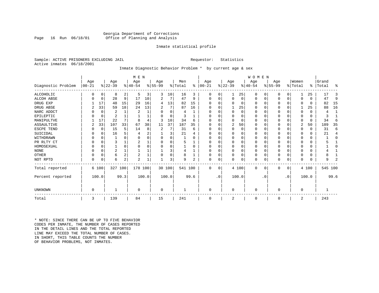# Georgia Department of Corrections<br>Page 16 Run 06/18/01 office of Planning and Analysis Office of Planning and Analysis

# Inmate statistical profile

Sample: ACTIVE PRISONERS EXCLUDING JAIL **Requestor:** Statistics Active inmates 06/18/2001

# Inmate Diagnostic Behavior Problem \* by current age & sex

|                    |            |          |                |              | M E N                 |       |           |          |         |          |           |           |                |          | <b>WOMEN</b> |           |           |             |                |          |         |      |
|--------------------|------------|----------|----------------|--------------|-----------------------|-------|-----------|----------|---------|----------|-----------|-----------|----------------|----------|--------------|-----------|-----------|-------------|----------------|----------|---------|------|
|                    | Age        |          | Age            |              | Age                   |       | Age       |          | Men     |          | Age       |           | Age            |          | Age          |           | Age       |             | Women          |          | Grand   |      |
| Diagnostic Problem | $ 00 - 21$ |          | $ 22-39 $      |              | $\frac{1}{6}$   40-54 |       | $8 55-99$ |          | % Total | ႜ        | $00 - 21$ |           | $ 22-39 $      |          | $ 40-54 $    |           | $ 55-99 $ |             | % Total        | ៖        | Total   | ႜ    |
| ALCOHOLIC          | 0          | 0        | 8              | 2            | 5                     | 3     | 3         | 10       | 16      | 3        | $\Omega$  | 0         | 1              | 25       | $\Omega$     | $\Omega$  | 0         | 0           | 1              | 25       | 17      | 3    |
| <b>ALCOH ABSE</b>  |            | 0        | 28             | 9            | 17                    | 10    | 2         | 7        | 47      | 9        | 0         | $\Omega$  | $\mathbf 0$    | 0        | 0            | 0         | 0         | $\mathbf 0$ | 0              | $\Omega$ | 47      | 9    |
| DRUG EXP           |            | 17       | 48             | 15           | 29                    | 16    | 4         | 13       | 82      | 15       |           |           | $\Omega$       | 0        | $\Omega$     | 0         |           | $\Omega$    | 0              | $\Omega$ | 82      | 15   |
| DRUG ABSE          | 2          | 33       | 59             | 18           | 24                    | 13    | 2         | 7        | 87      | 16       | O         |           |                | 25       | $\Omega$     | O         | 0         | $\mathbf 0$ |                | 25       | 88      | 16   |
| NARC ADDCT         |            | $\Omega$ | 2              | $\mathbf{1}$ | $\overline{2}$        |       | O         | $\Omega$ | 4       |          | O         | $\Omega$  | $\Omega$       | $\Omega$ | $\Omega$     | $\Omega$  | O         | $\Omega$    | $\Omega$       | $\Omega$ | 4       | 1    |
| EPILEPTIC          |            | 0        | $\overline{a}$ |              |                       |       | ∩         | $\Omega$ | ζ       |          | O         | $\Omega$  | $\Omega$       | $\Omega$ | $\Omega$     | $\Omega$  | $\Omega$  | $\mathbf 0$ | O              | $\Omega$ | 3       |      |
| MANIPULTVE         |            | 17       | 22             | 7            | 8                     |       | 3         | 10       | 34      | 6        |           |           | $\Omega$       | 0        | $\Omega$     | 0         | 0         | $\Omega$    | 0              | 0        | 34      | 6    |
| ASSAULTIVE         | 2          | 33       | 107            | 33           | 67                    | 38    | 11        | 37       | 187     | 35       | O         |           | 2              | 50       | 0            | 0         | 0         | $\mathbf 0$ | 2              | 50       | 189     | 35   |
| ESCPE TEND         |            | 0        | 15             | 5            | 14                    | 8     | 2         | 7        | 31      | 6        | U         | U         | $\mathbf 0$    | 0        | 0            | $\Omega$  |           | $\Omega$    | 0              | $\Omega$ | 31      | 6    |
| SUICIDAL           |            | 0        | 16             | 5            |                       |       |           | 3        | 21      |          |           |           | $\Omega$       | O        | $\Omega$     | $\Omega$  | O         | $\mathbf 0$ | $\Omega$       | 0        | 21      | 4    |
| WITHDRAWN          |            | $\Omega$ |                | U            |                       |       |           | U        |         | U        |           |           | $\Omega$       |          | 0            | $\Omega$  |           | $\Omega$    | O              | 0        |         | 0    |
| PR RLTY CT         |            | $\Omega$ | 3              |              |                       |       |           | O        | 5       |          | O         |           | $\Omega$       | N        | $\Omega$     | $\Omega$  | $\Omega$  | $\Omega$    | $\Omega$       | 0        |         |      |
| HOMOSEXUAL         |            | $\Omega$ |                | $\Omega$     |                       |       |           | 0        |         | $\Omega$ |           |           | $\Omega$       | N        | $\Omega$     | $\Omega$  |           | $\Omega$    | $\Omega$       | 0        |         | O    |
| <b>NONE</b>        |            | $\Omega$ | $\overline{2}$ |              |                       |       |           | 3        |         |          | O         |           | $\Omega$       |          | $\Omega$     | $\Omega$  |           | $\Omega$    | O              | 0        |         |      |
| OTHER              |            | $\Omega$ | 6              | 2            | $\overline{c}$        |       |           | 0        |         |          | U         |           | $\mathbf 0$    | 0        | 0            | $\Omega$  |           | $\mathbf 0$ | $\Omega$       | 0        |         |      |
| NOT RPTD           | $\Omega$   | 0        | 6              | 2            | $\overline{c}$        |       |           | 3        | 9       | 2        | $\Omega$  | $\Omega$  | $\mathbf 0$    | 0        | 0            | 0         | U         | 0           | $\Omega$       | 0        | 9       | 2    |
| Total reported     |            | 6 100    | 327 100        |              | 178 100               |       |           | 30 100   | 541 100 |          | $\Omega$  | $\Omega$  |                | 4 100    | $\Omega$     | 0         | $\Omega$  | 0           |                | 4 100    | 545 100 |      |
| Percent reported   |            | 100.0    |                | 99.3         |                       | 100.0 |           | 100.0    |         | 99.6     |           | $\cdot$ 0 |                | 100.0    |              | $\cdot$ 0 |           | $\cdot$ 0   |                | 100.0    |         | 99.6 |
|                    |            |          |                |              |                       |       |           |          |         |          |           |           |                |          |              |           |           |             |                |          |         |      |
| <b>UNKNOWN</b>     | $\Omega$   |          |                |              | $\Omega$              |       | $\Omega$  |          |         |          | $\Omega$  |           | 0              |          | 0            |           | $\Omega$  |             | 0              |          |         |      |
| Total              | 3          |          | 139            |              | 84                    |       | 15        |          | 241     |          | 0         |           | $\overline{2}$ |          | $\mathbf 0$  |           | 0         |             | $\overline{2}$ |          | 243     |      |

\* NOTE: SINCE THERE CAN BE UP TO FIVE BEHAVIOR CODES PER INMATE, THE NUMBER OF CASES REPORTED IN THE DETAIL LINES AND THE TOTAL REPORTED LINE MAY EXCEED THE TOTAL NUMBER OF CASES.IN SHORT, THIS TABLE COUNTS THE NUMBER OF BEHAVIOR PROBLEMS, NOT INMATES.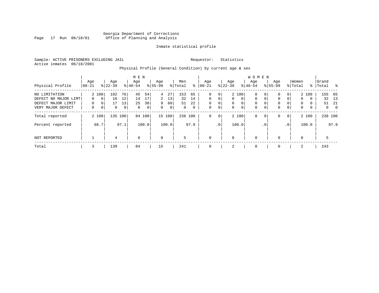# Georgia Department of Corrections Page 17 Run 06/18/01 Office of Planning and Analysis

# Inmate statistical profile

Sample: ACTIVE PRISONERS EXCLUDING JAIL **Requestor:** Statistics Active inmates 06/18/2001

# Physical Profile (General Condition) by current age & sex

|                                                                                  |                           |                                       |                      |                                  | M E N               |                     |                         |                     |                             |                               |                                |                                   |                                              |                                          | <b>WOMEN</b>                                          |                         |                                |                         |                                         |                      |                    |                                |
|----------------------------------------------------------------------------------|---------------------------|---------------------------------------|----------------------|----------------------------------|---------------------|---------------------|-------------------------|---------------------|-----------------------------|-------------------------------|--------------------------------|-----------------------------------|----------------------------------------------|------------------------------------------|-------------------------------------------------------|-------------------------|--------------------------------|-------------------------|-----------------------------------------|----------------------|--------------------|--------------------------------|
| Physical Profile                                                                 | Age<br>$ 00-21$           |                                       | Age<br>$8 22-39$     |                                  | Age<br>$8 40-54$    |                     | Age<br>$8155 - 99$      |                     | Men<br>% Total              | ွေ                            | Age<br>$ 00-21$                |                                   | Age<br>$ 22-39 $                             |                                          | Aqe<br>$8 40-54$                                      |                         | Age<br>$8155 - 99$             |                         | Women<br>% Total                        |                      | Grand<br>%   Total |                                |
| NO LIMITATION<br>DEFECT NO MAJOR LIMT<br>DEFECT MAJOR LIMIT<br>VERY MAJOR DEFECT | $\Omega$<br>$\Omega$<br>0 | 2 100<br>$\mathbf 0$<br>$\Omega$<br>0 | 102<br>16<br>17<br>0 | 76<br>12<br>13<br>0 <sup>1</sup> | 45<br>14<br>25<br>0 | 54<br>17<br>30<br>0 | 4<br>2<br>9<br>$\Omega$ | 27<br>13<br>60<br>0 | 153<br>32<br>51<br>$\Omega$ | 65<br>14<br>22<br>$\mathbf 0$ | 0<br>$\Omega$<br>$\Omega$<br>0 | 0<br>$\Omega$<br>0<br>$\mathbf 0$ | $\mathbf{0}$<br>$\mathbf{0}$<br>$\mathbf{0}$ | 2 100<br>$\mathbf 0$<br>0<br>$\mathbf 0$ | $\mathbf 0$<br>$\mathbf 0$<br>$\mathbf 0$<br>$\Omega$ | 0<br>0<br>$\Omega$<br>0 | 0<br>$\Omega$<br>$\Omega$<br>0 | 0<br>$\Omega$<br>0<br>0 | $\mathbf{0}$<br>$\Omega$<br>$\mathbf 0$ | 2 100<br>0<br>0<br>0 | 32<br>51<br>0      | 155 65<br>13<br>-21<br>$\circ$ |
| Total reported                                                                   |                           | 2 100                                 | 135                  | 100                              |                     | 84 100              |                         | 15 100              | 236 100                     |                               | 0                              | $\mathbf{0}$                      |                                              | 2 100                                    | $\mathbf 0$                                           | 0                       | 0                              | $\overline{0}$          |                                         | 2 100                | 238 100            |                                |
| Percent reported                                                                 |                           | 66.7                                  |                      | 97.1                             |                     | 100.0               |                         | 100.0               |                             | 97.9                          |                                | .0 <sup>1</sup>                   |                                              | 100.0                                    |                                                       | . 0                     |                                | .0 <sup>1</sup>         |                                         | 100.0                |                    | 97.9                           |
| NOT REPORTED                                                                     |                           |                                       | 4                    |                                  | $\mathbf 0$         |                     | $\mathbf 0$             |                     | 5                           |                               | $\mathbf 0$                    |                                   | 0                                            |                                          | $\mathbf 0$                                           |                         | $\Omega$                       |                         | $\Omega$                                |                      | 5                  |                                |
| Total                                                                            | 3                         |                                       | 139                  |                                  | 84                  |                     | 15                      |                     | 241                         |                               | $\mathbf 0$                    |                                   | 2                                            |                                          | 0                                                     |                         | 0                              |                         | 2                                       |                      | 243                |                                |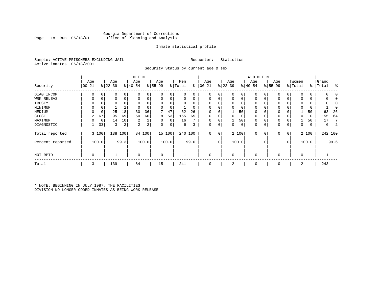# Georgia Department of Corrections Office of Planning and Analysis

# Inmate statistical profile

Sample: ACTIVE PRISONERS EXCLUDING JAIL **Requestor:** Statistics Active inmates 06/18/2001

Security Status by current age & sex

|                  |             |       |           |      | M E N          |                |             |        |          |          |            |                 |             |       | W O M E N   |     |             |                |                |               |       |         |
|------------------|-------------|-------|-----------|------|----------------|----------------|-------------|--------|----------|----------|------------|-----------------|-------------|-------|-------------|-----|-------------|----------------|----------------|---------------|-------|---------|
|                  | Age         |       | Age       |      | Age            |                | Age         |        | Men      |          | Age        |                 | Age         |       | Age         |     | Age         |                | Women          |               | Grand |         |
| Security         | $00 - 21$   |       | $ 22-39 $ |      | $ 40-54$       |                | $8 55-99$   |        | % Total  | ៖        | $ 00 - 21$ |                 | $ 22-39 $   |       | $ 40-54$    |     | $ 55-99 $   |                | % Total        | $\frac{8}{6}$ | Total | ႜ       |
| DIAG INCOM       | $\Omega$    | 0     | 0         | 0    | O              | 0              | 0           | 0      | 0        | 0        | 0          | $\overline{0}$  | $\mathbf 0$ | 0     | 0           |     | 0           | 0              | $\Omega$       | 0             |       | $\Box$  |
| WRK RELEAS       |             | 0     | 0         | 0    |                | 0              | 0           | 0      | 0        | 0        | $\Omega$   | 0               | $\mathbf 0$ | 0     | 0           |     | 0           | 0              | $\Omega$       | 0             |       |         |
| TRUSTY           |             |       | 0         |      |                |                | $\Omega$    | 0      | $\Omega$ | $\Omega$ |            |                 | $\mathbf 0$ | 0     | 0           |     | 0           |                | n              | 0             |       |         |
| MINIMUM          | 0           | 0     |           |      |                |                | 0           | 0      |          | 0        |            |                 | 0           | 0     | 0           |     | $\mathbf 0$ |                | $\Omega$       | 0             |       |         |
| MEDIUM           |             | 0     | 25        | 18   | 30             | 36             |             | 47     | 62       | 26       | $\Omega$   |                 |             | 50    | 0           |     | 0           |                |                | 50            | 63    | 26      |
| CLOSE            | 2           | 67    | 95        | 69   | 50             | 60             | 8           | 53     | 155      | 65       |            |                 | 0           | 0     | 0           |     | 0           |                | $\Omega$       | 0             | 155   | 64      |
| MAXIMUM          | 0           | 0     | 14        | 10   | 2              | 2 <sub>1</sub> | 0           | 0      | 16       | 7        | $\Omega$   |                 |             | 50    | 0           |     | 0           |                |                | 50            | 17    | 7       |
| DIAGNOSTIC       |             | 33    | 3         | 2    | $\overline{2}$ | 2 <sup>1</sup> | 0           | 0      | 6        | 3        | 0          | $\overline{0}$  | 0           | 0     | 0           | 0   | $\mathbf 0$ | 0              | 0              | 0             | 6     | 2       |
| Total reported   |             | 3 100 | 138       | 100  | 84             | 100            |             | 15 100 |          | 240 100  | 0          | 0               |             | 2 100 | $\mathbf 0$ | 0   | 0           | $\overline{0}$ |                | 2 100         |       | 242 100 |
| Percent reported |             | 100.0 |           | 99.3 |                | 100.0          |             | 100.0  |          | 99.6     |            | .0 <sup>1</sup> |             | 100.0 |             | . 0 |             | $\cdot$ 0      |                | 100.0         |       | 99.6    |
| NOT RPTD         | $\mathbf 0$ |       |           |      | $\mathbf 0$    |                | $\mathbf 0$ |        |          |          | $\Omega$   |                 | $\mathbf 0$ |       | $\mathbf 0$ |     | $\Omega$    |                | $\overline{0}$ |               |       |         |
| Total            | 3           |       | 139       |      | 84             |                | 15          |        | 241      |          | 0          |                 | 2           |       | 0           |     | $\mathbf 0$ |                | 2              |               | 243   |         |

\* NOTE: BEGINNING IN JULY 1987, THE FACILITIES DIVISION NO LONGER CODED INMATES AS BEING WORK RELEASE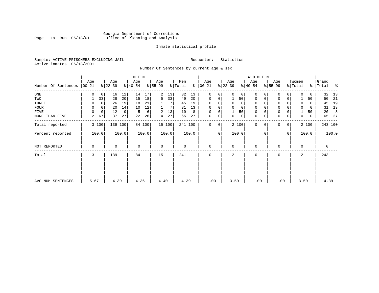# Georgia Department of Corrections<br>Page 19 Run 06/18/01 Office of Planning and Analysis Page 19 Run 06/18/01 Office of Planning and Analysis

# Inmate statistical profile

Sample: ACTIVE PRISONERS EXCLUDING JAIL **Requestor:** Statistics Active inmates 06/18/2001

Number Of Sentences by current age & sex

|                     |                  |             |                  |       | M E N            |        |                 |        |                |       |                 |                |                  |                | W O M E N        |           |                     |           |                  |          |                |       |
|---------------------|------------------|-------------|------------------|-------|------------------|--------|-----------------|--------|----------------|-------|-----------------|----------------|------------------|----------------|------------------|-----------|---------------------|-----------|------------------|----------|----------------|-------|
| Number Of Sentences | Age<br>$ 00-21 $ |             | Age<br>$ 22-39 $ |       | Age<br>$ 40-54 $ |        | Age<br>$ 55-99$ |        | Men<br>% Total | ႜ     | Age<br>$ 00-21$ |                | Age<br>$ 22-39 $ |                | Age<br>$ 40-54 $ |           | Age<br>$8 55-99$    |           | Women<br>% Total | ွေ       | Grand<br>Total | ႜ     |
| $_{\rm ONE}$        | 0                | $\mathbf 0$ | 16               | 12    | 14               | 17     | 2               | 13     | 32             | 13    | $\Omega$        | 0              | $\Omega$         | 0 <sup>1</sup> | $\Omega$         |           | $\mathbf 0$         | 0         | $\Omega$         | 0        | 32             | 13    |
| TWO                 |                  | 33          | 28               | 20    | 15               | 18     | 5               | 33     | 49             | 20    | 0               | 0              |                  | 50             | $\mathbf 0$      |           | 0                   | 0         |                  | 50       | 50             | -21   |
| THREE               | 0                | 0           | 26               | 19    | 18               | 21     |                 |        | 45             | 19    | $\Omega$        | 0              | $\mathbf 0$      | 0              | 0                |           | 0                   |           | $\Omega$         | 0        | 45             | 19    |
| <b>FOUR</b>         | $\Omega$         | $\mathbf 0$ | 20               | 14    | 10               | 12     |                 |        | 31             | 13    | $\Omega$        | $\Omega$       |                  | $\mathbf 0$    | $\Omega$         |           | $\mathsf 0$         |           |                  | $\Omega$ | 31             | 13    |
| FIVE                | 0                | $\mathbf 0$ | 12               | 9     | 5                | 6      | 2               | 13     | 19             | 8     | 0               | 0              |                  | 50             | 0                |           | $\mathbf 0$         |           |                  | 50       | 20             | 8     |
| MORE THAN FIVE      | 2                | 67          | 37               | 27    | 22               | 26     | 4               | 27     | 65             | 27    | $\mathbf{0}$    | $\overline{0}$ | 0                | 0 <sup>1</sup> | $\mathbf 0$      | 0         | $\mathsf{O}\xspace$ | 0         | $\mathbf 0$      | 0        | 65             | 27    |
| Total reported      |                  | 3 100       | 139 100          |       |                  | 84 100 |                 | 15 100 | 241 100        |       | $\mathbf{0}$    | 0 <sup>1</sup> |                  | 2 100          | $\mathbf 0$      | 0         | 0                   | 0         |                  | 2 100    | 243 100        |       |
| Percent reported    |                  | 100.0       |                  | 100.0 |                  | 100.0  |                 | 100.0  |                | 100.0 |                 | $\cdot$ 0      |                  | 100.0          |                  | $\cdot$ 0 |                     | $\cdot$ 0 |                  | 100.0    |                | 100.0 |
| NOT REPORTED        | 0                |             | 0                |       | $\mathbf 0$      |        | $\mathbf 0$     |        | 0              |       | 0               |                | $\Omega$         |                | $\mathbf 0$      |           | 0                   |           | 0                |          | 0              |       |
| Total               | 3                |             | 139              |       | 84               |        | 15              |        | 241            |       | $\Omega$        |                | 2                |                | 0                |           | 0                   |           | 2                |          | 243            |       |
|                     |                  |             |                  |       |                  |        |                 |        |                |       |                 |                |                  |                |                  |           |                     |           |                  |          |                |       |
| AVG NUM SENTENCES   | 5.67             |             | 4.39             |       | 4.36             |        | 4.40            |        | 4.39           |       | .00             |                | 3.50             |                | .00              |           | .00                 |           | 3.50             |          | 4.39           |       |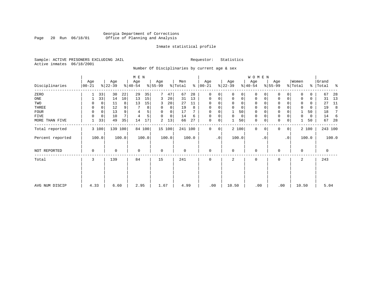# Georgia Department of Corrections Page 20 Run 06/18/01 Office of Planning and Analysis

# Inmate statistical profile

Sample: ACTIVE PRISONERS EXCLUDING JAIL **Requestor:** Statistics Active inmates 06/18/2001

Number Of Disciplinaries by current age & sex

|                  |                 |             |                  |         | M E N            |        |                 |          |                |       |                  |           |                  |       | W O M E N        |             |                  |             |                  |       |                    |         |
|------------------|-----------------|-------------|------------------|---------|------------------|--------|-----------------|----------|----------------|-------|------------------|-----------|------------------|-------|------------------|-------------|------------------|-------------|------------------|-------|--------------------|---------|
| Disciplinaries   | Age<br>$ 00-21$ |             | Age<br>$ 22-39 $ |         | Age<br>$ 40-54 $ |        | Age<br>$ 55-99$ |          | Men<br>% Total | ి     | Age<br>$00 - 21$ |           | Age<br>$ 22-39 $ |       | Age<br>$ 40-54 $ |             | Age<br>$8 55-99$ |             | Women<br>% Total |       | Grand<br>%   Total | ಿ       |
| ZERO             |                 | 33          | 30               | 22      | 29               | 35     |                 | 47       | 67             | 28    | 0                | $\Omega$  | $\Omega$         | 0     | 0                | $\Omega$    | $\Omega$         | 0           |                  | U     | 67                 | 28      |
| ONE              |                 | 33          | 14               | 10      | 13               | 15     | 3               | 20       | 31             | 13    | 0                | 0         | $\mathbf 0$      | 0     | 0                | 0           | 0                | 0           | $\Omega$         | 0     | 31                 | 13      |
| TWO              |                 |             | 11               | 8       | 13               | 15     | 3               | 20       | 27             | 11    | $\Omega$         |           |                  | 0     | $\Omega$         | $\Omega$    | $\Omega$         |             |                  | 0     | 27                 | 11      |
| THREE            | 0               |             | 12               | 9       |                  | 8      | 0               | 0        | 19             | 8     | 0                |           | $\Omega$         | 0     | 0                |             | 0                |             |                  | 0     | 19                 | 8       |
| <b>FOUR</b>      | $\mathbf 0$     | $\mathbf 0$ | 13               | 9       | 4                |        | $\Omega$        | $\Omega$ | 17             |       | $\Omega$         |           |                  | 50    | $\Omega$         |             | $\mathbf 0$      |             |                  | 50    | 18                 | 7       |
| FIVE             | $\Omega$        | 0           | 10               |         | $\overline{4}$   | 5      | $\Omega$        | 0        | 14             | 6     | 0                | 0         | $\Omega$         | 0     | 0                | $\Omega$    | 0                |             | $\Omega$         | 0     | 14                 | -6      |
| MORE THAN FIVE   |                 | 33          | 49               | 35      | 14               | 17     | 2               | 13       | 66             | 27    | 0                | 0         |                  | 50    | $\mathbf 0$      | $\mathbf 0$ | $\mathbf 0$      | $\mathbf 0$ |                  | 50    | 67                 | 28      |
| Total reported   |                 | 3 100       |                  | 139 100 |                  | 84 100 |                 | 15 100   | 241 100        |       | $\mathbf{0}$     | 0         |                  | 2 100 | $\mathbf 0$      | $\Omega$    | 0                | 0           |                  | 2 100 |                    | 243 100 |
| Percent reported |                 | 100.0       |                  | 100.0   |                  | 100.0  |                 | 100.0    |                | 100.0 |                  | $\cdot$ 0 |                  | 100.0 |                  | . 0         |                  | $\cdot$ 0   |                  | 100.0 |                    | 100.0   |
| NOT REPORTED     | 0               |             | 0                |         | $\mathbf 0$      |        | $\mathbf 0$     |          | $\mathbf 0$    |       | $\mathbf{0}$     |           | $\mathbf 0$      |       | $\mathbf 0$      |             | 0                |             | $\mathbf 0$      |       | $\mathbf 0$        |         |
| Total            | 3               |             | 139              |         | 84               |        | 15              |          | 241            |       | 0                |           | 2                |       | 0                |             | 0                |             | 2                |       | 243                |         |
|                  |                 |             |                  |         |                  |        |                 |          |                |       |                  |           |                  |       |                  |             |                  |             |                  |       |                    |         |
|                  |                 |             |                  |         |                  |        |                 |          |                |       |                  |           |                  |       |                  |             |                  |             |                  |       |                    |         |
| AVG NUM DISCIP   | 4.33            |             | 6.60             |         | 2.95             |        | 1.67            |          | 4.99           |       | .00              |           | 10.50            |       | .00              |             | .00              |             | 10.50            |       | 5.04               |         |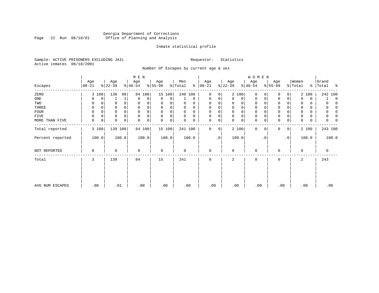# Georgia Department of Corrections<br>Page 21 Run 06/18/01 Office of Planning and Analysis Page 21 Run 06/18/01 Office of Planning and Analysis

# Inmate statistical profile

Sample: ACTIVE PRISONERS EXCLUDING JAIL **Requestor:** Statistics Active inmates 06/18/2001

Number Of Escapes by current age & sex

|                  |                 |             |                  |              | M E N            |          |                  |          |                |          |                      |                |                  |             | WOMEN            |             |                  |           |                  |       |                    |          |
|------------------|-----------------|-------------|------------------|--------------|------------------|----------|------------------|----------|----------------|----------|----------------------|----------------|------------------|-------------|------------------|-------------|------------------|-----------|------------------|-------|--------------------|----------|
| Escapes          | Age<br>$ 00-21$ |             | Age<br>$ 22-39 $ |              | Age<br>$8 40-54$ |          | Age<br>$ 55-99 $ |          | Men<br>% Total |          | Age<br>$8   00 - 21$ |                | Age<br>$ 22-39 $ |             | Age<br>$ 40-54 $ |             | Age<br>$8 55-99$ |           | Women<br>% Total |       | Grand<br>%   Total | ႜ        |
| ZERO             |                 | 3 100       | 138              | 99           |                  | 84 100   |                  | 15 100   | 240 100        |          | $\Omega$             | $\Omega$       |                  | 2 100       | 0                | $\Omega$    | $\Omega$         | $\Omega$  |                  | 2 100 | 242 100            |          |
| ONE              | 0               | 0           |                  | $\mathbf{1}$ | $\Omega$         | $\Omega$ | $\Omega$         | $\Omega$ |                | $\Omega$ | 0                    | 0              | $\Omega$         | 0           | $\mathbf{0}$     | $\Omega$    | 0                | $\Omega$  | $\Omega$         | 0     |                    | $\Omega$ |
| TWO              | 0               | 0           | 0                | 0            | 0                | 0        | 0                | 0        |                | 0        | 0                    | 0              | $\mathbf 0$      | 0           | 0                | $\mathbf 0$ | $\mathbf 0$      |           | 0                | 0     | 0                  | $\Omega$ |
| THREE            | 0               | $\Omega$    | 0                | $\mathbf 0$  | 0                |          | $\Omega$         | 0        | 0              | $\Omega$ | 0                    |                | 0                | 0           | 0                | $\Omega$    | $\mathbf 0$      |           | 0                | 0     | 0                  | $\Omega$ |
| FOUR             | 0               | 0           | 0                | 0            | $\mathbf 0$      |          | 0                | 0        |                | $\Omega$ | 0                    |                | 0                | 0           | 0                | 0           | 0                |           | $\Omega$         | 0     | 0                  | 0        |
| <b>FIVE</b>      | 0               | $\mathbf 0$ | $\Omega$         | $\mathbf 0$  | $\Omega$         |          | 0                | 0        |                | $\Omega$ | $\Omega$             | 0              | 0                | $\mathbf 0$ | $\mathbf 0$      | $\Omega$    | 0                |           | $\Omega$         | 0     | 0                  | 0        |
| MORE THAN FIVE   | 0               | 0           | 0                | $\mathbf 0$  | $\Omega$         | 0        | 0                | 0        |                | 0        | 0                    | 0              | $\mathbf 0$      | 0           | $\mathbf{0}$     | 0           | 0                | 0         | 0                | 0     | 0                  | 0        |
| Total reported   |                 | 3 100       | 139 100          |              |                  | 84 100   |                  | 15 100   | 241 100        |          | $\Omega$             | 0 <sup>1</sup> |                  | 2 100       | $\mathbf{0}$     | 0           | 0                | 0         |                  | 2 100 | 243 100            |          |
| Percent reported |                 | 100.0       |                  | 100.0        |                  | 100.0    |                  | 100.0    |                | 100.0    |                      | $\cdot$ 0      |                  | 100.0       |                  | $\cdot$ 0   |                  | $\cdot$ 0 |                  | 100.0 | 100.0              |          |
| NOT REPORTED     | 0               |             | $\Omega$         |              | 0                |          | $\mathbf 0$      |          | $\Omega$       |          | $\Omega$             |                | $\mathbf 0$      |             | $\mathbf{0}$     |             | 0                |           | 0                |       | 0                  |          |
| Total            | 3               |             | 139              |              | 84               |          | 15               |          | 241            |          | <sup>0</sup>         |                | 2                |             | $\Omega$         |             | $\Omega$         |           | 2                |       | 243                |          |
|                  |                 |             |                  |              |                  |          |                  |          |                |          |                      |                |                  |             |                  |             |                  |           |                  |       |                    |          |
| AVG NUM ESCAPES  | .00             |             | .01              |              |                  | .00      | .00              |          | .00            |          | .00                  |                | .00              |             | .00              |             | .00              |           | .00              |       | .00                |          |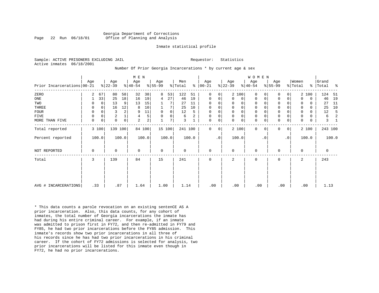#### Georgia Department of Corrections Page 22 Run 06/18/01 Office of Planning and Analysis

#### Inmate statistical profile

Sample: ACTIVE PRISONERS EXCLUDING JAIL **Requestor:** Statistics Active inmates 06/18/2001

### Number Of Prior Georgia Incarcerations \* by current age & sex

| Women<br>Grand<br>Age<br>Age<br>Age<br>Age<br>Men<br>Age<br>Age<br>Age<br>Age<br>Prior Incarcerations   00-21<br>$ 22-39 $<br>$ 22-39 $<br>$ 55-99 $<br>% Total<br>$ 40-54 $<br>$ 55-99$<br>% Total<br>$8   00 - 21$<br>$8 40-54$<br>%<br>Total<br>67<br>32<br>38<br>122<br>2 100<br>ZERO<br>2<br>80<br>58<br>8<br>53<br>51<br>$\Omega$<br>0<br>2 100<br>$\Omega$<br>$\overline{0}$<br>$\Omega$<br>33<br>27<br>25<br>18<br>16<br>46<br>$_{\rm ONE}$<br>19<br>19<br>0<br>0<br>0<br>$\mathbf 0$<br>0<br>$\mathbf{0}$<br>0 <sup>1</sup><br>0<br>0<br>4<br>$\Omega$<br>13<br>9<br>15<br>0<br>13<br>11<br>TWO<br>27<br>0<br>$\Omega$<br>0<br>$\Omega$<br>$\Omega$<br>$\Omega$<br>0<br>0 | ႜ<br>124<br>- 51 |
|------------------------------------------------------------------------------------------------------------------------------------------------------------------------------------------------------------------------------------------------------------------------------------------------------------------------------------------------------------------------------------------------------------------------------------------------------------------------------------------------------------------------------------------------------------------------------------------------------------------------------------------------------------------------------------|------------------|
|                                                                                                                                                                                                                                                                                                                                                                                                                                                                                                                                                                                                                                                                                    |                  |
|                                                                                                                                                                                                                                                                                                                                                                                                                                                                                                                                                                                                                                                                                    |                  |
|                                                                                                                                                                                                                                                                                                                                                                                                                                                                                                                                                                                                                                                                                    |                  |
|                                                                                                                                                                                                                                                                                                                                                                                                                                                                                                                                                                                                                                                                                    | 19<br>46         |
|                                                                                                                                                                                                                                                                                                                                                                                                                                                                                                                                                                                                                                                                                    | 11<br>27         |
| 0 <sup>1</sup><br>7<br>12<br>$\Omega$<br>$\mathbf 0$<br>$\mathbf 0$<br>16<br>10<br>25<br>10<br>$\mathbf 0$<br>0<br>$\mathbf 0$<br>THREE<br>0<br>8<br>$\Omega$<br>$\Omega$                                                                                                                                                                                                                                                                                                                                                                                                                                                                                                          | 25<br>10         |
| 0<br>12<br>$\mathbf 0$<br>3<br>11<br>$\Omega$<br>$\mathbf 0$<br><b>FOUR</b><br>0<br>$\Omega$<br>9<br>$\overline{0}$<br>5<br>0<br>0<br>$\mathbf 0$<br>0                                                                                                                                                                                                                                                                                                                                                                                                                                                                                                                             | 12               |
| $\sqrt{2}$<br>0<br>$\mathsf{O}\xspace$<br>5<br>2<br>$\mathbf{0}$<br>0<br>0<br>FIVE<br>0<br>0<br>4<br>0<br>0<br>0<br>6<br>$\Omega$                                                                                                                                                                                                                                                                                                                                                                                                                                                                                                                                                  | 6                |
| $\Omega$<br>$\mathsf 0$<br>$\overline{2}$<br>7<br>3<br>$\mathsf{O}\xspace$<br>2<br>0<br>$\mathsf{O}$<br>$\mathbf 0$<br>0<br>0<br>0<br>$\Omega$<br>0<br>0<br>MORE THAN FIVE<br>0<br>$\Omega$                                                                                                                                                                                                                                                                                                                                                                                                                                                                                        | 3                |
| 139 100<br>84 100<br>241 100<br>2 100<br>$\Omega$<br>2 100<br>3 100<br>15 100<br>$\mathbf 0$<br>Total reported<br>$\Omega$<br>$\overline{0}$<br>0<br>$\Omega$                                                                                                                                                                                                                                                                                                                                                                                                                                                                                                                      | 243 100          |
| 100.0<br>100.0<br>100.0<br>100.0<br>$\cdot$ 0<br>100.0<br>$\cdot$ 0<br>100.0<br>100.0<br>Percent reported<br>$\cdot$ 0                                                                                                                                                                                                                                                                                                                                                                                                                                                                                                                                                             | 100.0            |
| $\mathbf 0$<br>$\Omega$<br>$\mathbf 0$<br>0<br>0<br>0<br>0<br>0<br>NOT REPORTED<br>0<br>$\Omega$                                                                                                                                                                                                                                                                                                                                                                                                                                                                                                                                                                                   | 0                |
| 139<br>84<br>241<br>Total<br>3<br>15<br>$\mathbf 0$<br>0<br>2<br>0<br>2                                                                                                                                                                                                                                                                                                                                                                                                                                                                                                                                                                                                            | 243              |
|                                                                                                                                                                                                                                                                                                                                                                                                                                                                                                                                                                                                                                                                                    |                  |
| .33<br>.00<br>.00<br>.87<br>1.64<br>1.00<br>1.14<br>.00<br>.00<br>AVG # INCARCERATIONS<br>.00                                                                                                                                                                                                                                                                                                                                                                                                                                                                                                                                                                                      | 1.13             |

\* This data counts a parole revocation on an existing sentenCE AS A prior incarceration. Also, this data counts, for any cohort of inmates, the total number of Georgia incarcerations the inmate has had during his entire criminal career. For example, if an inmate was admitted to prison first in FY72, and then re-admitted in FY79 and FY85, he had two prior incarcerations before the FY85 admission. This inmate's records show two prior incarcerations in all three of his records since he has had two prior incarcerations in his criminal career. If the cohort of FY72 admissions is selected for analysis, two prior incarcerations will be listed for this inmate even though in FY72, he had no prior incarcerations.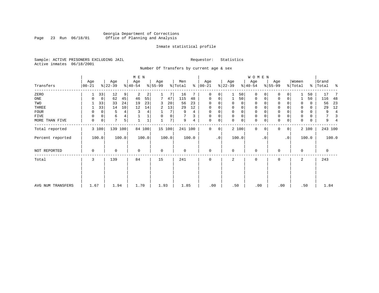# Georgia Department of Corrections<br>Page 23 Run 06/18/01 Office of Planning and Analysis Page 23 Run 06/18/01 Office of Planning and Analysis

# Inmate statistical profile

Sample: ACTIVE PRISONERS EXCLUDING JAIL **Requestor:** Statistics Active inmates 06/18/2001

Number Of Transfers by current age & sex

|                   |                |                            | M E N            |                  |                |                      |                      | <b>WOMEN</b>     |                            |                  |                             |
|-------------------|----------------|----------------------------|------------------|------------------|----------------|----------------------|----------------------|------------------|----------------------------|------------------|-----------------------------|
| Transfers         | Age<br>  00-21 | Age<br>$ 22-39 $           | Age<br>$8 40-54$ | Age<br>$ 55-99 $ | Men<br>% Total | Age<br>$8   00 - 21$ | Age<br>$ 22-39 $     | Age<br>$ 40-54 $ | Age<br>$8 55-99$           | Women<br>% Total | Grand<br>%   Total<br>း - ၁ |
| ZERO              |                | 12<br>33<br>9 <sup>°</sup> | 2<br>2           |                  | 16             | 0<br>0               | 50                   | 0<br>0           | $\Omega$                   | 50               | 17                          |
| ONE               | 0              | 62<br>45<br>0              | 55<br>46         | 47               | 115<br>48      | 0<br>0               | 50                   | 0<br>0           | $\mathbf 0$<br>0           | 50               | 116<br>48                   |
| TWO               |                | 33<br>33<br>24             | 19<br>23         | 20<br>3          | 56<br>23       | $\Omega$             | 0<br>0               | 0                | $\Omega$                   | 0<br>0           | 23<br>56                    |
| THREE             |                | 33<br>14<br>10             | 12<br>14         | 13<br>2          | 29<br>12       | 0                    | 0<br>0               | 0                | $\mathbf 0$                | $\Omega$<br>0    | 12<br>29                    |
| <b>FOUR</b>       | 0              | 4<br>$\Omega$<br>5         | 4                | 7                | 9<br>4         | $\Omega$             | $\Omega$<br>$\Omega$ | $\Omega$         | $\Omega$                   | $\Omega$<br>0    | 4<br>9                      |
| FIVE              | 0              | 0<br>6<br>4                |                  | 0<br>0           | 3              | $\Omega$<br>0        | $\mathbf 0$<br>0     | 0                | $\mathbf 0$                | 0<br>$\Omega$    | 3                           |
| MORE THAN FIVE    | 0              | 7<br>5<br>$\mathbf 0$      |                  | 7                | 9<br>4         | 0<br>0               | 0<br>$\Omega$        | $\mathbf 0$<br>0 | $\mathbf 0$<br>$\mathbf 0$ | 0<br>0           | 9                           |
| Total reported    | 3 100          | 139 100                    | 84 100           | 15 100           | 241 100        | $\Omega$<br>0        | 2 100                | 0<br>$\Omega$    | $\Omega$<br>0 <sup>1</sup> | 2 100            | 243 100                     |
| Percent reported  | 100.0          | 100.0                      | 100.0            | 100.0            | 100.0          | $\cdot$ 0            | 100.0                | . 0              | $\cdot$ 0                  | 100.0            | 100.0                       |
| NOT REPORTED      | 0              | 0                          | $\mathbf 0$      | $\mathbf 0$      | 0              | $\mathbf 0$          | $\mathbf 0$          | $\mathbf 0$      | $\Omega$                   | $\mathbf 0$      | $\mathbf 0$                 |
| Total             | 3              | 139                        | 84               | 15               | 241            | $\mathbf 0$          | 2                    | $\mathbf 0$      | 0                          | 2                | 243                         |
|                   |                |                            |                  |                  |                |                      |                      |                  |                            |                  |                             |
| AVG NUM TRANSFERS | 1.67           | 1.94                       | 1.70             | 1.93             | 1.85           | .00                  | .50                  | .00              | .00                        | .50              | 1.84                        |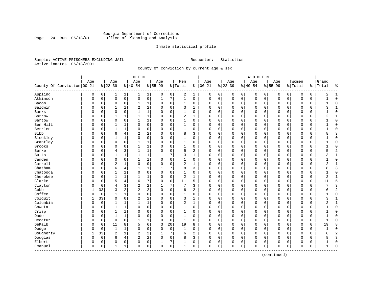# Georgia Department of Corrections Page 24 Run 06/18/01 Office of Planning and Analysis

# Inmate statistical profile

Sample: ACTIVE PRISONERS EXCLUDING JAIL **Requestor:** Statistics Active inmates 06/18/2001

County Of Conviction by current age & sex

| Age<br>Women<br>Age<br>Age<br>Age<br>Men<br>Age<br>Age<br>Age<br>Grand<br>Age<br>County Of Conviction   00-21<br>$ 00-21$<br>$ 22-39$<br>$8 22-39$<br>$8 40-54$<br>$8 55-99$<br>% Total<br>$ 40-54$<br>$8155 - 99$<br>နွ<br>% Total<br>ి<br>Total<br>ႜ<br>Appling<br>2<br>$\mathbf 0$<br>0<br>0<br>$\mathbf{1}$<br>1 <br>0<br>0<br>1<br>0<br>0<br>0<br>0<br>2<br>$\mathbf{1}$<br>1<br>0<br>0<br>0<br>0<br>0<br>1<br>$\mathbf 0$<br>$\mathsf{O}\xspace$<br>0<br>7<br>$\mathbf{1}$<br>$\mathbf 0$<br>Atkinson<br>$\mathbf 0$<br>$\mathsf 0$<br>$1\,$<br>$\mathbf 0$<br>0<br>$\mathbf 0$<br>$\Omega$<br>$\mathbf 0$<br>O<br>0<br>$\mathbf{1}$<br>0<br>0<br>0<br>0<br>0<br>1<br>$\mathbf 0$<br>$\mathbf 0$<br>Bacon<br>0<br>$\mathbf 0$<br>0<br>1<br>0<br>1<br>0<br>$\Omega$<br>0<br>0<br>0<br>$\mathbf 0$<br>$\Omega$<br>0<br>$\Omega$<br>0<br>0<br>$\Omega$<br>$\mathbf{1}$<br>2<br>Baldwin<br>2<br>1<br>$\mathbf 0$<br>3<br>0<br>$\Omega$<br>$\Omega$<br>3<br>$\mathbf{1}$<br>0<br>0<br>$\mathbf{1}$<br>$\Omega$<br>$\mathbf{1}$<br>$\Omega$<br>$\Omega$<br>$\Omega$<br>$\mathbf 0$<br>$\Omega$<br>$\mathbf 0$<br>0<br>Banks<br>$\mathbf 1$<br>$\Omega$<br>$\Omega$<br>$\mathbf{1}$<br>$\mathbf 0$<br>$\mathbf{1}$<br>$\Omega$<br>O<br>0<br>$\Omega$<br>$\Omega$<br>$\cap$<br>0<br>$\Omega$<br>$\Omega$<br>$\Omega$<br>$\sqrt{ }$<br>$\Omega$<br>$\Omega$<br>$\Omega$<br>0<br>1<br>$\mathbf 0$<br>$\overline{2}$<br>0<br>$\mathbf 0$<br>2<br>0<br>1<br>1<br>$\mathbf{1}$<br>$\Omega$<br>$\mathbf{1}$<br>$\Omega$<br>$\Omega$<br>$\mathbf 0$<br>$\Omega$<br>0<br>$\Omega$<br>0<br>$\mathbf{1}$<br>Barrow<br>0<br>0<br>$\mathbf 1$<br>$\mathbf 0$<br>$\mathbf 0$<br>$\mathbf{1}$<br>$\mathbf 0$<br>$\mathbf{1}$<br>0<br>$\mathsf 0$<br>$\mathbf 0$<br>$\mathbf 0$<br>Bartow<br>0<br>$\Omega$<br>0<br>$\Omega$<br>0<br>$\Omega$<br>0<br>0<br>0<br>0<br>$\Omega$<br>Ben Hill<br>0<br>$\mathbf 0$<br>$\Omega$<br>0<br>$\mathbf{1}$<br>$\mathbf 0$<br>$\Omega$<br>$\mathbf{1}$<br>$\Omega$<br>$\mathbf 0$<br>$\mathbf 0$<br>$\mathbf 0$<br>$\Omega$<br>$\Omega$<br>0<br>$\mathbf 0$<br>$\mathbf{1}$<br>$\Omega$<br>$\Omega$<br>$\Omega$<br>$\Omega$<br>$\mathbf{1}$<br>Berrien<br>0<br>$\mathbf 0$<br>$\mathbf{1}$<br>$\mathbf{1}$<br>$\Omega$<br>$\Omega$<br>$\mathbf 0$<br>$\mathbf{1}$<br>$\Omega$<br>$\Omega$<br>0<br>$\mathbf 0$<br>$\Omega$<br>$\Omega$<br>$\Omega$<br>O<br>0<br>$\Omega$<br>$\Omega$<br>$\mathbf 0$<br>0<br>1<br>2<br><b>Bibb</b><br>3<br>6<br>4<br>2<br>$\mathbf 0$<br>8<br>3<br>$\mathbf 0$<br>8<br>O<br>0<br>$\Omega$<br>$\Omega$<br>0<br>0<br>$\mathbf 0$<br>$\Omega$<br>$\Omega$<br>$\Omega$<br>0<br>$\Omega$<br>Bleckley<br>0<br>$\mathbf 0$<br>$\mathbf 0$<br>$\mathbf 0$<br>O<br>0<br>$\mathbf{1}$<br>1<br>$\Omega$<br>$\mathbf{1}$<br>0<br>$\Omega$<br>0<br>$\Omega$<br>0<br>$\Omega$<br>$\mathsf{C}$<br>$\Omega$<br>$\Omega$<br>$\mathbf 0$<br>$\Omega$<br>Brantley<br>$\mathbf 0$<br>1<br>$\mathbf 0$<br>$\mathbf 0$<br>0<br>$\mathbf 0$<br>$\mathbf{1}$<br>$\Omega$<br>1<br>0<br>0<br>$\Omega$<br>0<br>$\mathbf 0$<br>$\Omega$<br>0<br>$\Omega$<br>0<br>$\mathbf 0$<br>0<br>$\Omega$<br>1<br>Brooks<br>0<br>1<br>$\mathbf 0$<br>0<br>$\mathbf 0$<br>$\mathbf 0$<br>$\mathbf 0$<br>1<br>0<br>1<br>0<br>$\mathbf 0$<br>0<br>0<br>0<br>C<br>$\Omega$<br>0<br>0<br>0<br>0<br>$\overline{c}$<br>Burke<br>1<br>$\mathbf 0$<br>5<br>2<br>3<br>$\mathbf{1}$<br>0<br>$\Omega$<br>5<br>0<br>0<br>$\overline{4}$<br>$\Omega$<br>$\Omega$<br>$\Omega$<br>$\Omega$<br>$\mathbf 0$<br>$\Omega$<br>$\Omega$<br>$\Omega$<br>0<br>1<br>7<br>3<br>0<br>$\mathbf 0$<br>$\mathbf{1}$<br><b>Butts</b><br>O<br>0<br>$\mathbf{1}$<br>1<br>$\mathbf{1}$<br>$\mathbf{1}$<br>$\Omega$<br>$\Omega$<br>$\Omega$<br>$\mathbf 0$<br>$\Omega$<br>0<br>$\Omega$<br>0<br>3<br>1<br>Camden<br>0<br>1<br>$\mathbf 0$<br>$\mathbf 0$<br>0<br>0<br>1<br>0<br>1<br>0<br>0<br>0<br>0<br>0<br>0<br>$\Omega$<br>0<br>0<br>0<br>0<br>0<br>Carroll<br>$\overline{c}$<br>0<br>2<br>O<br>0<br>1<br>0<br>$\Omega$<br>$\mathbf 0$<br>1<br>0<br>0<br>$\Omega$<br>0<br>$\Omega$<br>$\Omega$<br>2<br>$\mathbf{1}$<br>$\Omega$<br>$\Omega$<br>0<br>$\mathsf{C}$<br>Chatham<br>7<br>8<br>6<br>4<br>$\mathbf{1}$<br>1<br>3<br>0<br>$\Omega$<br>$\Omega$<br>$\Omega$<br>$\Omega$<br>8<br>3<br>0<br>$\Omega$<br>$\Omega$<br>$\Omega$<br>$\Omega$<br>$\Omega$<br>$\Omega$<br>1<br>0<br>$\mathsf{O}\xspace$<br>$\mathbf 0$<br>$\mathbf{1}$<br>$\mathbf 0$<br>$\Omega$<br>$\mathbf{1}$<br>0<br>$\mathbf 0$<br>$\Omega$<br>Chatooga<br>O<br>0<br>1<br>0<br>0<br>$\mathbf 0$<br>$\Omega$<br>$\Omega$<br>0<br>O<br>$\Omega$<br>Cherokee<br>$\mathsf 0$<br>$\mathbf{1}$<br>$\mathbf{1}$<br>1<br>$\sqrt{2}$<br>$\mathbf{1}$<br>$\overline{2}$<br>$\mathbf{1}$<br>O<br>0<br>1<br>$\Omega$<br>$\Omega$<br>0<br>$\Omega$<br>0<br>0<br>$\mathbf 0$<br>$\Omega$<br>0<br>$\Omega$<br>0<br>Clarke<br>7<br>5<br>4<br>$\mathbf 0$<br>11<br>5<br>5<br>O<br>0<br>6<br>$\Omega$<br>$\Omega$<br>0<br>$\Omega$<br>0<br>$\Omega$<br>$\mathbf 0$<br>$\Omega$<br>0<br>$\Omega$<br>0<br>11<br>2<br>Clayton<br>3<br>3<br>$\overline{4}$<br>2<br>7<br>7<br>3<br>0<br>0<br>$\Omega$<br>O<br>0<br>$\Omega$<br>$\Omega$<br>$\Omega$<br>$\mathbf 0$<br>$\Omega$<br>$\Omega$<br>0<br>2<br>Cobb<br>2<br>$\overline{2}$<br>$\overline{2}$<br>33<br>3<br>$\Omega$<br>$\mathbf 0$<br>6<br>2<br>0<br>$\mathbf 0$<br>$\Omega$<br>$\Omega$<br>$\Omega$<br>$\Omega$<br>$\Omega$<br>$\Omega$<br>$\mathsf{C}$<br>$\Omega$<br>6<br>Coffee<br>$\mathbf 0$<br>0<br>$\mathbf 0$<br>$\mathbf{1}$<br>0<br>$\mathbf 0$<br>$\Omega$<br>$\Omega$<br>$\mathbf 0$<br>$\mathbf 0$<br>O<br>0<br>1<br>1<br>$\Omega$<br>0<br>$\Omega$<br>$\Omega$<br>$\Omega$<br>$\mathbf 0$<br>0<br>$\mathbf{1}$<br>Colquit<br>$\mathbf 0$<br>2<br>33<br>$\sqrt{2}$<br>$\mathbf 0$<br>3<br>0<br>$\mathbf 0$<br>$\mathbf 0$<br>0<br>$\Omega$<br>1<br>$\mathbf 0$<br>0<br>0<br>0<br>3<br>1<br>1<br>O<br>$\Omega$<br>0<br>Columbia<br>0<br>$\mathbf{1}$<br>1<br>$\mathbf 0$<br>$\overline{2}$<br>$\mathbf{1}$<br>2<br>$\mathbf{1}$<br>0<br>1<br>1<br>$\Omega$<br>0<br>0<br>0<br>$\Omega$<br>0<br>O<br>0<br>C<br>$\Omega$<br>0<br>Coweta<br>0<br>$\mathbf 0$<br>0<br>1<br>1<br>0<br>$\Omega$<br>0<br>1<br>0<br>$\Omega$<br>0<br>0<br>$\Omega$<br>$\Omega$<br>0<br>$\Omega$<br>0<br>$\Omega$<br>0<br>0<br>$\mathbf{1}$<br>Crisp<br>1<br>0<br>$\mathbf 0$<br>$\mathbf 0$<br>O<br>0<br>$\mathbf{1}$<br>$\Omega$<br>$\Omega$<br>1<br>$\Omega$<br>$\Omega$<br>0<br>$\Omega$<br>0<br>0<br>$\Omega$<br>$\Omega$<br>0<br>$\Omega$<br>0<br>Dade<br>$\mathbf{1}$<br>0<br>$\mathbf 0$<br>$\mathbf{1}$<br>$\mathbf 0$<br>$\mathbf 0$<br>0<br>0<br>$\mathbf{1}$<br>$\Omega$<br>$\Omega$<br>O<br>$\Omega$<br>0<br>$\Omega$<br>$\Omega$<br>$\mathbf 0$<br>$\Omega$<br>$\Omega$<br>$\Omega$<br>$\Omega$<br>$\mathbf 0$<br>1<br>$\mathbf{1}$<br>Decatur<br>0<br>0<br>$\mathbf{1}$<br>0<br>0<br>$\Omega$<br>0<br>0<br>$\Omega$<br>$\Omega$<br>$\Omega$<br>0<br>$\Omega$<br>0<br>$\Omega$<br>$\Omega$<br>0<br>0<br>1<br>DeKalb<br>6<br>8<br>8<br>5<br>3<br>20<br>0<br>11<br>19<br>8<br>0<br>0<br>0<br>0<br>19<br>0<br>0<br>$\Omega$<br>0<br>0<br>0<br>0<br>0<br>$\mathbf 0$<br>$\mathbf 0$<br>Dodge<br>$\Omega$<br>0<br>$\mathbf{1}$<br>$\mathbf{1}$<br>$\mathbf 0$<br>$\Omega$<br>$\mathbf{1}$<br>$\Omega$<br>$\mathbf 0$<br>$\mathbf 0$<br>$\mathbf 0$<br>$\Omega$<br>$\Omega$<br>$\Omega$<br>0<br>$\Omega$<br>$\Omega$<br>$\Omega$<br>$\mathbf{1}$<br>$\overline{2}$<br>$\sqrt{2}$<br>2<br>$\overline{7}$<br>$\overline{c}$<br>$\overline{c}$<br>Dougherty<br>33<br>$\mathbf{1}$<br>6<br>$\mathbf{1}$<br>1<br>$\Omega$<br>0<br>$\Omega$<br>0<br>$\Omega$<br>$\mathbf 0$<br>$\Omega$<br>$\Omega$<br>$\Omega$<br>0<br>6<br>Douglas<br>2<br>4<br>2<br>$\mathbf 0$<br>8<br>3<br>3<br>0<br>0<br>6<br>$\Omega$<br>$\Omega$<br>0<br>0<br>0<br>0<br>$\Omega$<br>0<br>$\Omega$<br>8<br>$\Omega$<br>0<br>Elbert<br>0<br>7<br>0<br>$\mathbf{1}$<br>0<br>0<br>0<br>0<br>0<br>0<br>0<br>0<br>0<br>0<br>0<br>$\Omega$<br>0<br>0<br>$\Omega$<br>$\Omega$<br>$\mathbf 0$<br>0<br>$\mathbf{1}$<br>0<br>0<br>0<br>1<br>0<br>0<br>0<br>0<br>$\Omega$<br>0<br>$\bigcap$<br>Emanuel<br>0<br>1<br>0<br>$\Omega$<br>0<br>$\Omega$<br>0<br>1<br>---------- |  |  | M E N |  |  |  |  | WOMEN |  |  |  |  |
|------------------------------------------------------------------------------------------------------------------------------------------------------------------------------------------------------------------------------------------------------------------------------------------------------------------------------------------------------------------------------------------------------------------------------------------------------------------------------------------------------------------------------------------------------------------------------------------------------------------------------------------------------------------------------------------------------------------------------------------------------------------------------------------------------------------------------------------------------------------------------------------------------------------------------------------------------------------------------------------------------------------------------------------------------------------------------------------------------------------------------------------------------------------------------------------------------------------------------------------------------------------------------------------------------------------------------------------------------------------------------------------------------------------------------------------------------------------------------------------------------------------------------------------------------------------------------------------------------------------------------------------------------------------------------------------------------------------------------------------------------------------------------------------------------------------------------------------------------------------------------------------------------------------------------------------------------------------------------------------------------------------------------------------------------------------------------------------------------------------------------------------------------------------------------------------------------------------------------------------------------------------------------------------------------------------------------------------------------------------------------------------------------------------------------------------------------------------------------------------------------------------------------------------------------------------------------------------------------------------------------------------------------------------------------------------------------------------------------------------------------------------------------------------------------------------------------------------------------------------------------------------------------------------------------------------------------------------------------------------------------------------------------------------------------------------------------------------------------------------------------------------------------------------------------------------------------------------------------------------------------------------------------------------------------------------------------------------------------------------------------------------------------------------------------------------------------------------------------------------------------------------------------------------------------------------------------------------------------------------------------------------------------------------------------------------------------------------------------------------------------------------------------------------------------------------------------------------------------------------------------------------------------------------------------------------------------------------------------------------------------------------------------------------------------------------------------------------------------------------------------------------------------------------------------------------------------------------------------------------------------------------------------------------------------------------------------------------------------------------------------------------------------------------------------------------------------------------------------------------------------------------------------------------------------------------------------------------------------------------------------------------------------------------------------------------------------------------------------------------------------------------------------------------------------------------------------------------------------------------------------------------------------------------------------------------------------------------------------------------------------------------------------------------------------------------------------------------------------------------------------------------------------------------------------------------------------------------------------------------------------------------------------------------------------------------------------------------------------------------------------------------------------------------------------------------------------------------------------------------------------------------------------------------------------------------------------------------------------------------------------------------------------------------------------------------------------------------------------------------------------------------------------------------------------------------------------------------------------------------------------------------------------------------------------------------------------------------------------------------------------------------------------------------------------------------------------------------------------------------------------------------------------------------------------------------------------------------------------------------------------------------------------------------------------------------------------------------------------------------------------------------------------------------------------------------------------------------------------------------------------------------------------------------------------------------------------------------------------------------------------------------------------------------------------------------------------------------------------------------------------------------------------------------------------------------------------------------------------------------------------------------------------------------------------------------------------------------------------------------------------------------------------------------------------------------------------------------------------------------------------------------------------------------------------------------------------------------------------------------------------------------------------------------------------------------------------------------------------------------------------------------------------------------------------------------------------------------------------------------------------------------------------------------------------------------------------------------------------------------------------------------------------------------------------------------------------------------------------------------------------------------------------------------------------------------------------------------------------------------------------------------------------------------------------------------------------------------------------------------------------------------------------------------------------------------------------------------------------------------------------------------------------------------------------------------------------------|--|--|-------|--|--|--|--|-------|--|--|--|--|
|                                                                                                                                                                                                                                                                                                                                                                                                                                                                                                                                                                                                                                                                                                                                                                                                                                                                                                                                                                                                                                                                                                                                                                                                                                                                                                                                                                                                                                                                                                                                                                                                                                                                                                                                                                                                                                                                                                                                                                                                                                                                                                                                                                                                                                                                                                                                                                                                                                                                                                                                                                                                                                                                                                                                                                                                                                                                                                                                                                                                                                                                                                                                                                                                                                                                                                                                                                                                                                                                                                                                                                                                                                                                                                                                                                                                                                                                                                                                                                                                                                                                                                                                                                                                                                                                                                                                                                                                                                                                                                                                                                                                                                                                                                                                                                                                                                                                                                                                                                                                                                                                                                                                                                                                                                                                                                                                                                                                                                                                                                                                                                                                                                                                                                                                                                                                                                                                                                                                                                                                                                                                                                                                                                                                                                                                                                                                                                                                                                                                                                                                                                                                                                                                                                                                                                                                                                                                                                                                                                                                                                                                                                                                                                                                                                                                                                                                                                                                                                                                                                                                                                                                                                                                                                                                                                                                                                                                                                                                                                                                                                                                                                                                                                                                            |  |  |       |  |  |  |  |       |  |  |  |  |
|                                                                                                                                                                                                                                                                                                                                                                                                                                                                                                                                                                                                                                                                                                                                                                                                                                                                                                                                                                                                                                                                                                                                                                                                                                                                                                                                                                                                                                                                                                                                                                                                                                                                                                                                                                                                                                                                                                                                                                                                                                                                                                                                                                                                                                                                                                                                                                                                                                                                                                                                                                                                                                                                                                                                                                                                                                                                                                                                                                                                                                                                                                                                                                                                                                                                                                                                                                                                                                                                                                                                                                                                                                                                                                                                                                                                                                                                                                                                                                                                                                                                                                                                                                                                                                                                                                                                                                                                                                                                                                                                                                                                                                                                                                                                                                                                                                                                                                                                                                                                                                                                                                                                                                                                                                                                                                                                                                                                                                                                                                                                                                                                                                                                                                                                                                                                                                                                                                                                                                                                                                                                                                                                                                                                                                                                                                                                                                                                                                                                                                                                                                                                                                                                                                                                                                                                                                                                                                                                                                                                                                                                                                                                                                                                                                                                                                                                                                                                                                                                                                                                                                                                                                                                                                                                                                                                                                                                                                                                                                                                                                                                                                                                                                                                            |  |  |       |  |  |  |  |       |  |  |  |  |
|                                                                                                                                                                                                                                                                                                                                                                                                                                                                                                                                                                                                                                                                                                                                                                                                                                                                                                                                                                                                                                                                                                                                                                                                                                                                                                                                                                                                                                                                                                                                                                                                                                                                                                                                                                                                                                                                                                                                                                                                                                                                                                                                                                                                                                                                                                                                                                                                                                                                                                                                                                                                                                                                                                                                                                                                                                                                                                                                                                                                                                                                                                                                                                                                                                                                                                                                                                                                                                                                                                                                                                                                                                                                                                                                                                                                                                                                                                                                                                                                                                                                                                                                                                                                                                                                                                                                                                                                                                                                                                                                                                                                                                                                                                                                                                                                                                                                                                                                                                                                                                                                                                                                                                                                                                                                                                                                                                                                                                                                                                                                                                                                                                                                                                                                                                                                                                                                                                                                                                                                                                                                                                                                                                                                                                                                                                                                                                                                                                                                                                                                                                                                                                                                                                                                                                                                                                                                                                                                                                                                                                                                                                                                                                                                                                                                                                                                                                                                                                                                                                                                                                                                                                                                                                                                                                                                                                                                                                                                                                                                                                                                                                                                                                                                            |  |  |       |  |  |  |  |       |  |  |  |  |
|                                                                                                                                                                                                                                                                                                                                                                                                                                                                                                                                                                                                                                                                                                                                                                                                                                                                                                                                                                                                                                                                                                                                                                                                                                                                                                                                                                                                                                                                                                                                                                                                                                                                                                                                                                                                                                                                                                                                                                                                                                                                                                                                                                                                                                                                                                                                                                                                                                                                                                                                                                                                                                                                                                                                                                                                                                                                                                                                                                                                                                                                                                                                                                                                                                                                                                                                                                                                                                                                                                                                                                                                                                                                                                                                                                                                                                                                                                                                                                                                                                                                                                                                                                                                                                                                                                                                                                                                                                                                                                                                                                                                                                                                                                                                                                                                                                                                                                                                                                                                                                                                                                                                                                                                                                                                                                                                                                                                                                                                                                                                                                                                                                                                                                                                                                                                                                                                                                                                                                                                                                                                                                                                                                                                                                                                                                                                                                                                                                                                                                                                                                                                                                                                                                                                                                                                                                                                                                                                                                                                                                                                                                                                                                                                                                                                                                                                                                                                                                                                                                                                                                                                                                                                                                                                                                                                                                                                                                                                                                                                                                                                                                                                                                                                            |  |  |       |  |  |  |  |       |  |  |  |  |
|                                                                                                                                                                                                                                                                                                                                                                                                                                                                                                                                                                                                                                                                                                                                                                                                                                                                                                                                                                                                                                                                                                                                                                                                                                                                                                                                                                                                                                                                                                                                                                                                                                                                                                                                                                                                                                                                                                                                                                                                                                                                                                                                                                                                                                                                                                                                                                                                                                                                                                                                                                                                                                                                                                                                                                                                                                                                                                                                                                                                                                                                                                                                                                                                                                                                                                                                                                                                                                                                                                                                                                                                                                                                                                                                                                                                                                                                                                                                                                                                                                                                                                                                                                                                                                                                                                                                                                                                                                                                                                                                                                                                                                                                                                                                                                                                                                                                                                                                                                                                                                                                                                                                                                                                                                                                                                                                                                                                                                                                                                                                                                                                                                                                                                                                                                                                                                                                                                                                                                                                                                                                                                                                                                                                                                                                                                                                                                                                                                                                                                                                                                                                                                                                                                                                                                                                                                                                                                                                                                                                                                                                                                                                                                                                                                                                                                                                                                                                                                                                                                                                                                                                                                                                                                                                                                                                                                                                                                                                                                                                                                                                                                                                                                                                            |  |  |       |  |  |  |  |       |  |  |  |  |
|                                                                                                                                                                                                                                                                                                                                                                                                                                                                                                                                                                                                                                                                                                                                                                                                                                                                                                                                                                                                                                                                                                                                                                                                                                                                                                                                                                                                                                                                                                                                                                                                                                                                                                                                                                                                                                                                                                                                                                                                                                                                                                                                                                                                                                                                                                                                                                                                                                                                                                                                                                                                                                                                                                                                                                                                                                                                                                                                                                                                                                                                                                                                                                                                                                                                                                                                                                                                                                                                                                                                                                                                                                                                                                                                                                                                                                                                                                                                                                                                                                                                                                                                                                                                                                                                                                                                                                                                                                                                                                                                                                                                                                                                                                                                                                                                                                                                                                                                                                                                                                                                                                                                                                                                                                                                                                                                                                                                                                                                                                                                                                                                                                                                                                                                                                                                                                                                                                                                                                                                                                                                                                                                                                                                                                                                                                                                                                                                                                                                                                                                                                                                                                                                                                                                                                                                                                                                                                                                                                                                                                                                                                                                                                                                                                                                                                                                                                                                                                                                                                                                                                                                                                                                                                                                                                                                                                                                                                                                                                                                                                                                                                                                                                                                            |  |  |       |  |  |  |  |       |  |  |  |  |
|                                                                                                                                                                                                                                                                                                                                                                                                                                                                                                                                                                                                                                                                                                                                                                                                                                                                                                                                                                                                                                                                                                                                                                                                                                                                                                                                                                                                                                                                                                                                                                                                                                                                                                                                                                                                                                                                                                                                                                                                                                                                                                                                                                                                                                                                                                                                                                                                                                                                                                                                                                                                                                                                                                                                                                                                                                                                                                                                                                                                                                                                                                                                                                                                                                                                                                                                                                                                                                                                                                                                                                                                                                                                                                                                                                                                                                                                                                                                                                                                                                                                                                                                                                                                                                                                                                                                                                                                                                                                                                                                                                                                                                                                                                                                                                                                                                                                                                                                                                                                                                                                                                                                                                                                                                                                                                                                                                                                                                                                                                                                                                                                                                                                                                                                                                                                                                                                                                                                                                                                                                                                                                                                                                                                                                                                                                                                                                                                                                                                                                                                                                                                                                                                                                                                                                                                                                                                                                                                                                                                                                                                                                                                                                                                                                                                                                                                                                                                                                                                                                                                                                                                                                                                                                                                                                                                                                                                                                                                                                                                                                                                                                                                                                                                            |  |  |       |  |  |  |  |       |  |  |  |  |
|                                                                                                                                                                                                                                                                                                                                                                                                                                                                                                                                                                                                                                                                                                                                                                                                                                                                                                                                                                                                                                                                                                                                                                                                                                                                                                                                                                                                                                                                                                                                                                                                                                                                                                                                                                                                                                                                                                                                                                                                                                                                                                                                                                                                                                                                                                                                                                                                                                                                                                                                                                                                                                                                                                                                                                                                                                                                                                                                                                                                                                                                                                                                                                                                                                                                                                                                                                                                                                                                                                                                                                                                                                                                                                                                                                                                                                                                                                                                                                                                                                                                                                                                                                                                                                                                                                                                                                                                                                                                                                                                                                                                                                                                                                                                                                                                                                                                                                                                                                                                                                                                                                                                                                                                                                                                                                                                                                                                                                                                                                                                                                                                                                                                                                                                                                                                                                                                                                                                                                                                                                                                                                                                                                                                                                                                                                                                                                                                                                                                                                                                                                                                                                                                                                                                                                                                                                                                                                                                                                                                                                                                                                                                                                                                                                                                                                                                                                                                                                                                                                                                                                                                                                                                                                                                                                                                                                                                                                                                                                                                                                                                                                                                                                                                            |  |  |       |  |  |  |  |       |  |  |  |  |
|                                                                                                                                                                                                                                                                                                                                                                                                                                                                                                                                                                                                                                                                                                                                                                                                                                                                                                                                                                                                                                                                                                                                                                                                                                                                                                                                                                                                                                                                                                                                                                                                                                                                                                                                                                                                                                                                                                                                                                                                                                                                                                                                                                                                                                                                                                                                                                                                                                                                                                                                                                                                                                                                                                                                                                                                                                                                                                                                                                                                                                                                                                                                                                                                                                                                                                                                                                                                                                                                                                                                                                                                                                                                                                                                                                                                                                                                                                                                                                                                                                                                                                                                                                                                                                                                                                                                                                                                                                                                                                                                                                                                                                                                                                                                                                                                                                                                                                                                                                                                                                                                                                                                                                                                                                                                                                                                                                                                                                                                                                                                                                                                                                                                                                                                                                                                                                                                                                                                                                                                                                                                                                                                                                                                                                                                                                                                                                                                                                                                                                                                                                                                                                                                                                                                                                                                                                                                                                                                                                                                                                                                                                                                                                                                                                                                                                                                                                                                                                                                                                                                                                                                                                                                                                                                                                                                                                                                                                                                                                                                                                                                                                                                                                                                            |  |  |       |  |  |  |  |       |  |  |  |  |
|                                                                                                                                                                                                                                                                                                                                                                                                                                                                                                                                                                                                                                                                                                                                                                                                                                                                                                                                                                                                                                                                                                                                                                                                                                                                                                                                                                                                                                                                                                                                                                                                                                                                                                                                                                                                                                                                                                                                                                                                                                                                                                                                                                                                                                                                                                                                                                                                                                                                                                                                                                                                                                                                                                                                                                                                                                                                                                                                                                                                                                                                                                                                                                                                                                                                                                                                                                                                                                                                                                                                                                                                                                                                                                                                                                                                                                                                                                                                                                                                                                                                                                                                                                                                                                                                                                                                                                                                                                                                                                                                                                                                                                                                                                                                                                                                                                                                                                                                                                                                                                                                                                                                                                                                                                                                                                                                                                                                                                                                                                                                                                                                                                                                                                                                                                                                                                                                                                                                                                                                                                                                                                                                                                                                                                                                                                                                                                                                                                                                                                                                                                                                                                                                                                                                                                                                                                                                                                                                                                                                                                                                                                                                                                                                                                                                                                                                                                                                                                                                                                                                                                                                                                                                                                                                                                                                                                                                                                                                                                                                                                                                                                                                                                                                            |  |  |       |  |  |  |  |       |  |  |  |  |
|                                                                                                                                                                                                                                                                                                                                                                                                                                                                                                                                                                                                                                                                                                                                                                                                                                                                                                                                                                                                                                                                                                                                                                                                                                                                                                                                                                                                                                                                                                                                                                                                                                                                                                                                                                                                                                                                                                                                                                                                                                                                                                                                                                                                                                                                                                                                                                                                                                                                                                                                                                                                                                                                                                                                                                                                                                                                                                                                                                                                                                                                                                                                                                                                                                                                                                                                                                                                                                                                                                                                                                                                                                                                                                                                                                                                                                                                                                                                                                                                                                                                                                                                                                                                                                                                                                                                                                                                                                                                                                                                                                                                                                                                                                                                                                                                                                                                                                                                                                                                                                                                                                                                                                                                                                                                                                                                                                                                                                                                                                                                                                                                                                                                                                                                                                                                                                                                                                                                                                                                                                                                                                                                                                                                                                                                                                                                                                                                                                                                                                                                                                                                                                                                                                                                                                                                                                                                                                                                                                                                                                                                                                                                                                                                                                                                                                                                                                                                                                                                                                                                                                                                                                                                                                                                                                                                                                                                                                                                                                                                                                                                                                                                                                                                            |  |  |       |  |  |  |  |       |  |  |  |  |
|                                                                                                                                                                                                                                                                                                                                                                                                                                                                                                                                                                                                                                                                                                                                                                                                                                                                                                                                                                                                                                                                                                                                                                                                                                                                                                                                                                                                                                                                                                                                                                                                                                                                                                                                                                                                                                                                                                                                                                                                                                                                                                                                                                                                                                                                                                                                                                                                                                                                                                                                                                                                                                                                                                                                                                                                                                                                                                                                                                                                                                                                                                                                                                                                                                                                                                                                                                                                                                                                                                                                                                                                                                                                                                                                                                                                                                                                                                                                                                                                                                                                                                                                                                                                                                                                                                                                                                                                                                                                                                                                                                                                                                                                                                                                                                                                                                                                                                                                                                                                                                                                                                                                                                                                                                                                                                                                                                                                                                                                                                                                                                                                                                                                                                                                                                                                                                                                                                                                                                                                                                                                                                                                                                                                                                                                                                                                                                                                                                                                                                                                                                                                                                                                                                                                                                                                                                                                                                                                                                                                                                                                                                                                                                                                                                                                                                                                                                                                                                                                                                                                                                                                                                                                                                                                                                                                                                                                                                                                                                                                                                                                                                                                                                                                            |  |  |       |  |  |  |  |       |  |  |  |  |
|                                                                                                                                                                                                                                                                                                                                                                                                                                                                                                                                                                                                                                                                                                                                                                                                                                                                                                                                                                                                                                                                                                                                                                                                                                                                                                                                                                                                                                                                                                                                                                                                                                                                                                                                                                                                                                                                                                                                                                                                                                                                                                                                                                                                                                                                                                                                                                                                                                                                                                                                                                                                                                                                                                                                                                                                                                                                                                                                                                                                                                                                                                                                                                                                                                                                                                                                                                                                                                                                                                                                                                                                                                                                                                                                                                                                                                                                                                                                                                                                                                                                                                                                                                                                                                                                                                                                                                                                                                                                                                                                                                                                                                                                                                                                                                                                                                                                                                                                                                                                                                                                                                                                                                                                                                                                                                                                                                                                                                                                                                                                                                                                                                                                                                                                                                                                                                                                                                                                                                                                                                                                                                                                                                                                                                                                                                                                                                                                                                                                                                                                                                                                                                                                                                                                                                                                                                                                                                                                                                                                                                                                                                                                                                                                                                                                                                                                                                                                                                                                                                                                                                                                                                                                                                                                                                                                                                                                                                                                                                                                                                                                                                                                                                                                            |  |  |       |  |  |  |  |       |  |  |  |  |
|                                                                                                                                                                                                                                                                                                                                                                                                                                                                                                                                                                                                                                                                                                                                                                                                                                                                                                                                                                                                                                                                                                                                                                                                                                                                                                                                                                                                                                                                                                                                                                                                                                                                                                                                                                                                                                                                                                                                                                                                                                                                                                                                                                                                                                                                                                                                                                                                                                                                                                                                                                                                                                                                                                                                                                                                                                                                                                                                                                                                                                                                                                                                                                                                                                                                                                                                                                                                                                                                                                                                                                                                                                                                                                                                                                                                                                                                                                                                                                                                                                                                                                                                                                                                                                                                                                                                                                                                                                                                                                                                                                                                                                                                                                                                                                                                                                                                                                                                                                                                                                                                                                                                                                                                                                                                                                                                                                                                                                                                                                                                                                                                                                                                                                                                                                                                                                                                                                                                                                                                                                                                                                                                                                                                                                                                                                                                                                                                                                                                                                                                                                                                                                                                                                                                                                                                                                                                                                                                                                                                                                                                                                                                                                                                                                                                                                                                                                                                                                                                                                                                                                                                                                                                                                                                                                                                                                                                                                                                                                                                                                                                                                                                                                                                            |  |  |       |  |  |  |  |       |  |  |  |  |
|                                                                                                                                                                                                                                                                                                                                                                                                                                                                                                                                                                                                                                                                                                                                                                                                                                                                                                                                                                                                                                                                                                                                                                                                                                                                                                                                                                                                                                                                                                                                                                                                                                                                                                                                                                                                                                                                                                                                                                                                                                                                                                                                                                                                                                                                                                                                                                                                                                                                                                                                                                                                                                                                                                                                                                                                                                                                                                                                                                                                                                                                                                                                                                                                                                                                                                                                                                                                                                                                                                                                                                                                                                                                                                                                                                                                                                                                                                                                                                                                                                                                                                                                                                                                                                                                                                                                                                                                                                                                                                                                                                                                                                                                                                                                                                                                                                                                                                                                                                                                                                                                                                                                                                                                                                                                                                                                                                                                                                                                                                                                                                                                                                                                                                                                                                                                                                                                                                                                                                                                                                                                                                                                                                                                                                                                                                                                                                                                                                                                                                                                                                                                                                                                                                                                                                                                                                                                                                                                                                                                                                                                                                                                                                                                                                                                                                                                                                                                                                                                                                                                                                                                                                                                                                                                                                                                                                                                                                                                                                                                                                                                                                                                                                                                            |  |  |       |  |  |  |  |       |  |  |  |  |
|                                                                                                                                                                                                                                                                                                                                                                                                                                                                                                                                                                                                                                                                                                                                                                                                                                                                                                                                                                                                                                                                                                                                                                                                                                                                                                                                                                                                                                                                                                                                                                                                                                                                                                                                                                                                                                                                                                                                                                                                                                                                                                                                                                                                                                                                                                                                                                                                                                                                                                                                                                                                                                                                                                                                                                                                                                                                                                                                                                                                                                                                                                                                                                                                                                                                                                                                                                                                                                                                                                                                                                                                                                                                                                                                                                                                                                                                                                                                                                                                                                                                                                                                                                                                                                                                                                                                                                                                                                                                                                                                                                                                                                                                                                                                                                                                                                                                                                                                                                                                                                                                                                                                                                                                                                                                                                                                                                                                                                                                                                                                                                                                                                                                                                                                                                                                                                                                                                                                                                                                                                                                                                                                                                                                                                                                                                                                                                                                                                                                                                                                                                                                                                                                                                                                                                                                                                                                                                                                                                                                                                                                                                                                                                                                                                                                                                                                                                                                                                                                                                                                                                                                                                                                                                                                                                                                                                                                                                                                                                                                                                                                                                                                                                                                            |  |  |       |  |  |  |  |       |  |  |  |  |
|                                                                                                                                                                                                                                                                                                                                                                                                                                                                                                                                                                                                                                                                                                                                                                                                                                                                                                                                                                                                                                                                                                                                                                                                                                                                                                                                                                                                                                                                                                                                                                                                                                                                                                                                                                                                                                                                                                                                                                                                                                                                                                                                                                                                                                                                                                                                                                                                                                                                                                                                                                                                                                                                                                                                                                                                                                                                                                                                                                                                                                                                                                                                                                                                                                                                                                                                                                                                                                                                                                                                                                                                                                                                                                                                                                                                                                                                                                                                                                                                                                                                                                                                                                                                                                                                                                                                                                                                                                                                                                                                                                                                                                                                                                                                                                                                                                                                                                                                                                                                                                                                                                                                                                                                                                                                                                                                                                                                                                                                                                                                                                                                                                                                                                                                                                                                                                                                                                                                                                                                                                                                                                                                                                                                                                                                                                                                                                                                                                                                                                                                                                                                                                                                                                                                                                                                                                                                                                                                                                                                                                                                                                                                                                                                                                                                                                                                                                                                                                                                                                                                                                                                                                                                                                                                                                                                                                                                                                                                                                                                                                                                                                                                                                                                            |  |  |       |  |  |  |  |       |  |  |  |  |
|                                                                                                                                                                                                                                                                                                                                                                                                                                                                                                                                                                                                                                                                                                                                                                                                                                                                                                                                                                                                                                                                                                                                                                                                                                                                                                                                                                                                                                                                                                                                                                                                                                                                                                                                                                                                                                                                                                                                                                                                                                                                                                                                                                                                                                                                                                                                                                                                                                                                                                                                                                                                                                                                                                                                                                                                                                                                                                                                                                                                                                                                                                                                                                                                                                                                                                                                                                                                                                                                                                                                                                                                                                                                                                                                                                                                                                                                                                                                                                                                                                                                                                                                                                                                                                                                                                                                                                                                                                                                                                                                                                                                                                                                                                                                                                                                                                                                                                                                                                                                                                                                                                                                                                                                                                                                                                                                                                                                                                                                                                                                                                                                                                                                                                                                                                                                                                                                                                                                                                                                                                                                                                                                                                                                                                                                                                                                                                                                                                                                                                                                                                                                                                                                                                                                                                                                                                                                                                                                                                                                                                                                                                                                                                                                                                                                                                                                                                                                                                                                                                                                                                                                                                                                                                                                                                                                                                                                                                                                                                                                                                                                                                                                                                                                            |  |  |       |  |  |  |  |       |  |  |  |  |
|                                                                                                                                                                                                                                                                                                                                                                                                                                                                                                                                                                                                                                                                                                                                                                                                                                                                                                                                                                                                                                                                                                                                                                                                                                                                                                                                                                                                                                                                                                                                                                                                                                                                                                                                                                                                                                                                                                                                                                                                                                                                                                                                                                                                                                                                                                                                                                                                                                                                                                                                                                                                                                                                                                                                                                                                                                                                                                                                                                                                                                                                                                                                                                                                                                                                                                                                                                                                                                                                                                                                                                                                                                                                                                                                                                                                                                                                                                                                                                                                                                                                                                                                                                                                                                                                                                                                                                                                                                                                                                                                                                                                                                                                                                                                                                                                                                                                                                                                                                                                                                                                                                                                                                                                                                                                                                                                                                                                                                                                                                                                                                                                                                                                                                                                                                                                                                                                                                                                                                                                                                                                                                                                                                                                                                                                                                                                                                                                                                                                                                                                                                                                                                                                                                                                                                                                                                                                                                                                                                                                                                                                                                                                                                                                                                                                                                                                                                                                                                                                                                                                                                                                                                                                                                                                                                                                                                                                                                                                                                                                                                                                                                                                                                                                            |  |  |       |  |  |  |  |       |  |  |  |  |
|                                                                                                                                                                                                                                                                                                                                                                                                                                                                                                                                                                                                                                                                                                                                                                                                                                                                                                                                                                                                                                                                                                                                                                                                                                                                                                                                                                                                                                                                                                                                                                                                                                                                                                                                                                                                                                                                                                                                                                                                                                                                                                                                                                                                                                                                                                                                                                                                                                                                                                                                                                                                                                                                                                                                                                                                                                                                                                                                                                                                                                                                                                                                                                                                                                                                                                                                                                                                                                                                                                                                                                                                                                                                                                                                                                                                                                                                                                                                                                                                                                                                                                                                                                                                                                                                                                                                                                                                                                                                                                                                                                                                                                                                                                                                                                                                                                                                                                                                                                                                                                                                                                                                                                                                                                                                                                                                                                                                                                                                                                                                                                                                                                                                                                                                                                                                                                                                                                                                                                                                                                                                                                                                                                                                                                                                                                                                                                                                                                                                                                                                                                                                                                                                                                                                                                                                                                                                                                                                                                                                                                                                                                                                                                                                                                                                                                                                                                                                                                                                                                                                                                                                                                                                                                                                                                                                                                                                                                                                                                                                                                                                                                                                                                                                            |  |  |       |  |  |  |  |       |  |  |  |  |
|                                                                                                                                                                                                                                                                                                                                                                                                                                                                                                                                                                                                                                                                                                                                                                                                                                                                                                                                                                                                                                                                                                                                                                                                                                                                                                                                                                                                                                                                                                                                                                                                                                                                                                                                                                                                                                                                                                                                                                                                                                                                                                                                                                                                                                                                                                                                                                                                                                                                                                                                                                                                                                                                                                                                                                                                                                                                                                                                                                                                                                                                                                                                                                                                                                                                                                                                                                                                                                                                                                                                                                                                                                                                                                                                                                                                                                                                                                                                                                                                                                                                                                                                                                                                                                                                                                                                                                                                                                                                                                                                                                                                                                                                                                                                                                                                                                                                                                                                                                                                                                                                                                                                                                                                                                                                                                                                                                                                                                                                                                                                                                                                                                                                                                                                                                                                                                                                                                                                                                                                                                                                                                                                                                                                                                                                                                                                                                                                                                                                                                                                                                                                                                                                                                                                                                                                                                                                                                                                                                                                                                                                                                                                                                                                                                                                                                                                                                                                                                                                                                                                                                                                                                                                                                                                                                                                                                                                                                                                                                                                                                                                                                                                                                                                            |  |  |       |  |  |  |  |       |  |  |  |  |
|                                                                                                                                                                                                                                                                                                                                                                                                                                                                                                                                                                                                                                                                                                                                                                                                                                                                                                                                                                                                                                                                                                                                                                                                                                                                                                                                                                                                                                                                                                                                                                                                                                                                                                                                                                                                                                                                                                                                                                                                                                                                                                                                                                                                                                                                                                                                                                                                                                                                                                                                                                                                                                                                                                                                                                                                                                                                                                                                                                                                                                                                                                                                                                                                                                                                                                                                                                                                                                                                                                                                                                                                                                                                                                                                                                                                                                                                                                                                                                                                                                                                                                                                                                                                                                                                                                                                                                                                                                                                                                                                                                                                                                                                                                                                                                                                                                                                                                                                                                                                                                                                                                                                                                                                                                                                                                                                                                                                                                                                                                                                                                                                                                                                                                                                                                                                                                                                                                                                                                                                                                                                                                                                                                                                                                                                                                                                                                                                                                                                                                                                                                                                                                                                                                                                                                                                                                                                                                                                                                                                                                                                                                                                                                                                                                                                                                                                                                                                                                                                                                                                                                                                                                                                                                                                                                                                                                                                                                                                                                                                                                                                                                                                                                                                            |  |  |       |  |  |  |  |       |  |  |  |  |
|                                                                                                                                                                                                                                                                                                                                                                                                                                                                                                                                                                                                                                                                                                                                                                                                                                                                                                                                                                                                                                                                                                                                                                                                                                                                                                                                                                                                                                                                                                                                                                                                                                                                                                                                                                                                                                                                                                                                                                                                                                                                                                                                                                                                                                                                                                                                                                                                                                                                                                                                                                                                                                                                                                                                                                                                                                                                                                                                                                                                                                                                                                                                                                                                                                                                                                                                                                                                                                                                                                                                                                                                                                                                                                                                                                                                                                                                                                                                                                                                                                                                                                                                                                                                                                                                                                                                                                                                                                                                                                                                                                                                                                                                                                                                                                                                                                                                                                                                                                                                                                                                                                                                                                                                                                                                                                                                                                                                                                                                                                                                                                                                                                                                                                                                                                                                                                                                                                                                                                                                                                                                                                                                                                                                                                                                                                                                                                                                                                                                                                                                                                                                                                                                                                                                                                                                                                                                                                                                                                                                                                                                                                                                                                                                                                                                                                                                                                                                                                                                                                                                                                                                                                                                                                                                                                                                                                                                                                                                                                                                                                                                                                                                                                                                            |  |  |       |  |  |  |  |       |  |  |  |  |
|                                                                                                                                                                                                                                                                                                                                                                                                                                                                                                                                                                                                                                                                                                                                                                                                                                                                                                                                                                                                                                                                                                                                                                                                                                                                                                                                                                                                                                                                                                                                                                                                                                                                                                                                                                                                                                                                                                                                                                                                                                                                                                                                                                                                                                                                                                                                                                                                                                                                                                                                                                                                                                                                                                                                                                                                                                                                                                                                                                                                                                                                                                                                                                                                                                                                                                                                                                                                                                                                                                                                                                                                                                                                                                                                                                                                                                                                                                                                                                                                                                                                                                                                                                                                                                                                                                                                                                                                                                                                                                                                                                                                                                                                                                                                                                                                                                                                                                                                                                                                                                                                                                                                                                                                                                                                                                                                                                                                                                                                                                                                                                                                                                                                                                                                                                                                                                                                                                                                                                                                                                                                                                                                                                                                                                                                                                                                                                                                                                                                                                                                                                                                                                                                                                                                                                                                                                                                                                                                                                                                                                                                                                                                                                                                                                                                                                                                                                                                                                                                                                                                                                                                                                                                                                                                                                                                                                                                                                                                                                                                                                                                                                                                                                                                            |  |  |       |  |  |  |  |       |  |  |  |  |
|                                                                                                                                                                                                                                                                                                                                                                                                                                                                                                                                                                                                                                                                                                                                                                                                                                                                                                                                                                                                                                                                                                                                                                                                                                                                                                                                                                                                                                                                                                                                                                                                                                                                                                                                                                                                                                                                                                                                                                                                                                                                                                                                                                                                                                                                                                                                                                                                                                                                                                                                                                                                                                                                                                                                                                                                                                                                                                                                                                                                                                                                                                                                                                                                                                                                                                                                                                                                                                                                                                                                                                                                                                                                                                                                                                                                                                                                                                                                                                                                                                                                                                                                                                                                                                                                                                                                                                                                                                                                                                                                                                                                                                                                                                                                                                                                                                                                                                                                                                                                                                                                                                                                                                                                                                                                                                                                                                                                                                                                                                                                                                                                                                                                                                                                                                                                                                                                                                                                                                                                                                                                                                                                                                                                                                                                                                                                                                                                                                                                                                                                                                                                                                                                                                                                                                                                                                                                                                                                                                                                                                                                                                                                                                                                                                                                                                                                                                                                                                                                                                                                                                                                                                                                                                                                                                                                                                                                                                                                                                                                                                                                                                                                                                                                            |  |  |       |  |  |  |  |       |  |  |  |  |
|                                                                                                                                                                                                                                                                                                                                                                                                                                                                                                                                                                                                                                                                                                                                                                                                                                                                                                                                                                                                                                                                                                                                                                                                                                                                                                                                                                                                                                                                                                                                                                                                                                                                                                                                                                                                                                                                                                                                                                                                                                                                                                                                                                                                                                                                                                                                                                                                                                                                                                                                                                                                                                                                                                                                                                                                                                                                                                                                                                                                                                                                                                                                                                                                                                                                                                                                                                                                                                                                                                                                                                                                                                                                                                                                                                                                                                                                                                                                                                                                                                                                                                                                                                                                                                                                                                                                                                                                                                                                                                                                                                                                                                                                                                                                                                                                                                                                                                                                                                                                                                                                                                                                                                                                                                                                                                                                                                                                                                                                                                                                                                                                                                                                                                                                                                                                                                                                                                                                                                                                                                                                                                                                                                                                                                                                                                                                                                                                                                                                                                                                                                                                                                                                                                                                                                                                                                                                                                                                                                                                                                                                                                                                                                                                                                                                                                                                                                                                                                                                                                                                                                                                                                                                                                                                                                                                                                                                                                                                                                                                                                                                                                                                                                                                            |  |  |       |  |  |  |  |       |  |  |  |  |
|                                                                                                                                                                                                                                                                                                                                                                                                                                                                                                                                                                                                                                                                                                                                                                                                                                                                                                                                                                                                                                                                                                                                                                                                                                                                                                                                                                                                                                                                                                                                                                                                                                                                                                                                                                                                                                                                                                                                                                                                                                                                                                                                                                                                                                                                                                                                                                                                                                                                                                                                                                                                                                                                                                                                                                                                                                                                                                                                                                                                                                                                                                                                                                                                                                                                                                                                                                                                                                                                                                                                                                                                                                                                                                                                                                                                                                                                                                                                                                                                                                                                                                                                                                                                                                                                                                                                                                                                                                                                                                                                                                                                                                                                                                                                                                                                                                                                                                                                                                                                                                                                                                                                                                                                                                                                                                                                                                                                                                                                                                                                                                                                                                                                                                                                                                                                                                                                                                                                                                                                                                                                                                                                                                                                                                                                                                                                                                                                                                                                                                                                                                                                                                                                                                                                                                                                                                                                                                                                                                                                                                                                                                                                                                                                                                                                                                                                                                                                                                                                                                                                                                                                                                                                                                                                                                                                                                                                                                                                                                                                                                                                                                                                                                                                            |  |  |       |  |  |  |  |       |  |  |  |  |
|                                                                                                                                                                                                                                                                                                                                                                                                                                                                                                                                                                                                                                                                                                                                                                                                                                                                                                                                                                                                                                                                                                                                                                                                                                                                                                                                                                                                                                                                                                                                                                                                                                                                                                                                                                                                                                                                                                                                                                                                                                                                                                                                                                                                                                                                                                                                                                                                                                                                                                                                                                                                                                                                                                                                                                                                                                                                                                                                                                                                                                                                                                                                                                                                                                                                                                                                                                                                                                                                                                                                                                                                                                                                                                                                                                                                                                                                                                                                                                                                                                                                                                                                                                                                                                                                                                                                                                                                                                                                                                                                                                                                                                                                                                                                                                                                                                                                                                                                                                                                                                                                                                                                                                                                                                                                                                                                                                                                                                                                                                                                                                                                                                                                                                                                                                                                                                                                                                                                                                                                                                                                                                                                                                                                                                                                                                                                                                                                                                                                                                                                                                                                                                                                                                                                                                                                                                                                                                                                                                                                                                                                                                                                                                                                                                                                                                                                                                                                                                                                                                                                                                                                                                                                                                                                                                                                                                                                                                                                                                                                                                                                                                                                                                                                            |  |  |       |  |  |  |  |       |  |  |  |  |
|                                                                                                                                                                                                                                                                                                                                                                                                                                                                                                                                                                                                                                                                                                                                                                                                                                                                                                                                                                                                                                                                                                                                                                                                                                                                                                                                                                                                                                                                                                                                                                                                                                                                                                                                                                                                                                                                                                                                                                                                                                                                                                                                                                                                                                                                                                                                                                                                                                                                                                                                                                                                                                                                                                                                                                                                                                                                                                                                                                                                                                                                                                                                                                                                                                                                                                                                                                                                                                                                                                                                                                                                                                                                                                                                                                                                                                                                                                                                                                                                                                                                                                                                                                                                                                                                                                                                                                                                                                                                                                                                                                                                                                                                                                                                                                                                                                                                                                                                                                                                                                                                                                                                                                                                                                                                                                                                                                                                                                                                                                                                                                                                                                                                                                                                                                                                                                                                                                                                                                                                                                                                                                                                                                                                                                                                                                                                                                                                                                                                                                                                                                                                                                                                                                                                                                                                                                                                                                                                                                                                                                                                                                                                                                                                                                                                                                                                                                                                                                                                                                                                                                                                                                                                                                                                                                                                                                                                                                                                                                                                                                                                                                                                                                                                            |  |  |       |  |  |  |  |       |  |  |  |  |
|                                                                                                                                                                                                                                                                                                                                                                                                                                                                                                                                                                                                                                                                                                                                                                                                                                                                                                                                                                                                                                                                                                                                                                                                                                                                                                                                                                                                                                                                                                                                                                                                                                                                                                                                                                                                                                                                                                                                                                                                                                                                                                                                                                                                                                                                                                                                                                                                                                                                                                                                                                                                                                                                                                                                                                                                                                                                                                                                                                                                                                                                                                                                                                                                                                                                                                                                                                                                                                                                                                                                                                                                                                                                                                                                                                                                                                                                                                                                                                                                                                                                                                                                                                                                                                                                                                                                                                                                                                                                                                                                                                                                                                                                                                                                                                                                                                                                                                                                                                                                                                                                                                                                                                                                                                                                                                                                                                                                                                                                                                                                                                                                                                                                                                                                                                                                                                                                                                                                                                                                                                                                                                                                                                                                                                                                                                                                                                                                                                                                                                                                                                                                                                                                                                                                                                                                                                                                                                                                                                                                                                                                                                                                                                                                                                                                                                                                                                                                                                                                                                                                                                                                                                                                                                                                                                                                                                                                                                                                                                                                                                                                                                                                                                                                            |  |  |       |  |  |  |  |       |  |  |  |  |
|                                                                                                                                                                                                                                                                                                                                                                                                                                                                                                                                                                                                                                                                                                                                                                                                                                                                                                                                                                                                                                                                                                                                                                                                                                                                                                                                                                                                                                                                                                                                                                                                                                                                                                                                                                                                                                                                                                                                                                                                                                                                                                                                                                                                                                                                                                                                                                                                                                                                                                                                                                                                                                                                                                                                                                                                                                                                                                                                                                                                                                                                                                                                                                                                                                                                                                                                                                                                                                                                                                                                                                                                                                                                                                                                                                                                                                                                                                                                                                                                                                                                                                                                                                                                                                                                                                                                                                                                                                                                                                                                                                                                                                                                                                                                                                                                                                                                                                                                                                                                                                                                                                                                                                                                                                                                                                                                                                                                                                                                                                                                                                                                                                                                                                                                                                                                                                                                                                                                                                                                                                                                                                                                                                                                                                                                                                                                                                                                                                                                                                                                                                                                                                                                                                                                                                                                                                                                                                                                                                                                                                                                                                                                                                                                                                                                                                                                                                                                                                                                                                                                                                                                                                                                                                                                                                                                                                                                                                                                                                                                                                                                                                                                                                                                            |  |  |       |  |  |  |  |       |  |  |  |  |
|                                                                                                                                                                                                                                                                                                                                                                                                                                                                                                                                                                                                                                                                                                                                                                                                                                                                                                                                                                                                                                                                                                                                                                                                                                                                                                                                                                                                                                                                                                                                                                                                                                                                                                                                                                                                                                                                                                                                                                                                                                                                                                                                                                                                                                                                                                                                                                                                                                                                                                                                                                                                                                                                                                                                                                                                                                                                                                                                                                                                                                                                                                                                                                                                                                                                                                                                                                                                                                                                                                                                                                                                                                                                                                                                                                                                                                                                                                                                                                                                                                                                                                                                                                                                                                                                                                                                                                                                                                                                                                                                                                                                                                                                                                                                                                                                                                                                                                                                                                                                                                                                                                                                                                                                                                                                                                                                                                                                                                                                                                                                                                                                                                                                                                                                                                                                                                                                                                                                                                                                                                                                                                                                                                                                                                                                                                                                                                                                                                                                                                                                                                                                                                                                                                                                                                                                                                                                                                                                                                                                                                                                                                                                                                                                                                                                                                                                                                                                                                                                                                                                                                                                                                                                                                                                                                                                                                                                                                                                                                                                                                                                                                                                                                                                            |  |  |       |  |  |  |  |       |  |  |  |  |
|                                                                                                                                                                                                                                                                                                                                                                                                                                                                                                                                                                                                                                                                                                                                                                                                                                                                                                                                                                                                                                                                                                                                                                                                                                                                                                                                                                                                                                                                                                                                                                                                                                                                                                                                                                                                                                                                                                                                                                                                                                                                                                                                                                                                                                                                                                                                                                                                                                                                                                                                                                                                                                                                                                                                                                                                                                                                                                                                                                                                                                                                                                                                                                                                                                                                                                                                                                                                                                                                                                                                                                                                                                                                                                                                                                                                                                                                                                                                                                                                                                                                                                                                                                                                                                                                                                                                                                                                                                                                                                                                                                                                                                                                                                                                                                                                                                                                                                                                                                                                                                                                                                                                                                                                                                                                                                                                                                                                                                                                                                                                                                                                                                                                                                                                                                                                                                                                                                                                                                                                                                                                                                                                                                                                                                                                                                                                                                                                                                                                                                                                                                                                                                                                                                                                                                                                                                                                                                                                                                                                                                                                                                                                                                                                                                                                                                                                                                                                                                                                                                                                                                                                                                                                                                                                                                                                                                                                                                                                                                                                                                                                                                                                                                                                            |  |  |       |  |  |  |  |       |  |  |  |  |
|                                                                                                                                                                                                                                                                                                                                                                                                                                                                                                                                                                                                                                                                                                                                                                                                                                                                                                                                                                                                                                                                                                                                                                                                                                                                                                                                                                                                                                                                                                                                                                                                                                                                                                                                                                                                                                                                                                                                                                                                                                                                                                                                                                                                                                                                                                                                                                                                                                                                                                                                                                                                                                                                                                                                                                                                                                                                                                                                                                                                                                                                                                                                                                                                                                                                                                                                                                                                                                                                                                                                                                                                                                                                                                                                                                                                                                                                                                                                                                                                                                                                                                                                                                                                                                                                                                                                                                                                                                                                                                                                                                                                                                                                                                                                                                                                                                                                                                                                                                                                                                                                                                                                                                                                                                                                                                                                                                                                                                                                                                                                                                                                                                                                                                                                                                                                                                                                                                                                                                                                                                                                                                                                                                                                                                                                                                                                                                                                                                                                                                                                                                                                                                                                                                                                                                                                                                                                                                                                                                                                                                                                                                                                                                                                                                                                                                                                                                                                                                                                                                                                                                                                                                                                                                                                                                                                                                                                                                                                                                                                                                                                                                                                                                                                            |  |  |       |  |  |  |  |       |  |  |  |  |
|                                                                                                                                                                                                                                                                                                                                                                                                                                                                                                                                                                                                                                                                                                                                                                                                                                                                                                                                                                                                                                                                                                                                                                                                                                                                                                                                                                                                                                                                                                                                                                                                                                                                                                                                                                                                                                                                                                                                                                                                                                                                                                                                                                                                                                                                                                                                                                                                                                                                                                                                                                                                                                                                                                                                                                                                                                                                                                                                                                                                                                                                                                                                                                                                                                                                                                                                                                                                                                                                                                                                                                                                                                                                                                                                                                                                                                                                                                                                                                                                                                                                                                                                                                                                                                                                                                                                                                                                                                                                                                                                                                                                                                                                                                                                                                                                                                                                                                                                                                                                                                                                                                                                                                                                                                                                                                                                                                                                                                                                                                                                                                                                                                                                                                                                                                                                                                                                                                                                                                                                                                                                                                                                                                                                                                                                                                                                                                                                                                                                                                                                                                                                                                                                                                                                                                                                                                                                                                                                                                                                                                                                                                                                                                                                                                                                                                                                                                                                                                                                                                                                                                                                                                                                                                                                                                                                                                                                                                                                                                                                                                                                                                                                                                                                            |  |  |       |  |  |  |  |       |  |  |  |  |
|                                                                                                                                                                                                                                                                                                                                                                                                                                                                                                                                                                                                                                                                                                                                                                                                                                                                                                                                                                                                                                                                                                                                                                                                                                                                                                                                                                                                                                                                                                                                                                                                                                                                                                                                                                                                                                                                                                                                                                                                                                                                                                                                                                                                                                                                                                                                                                                                                                                                                                                                                                                                                                                                                                                                                                                                                                                                                                                                                                                                                                                                                                                                                                                                                                                                                                                                                                                                                                                                                                                                                                                                                                                                                                                                                                                                                                                                                                                                                                                                                                                                                                                                                                                                                                                                                                                                                                                                                                                                                                                                                                                                                                                                                                                                                                                                                                                                                                                                                                                                                                                                                                                                                                                                                                                                                                                                                                                                                                                                                                                                                                                                                                                                                                                                                                                                                                                                                                                                                                                                                                                                                                                                                                                                                                                                                                                                                                                                                                                                                                                                                                                                                                                                                                                                                                                                                                                                                                                                                                                                                                                                                                                                                                                                                                                                                                                                                                                                                                                                                                                                                                                                                                                                                                                                                                                                                                                                                                                                                                                                                                                                                                                                                                                                            |  |  |       |  |  |  |  |       |  |  |  |  |
|                                                                                                                                                                                                                                                                                                                                                                                                                                                                                                                                                                                                                                                                                                                                                                                                                                                                                                                                                                                                                                                                                                                                                                                                                                                                                                                                                                                                                                                                                                                                                                                                                                                                                                                                                                                                                                                                                                                                                                                                                                                                                                                                                                                                                                                                                                                                                                                                                                                                                                                                                                                                                                                                                                                                                                                                                                                                                                                                                                                                                                                                                                                                                                                                                                                                                                                                                                                                                                                                                                                                                                                                                                                                                                                                                                                                                                                                                                                                                                                                                                                                                                                                                                                                                                                                                                                                                                                                                                                                                                                                                                                                                                                                                                                                                                                                                                                                                                                                                                                                                                                                                                                                                                                                                                                                                                                                                                                                                                                                                                                                                                                                                                                                                                                                                                                                                                                                                                                                                                                                                                                                                                                                                                                                                                                                                                                                                                                                                                                                                                                                                                                                                                                                                                                                                                                                                                                                                                                                                                                                                                                                                                                                                                                                                                                                                                                                                                                                                                                                                                                                                                                                                                                                                                                                                                                                                                                                                                                                                                                                                                                                                                                                                                                                            |  |  |       |  |  |  |  |       |  |  |  |  |
|                                                                                                                                                                                                                                                                                                                                                                                                                                                                                                                                                                                                                                                                                                                                                                                                                                                                                                                                                                                                                                                                                                                                                                                                                                                                                                                                                                                                                                                                                                                                                                                                                                                                                                                                                                                                                                                                                                                                                                                                                                                                                                                                                                                                                                                                                                                                                                                                                                                                                                                                                                                                                                                                                                                                                                                                                                                                                                                                                                                                                                                                                                                                                                                                                                                                                                                                                                                                                                                                                                                                                                                                                                                                                                                                                                                                                                                                                                                                                                                                                                                                                                                                                                                                                                                                                                                                                                                                                                                                                                                                                                                                                                                                                                                                                                                                                                                                                                                                                                                                                                                                                                                                                                                                                                                                                                                                                                                                                                                                                                                                                                                                                                                                                                                                                                                                                                                                                                                                                                                                                                                                                                                                                                                                                                                                                                                                                                                                                                                                                                                                                                                                                                                                                                                                                                                                                                                                                                                                                                                                                                                                                                                                                                                                                                                                                                                                                                                                                                                                                                                                                                                                                                                                                                                                                                                                                                                                                                                                                                                                                                                                                                                                                                                                            |  |  |       |  |  |  |  |       |  |  |  |  |

(continued)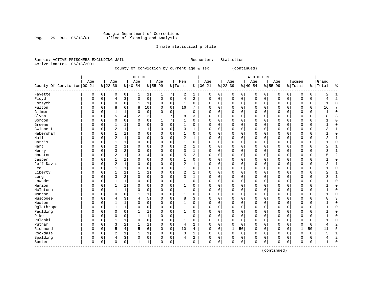# Georgia Department of Corrections<br>Page 25 Run 06/18/01 Office of Planning and Analysis Page 25 Run 06/18/01 Office of Planning and Analysis

# Inmate statistical profile

| Sample: ACTIVE PRISONERS EXCLUDING JAIL |  |  |  |  | Requestor: Statistics |
|-----------------------------------------|--|--|--|--|-----------------------|
| Active inmates 06/18/2001               |  |  |  |  |                       |
|                                         |  |  |  |  |                       |

County Of Conviction by current age & sex (continued)

|                              |             |             |                |             | M E N          |                |           |          |                |              |            |             |             |             | WOMEN       |          |             |             |              |             |                |                |
|------------------------------|-------------|-------------|----------------|-------------|----------------|----------------|-----------|----------|----------------|--------------|------------|-------------|-------------|-------------|-------------|----------|-------------|-------------|--------------|-------------|----------------|----------------|
|                              | Age         |             | Age            |             | Age            |                | Age       |          | Men            |              | Age        |             | Age         |             | Age         |          | Age         |             | Women        |             | Grand          |                |
| County Of Conviction   00-21 |             |             | $ 22-39$       |             | $8 40-54$      |                | $8 55-99$ |          | % Total        |              | $% 100-21$ |             | $ 22-39$    |             | $8 40-54$   |          | $8 55-99$   |             | % Total      | ႜ           | Total          | ę              |
| Fayette                      | 0           | 0           | 0              | 0           | 1              | 1              | 1         | 7        | 2              | 1            | 0          | 0           | 0           | 0           | 0           | 0        | 0           | 0           | 0            | 0           | 2              | 1              |
| Floyd                        | $\Omega$    | $\mathbf 0$ | 4              | 3           | $\Omega$       | $\mathbf 0$    | $\Omega$  | $\Omega$ | $\overline{4}$ | 2            | 0          | $\mathbf 0$ | $\mathbf 0$ | $\mathbf 0$ | $\mathbf 0$ | 0        | $\mathbf 0$ | 0           | $\mathbf 0$  | $\mathbf 0$ | 4              | $\overline{c}$ |
| Forsyth                      | $\Omega$    | 0           | $\Omega$       | 0           |                | 1              | 0         | 0        | 1              | 0            | $\Omega$   | $\mathbf 0$ | 0           | $\mathbf 0$ | 0           | 0        | 0           | $\mathbf 0$ | 0            | 0           | 1              | $\Omega$       |
| Fulton                       | $\Omega$    | $\Omega$    | 8              | 6           | 8              | 10             | O         | 0        | 16             | 7            | $\Omega$   | $\mathbf 0$ | 0           | 0           | 0           | 0        | 0           | $\mathbf 0$ | 0            | 0           | 16             |                |
| Gilmer                       | $\Omega$    | $\Omega$    | 1              | $\mathbf 1$ | $\Omega$       | 0              | 0         | 0        | $\mathbf{1}$   | $\mathbf 0$  | $\Omega$   | 0           | 0           | $\mathbf 0$ | $\mathsf 0$ | 0        | 0           | 0           | $\mathbf 0$  | $\mathsf 0$ |                | $\Omega$       |
| Glynn                        | $\Omega$    | $\Omega$    | 5              | 4           | $\overline{2}$ | $\overline{2}$ | 1         | 7        | 8              | 3            | $\Omega$   | 0           | $\Omega$    | $\mathbf 0$ | $\mathbf 0$ | 0        | $\mathbf 0$ | $\mathbf 0$ | 0            | $\mathbf 0$ | 8              | 3              |
| Gordon                       | $\Omega$    | $\Omega$    | $\Omega$       | 0           | $\Omega$       | $\mathbf 0$    | 1         | 7        | 1              | 0            | 0          | $\mathbf 0$ | 0           | $\mathbf 0$ | $\mathbf 0$ | 0        | $\mathbf 0$ | $\mathbf 0$ | $\Omega$     | $\mathbf 0$ |                | $\Omega$       |
| Greene                       | 0           | O           |                | 1           | 0              | $\Omega$       | $\Omega$  | 0        | 1              | $\Omega$     | $\Omega$   | $\mathbf 0$ | 0           | $\mathbf 0$ | 0           | 0        | $\mathbf 0$ | 0           | $\Omega$     | 0           |                | $\Omega$       |
| Gwinnett                     | 0           | U           | $\overline{2}$ | 1           |                | 1              | 0         | 0        | 3              |              | $\Omega$   | 0           | 0           | 0           | 0           | 0        | 0           | 0           | $\Omega$     | 0           | 3              |                |
| Habersham                    | O           | U           | $\mathbf{1}$   | 1           | $\Omega$       | $\mathbf 0$    | $\Omega$  | O        | 1              | $\Omega$     | $\Omega$   | 0           | $\Omega$    | 0           | 0           | 0        | $\mathbf 0$ | 0           | $\Omega$     | 0           |                | $\Omega$       |
| Hall                         | $\Omega$    | U           | 2              | 1           | $\Omega$       | $\Omega$       | O         | $\Omega$ | $\overline{2}$ | 1            | $\Omega$   | $\Omega$    | $\Omega$    | 0           | 0           | $\Omega$ | $\mathbf 0$ | $\Omega$    | $\Omega$     | 0           | 2              |                |
| Harris                       | $\Omega$    | $\Omega$    | 1              | 1           | $\Omega$       | $\Omega$       | O         | $\Omega$ | 1              | 0            | $\Omega$   | $\mathbf 0$ | $\Omega$    | $\mathbf 0$ | 0           | $\Omega$ | $\mathbf 0$ | 0           | $\Omega$     | 0           |                | $\Omega$       |
| Hart                         |             | U           | 2              | $\mathbf 1$ | $\Omega$       | $\mathbf 0$    | O         | 0        | $\overline{2}$ | 1            | $\Omega$   | 0           | 0           | $\mathbf 0$ | $\mathsf 0$ | 0        | 0           | $\mathbf 0$ | $\Omega$     | 0           | 2              |                |
| Henry                        |             | O           | 3              | 2           | 0              | $\mathbf 0$    | 0         | 0        | 3              | $\mathbf{1}$ | $\Omega$   | 0           | 0           | $\mathbf 0$ | $\mathsf 0$ | 0        | 0           | 0           | 0            | $\mathsf 0$ | 3              | $\mathbf{1}$   |
| Houston                      |             | U           | $\overline{2}$ | $\mathbf 1$ | 3              | 4              | O         | 0        | 5              | 2            | $\Omega$   | $\mathbf 0$ | $\Omega$    | 0           | $\mathbf 0$ | 0        | $\mathbf 0$ | $\mathbf 0$ | 0            | $\mathbf 0$ | 5              | $\overline{c}$ |
| Jasper                       | O           | O           | $\mathbf{1}$   | $\mathbf 1$ | 0              | $\Omega$       | 0         | $\Omega$ | 1              | $\Omega$     | $\Omega$   | $\mathbf 0$ | $\Omega$    | 0           | $\mathbf 0$ | 0        | $\mathbf 0$ | $\Omega$    | $\Omega$     | 0           | 1              | $\Omega$       |
| Jeff Davis                   | O           | O           | $\overline{a}$ | 1           | 0              | $\Omega$       | 0         | $\Omega$ | $\overline{2}$ | 1            | $\Omega$   | $\mathbf 0$ | $\Omega$    | $\mathbf 0$ | 0           | 0        | $\mathbf 0$ | $\mathbf 0$ | $\Omega$     | 0           | $\overline{2}$ |                |
| Lee                          | $\Omega$    | $\Omega$    |                | 1           | $\Omega$       | 0              | O         | $\Omega$ |                | 0            | $\Omega$   | 0           | 0           | 0           | 0           | 0        | 0           | 0           | $\Omega$     | 0           |                | $\Omega$       |
| Liberty                      | $\Omega$    | $\Omega$    | $\mathbf{1}$   | 1           |                | 1              | $\Omega$  | $\Omega$ | $\overline{c}$ |              | $\Omega$   | 0           | 0           | 0           | 0           | 0        | $\mathbf 0$ | 0           | $\Omega$     | 0           | 2              |                |
| Long                         | $\Omega$    | $\Omega$    | 3              | 2           | $\Omega$       | $\Omega$       | $\Omega$  | $\Omega$ | 3              | 1            | $\Omega$   | $\mathbf 0$ | $\Omega$    | 0           | 0           | $\Omega$ | $\mathbf 0$ | 0           | 0            | 0           | 3              | $\mathbf{1}$   |
| Lowndes                      | $\cap$      | $\Omega$    |                | $\mathbf 1$ | $\Omega$       | $\Omega$       | $\Omega$  | 0        | 1              | 0            | $\Omega$   | $\mathbf 0$ | $\Omega$    | $\mathbf 0$ | 0           | 0        | $\mathbf 0$ | $\mathbf 0$ | 0            | $\mathbf 0$ |                | $\Omega$       |
| Marion                       | O           | $\Omega$    |                | $\mathbf 1$ | $\Omega$       | 0              | 0         | 0        |                | 0            | 0          | $\mathbf 0$ | 0           | $\mathbf 0$ | 0           | 0        | $\mathbf 0$ | $\mathbf 0$ | 0            | 0           |                | <sup>0</sup>   |
| McIntosh                     |             | $\Omega$    |                | 1           | $\Omega$       | $\mathbf 0$    | 0         | 0        |                | $\Omega$     | $\Omega$   | $\mathbf 0$ | $\Omega$    | $\mathbf 0$ | $\mathbf 0$ | 0        | $\mathbf 0$ | $\mathbf 0$ | $\Omega$     | $\mathbf 0$ |                | 0              |
| Monroe                       | 0           | 0           | 0              | 0           |                | 1              | 0         | $\Omega$ | $\mathbf{1}$   | 0            | $\Omega$   | 0           | 0           | 0           | 0           | 0        | 0           | 0           | $\Omega$     | 0           |                | C              |
| Muscogee                     | O           | O           | 4              | 3           | 4              | 5              | 0         | 0        | 8              | 3            | $\Omega$   | $\mathbf 0$ | $\Omega$    | 0           | 0           | 0        | $\mathbf 0$ | 0           | $\Omega$     | 0           | 8              | 3              |
| Newton                       | $\Omega$    | O           | 1              | 1           | $\Omega$       | $\Omega$       | O         | $\Omega$ | 1              | $\Omega$     | $\Omega$   | 0           | 0           | $\mathbf 0$ | 0           | 0        | $\mathbf 0$ | 0           | $\Omega$     | 0           |                | $\Omega$       |
| Oglethrope                   | $\Omega$    | $\Omega$    | 1              | 1           | $\Omega$       | 0              | O         | $\Omega$ | 1              | $\Omega$     | $\Omega$   | 0           | $\Omega$    | $\mathbf 0$ | 0           | 0        | 0           | 0           | $\Omega$     | 0           |                | $\Omega$       |
| Paulding                     | 0           | U           | $\Omega$       | 0           |                | 1              | 0         | $\Omega$ |                | 0            | $\Omega$   | $\mathbf 0$ | 0           | 0           | 0           | $\Omega$ | $\mathbf 0$ | $\mathbf 0$ | $\Omega$     | $\mathbf 0$ |                | $\Omega$       |
| Pike                         | $\Omega$    | O           | $\Omega$       | 0           |                | $\mathbf 1$    | 0         | $\Omega$ | 1              | $\Omega$     | $\Omega$   | $\mathbf 0$ | 0           | $\mathbf 0$ | 0           | 0        | $\mathbf 0$ | 0           | $\Omega$     | 0           |                | $\Omega$       |
| Pulaski                      | O           | U           | 1              | 1           | $\Omega$       | $\Omega$       | O         | $\Omega$ | 1              | 0            | 0          | $\mathbf 0$ | 0           | 0           | 0           | 0        | $\mathbf 0$ | 0           | 0            | 0           |                | ſ              |
| Putnam                       | O           | $\Omega$    | 3              | 2           |                | 1              | 0         | 0        | $\overline{4}$ | 2            | $\Omega$   | $\mathbf 0$ | $\Omega$    | $\mathbf 0$ | 0           | $\Omega$ | $\mathbf 0$ | $\mathbf 0$ | $\Omega$     | $\mathbf 0$ | 4              |                |
| Richmond                     | 0           | O           | 5              | 4           | 5              | 6              | 0         | 0        | 10             | 4            | 0          | $\mathbf 0$ | 1           | 50          | $\mathbf 0$ | 0        | $\mathbf 0$ | $\mathbf 0$ | $\mathbf{1}$ | 50          | 11             | 5              |
| Rockdale                     | $\Omega$    | O           | 2              | 1           |                | 1              | 0         | 0        | 3              |              | $\Omega$   | 0           | 0           | 0           | 0           | 0        | 0           | 0           | $\Omega$     | 0           | 3              |                |
| Spalding                     | $\Omega$    | O           | 4              | 3           | $\Omega$       | 0              | 0         | 0        | $\overline{4}$ | 2            | $\Omega$   | 0           | $\Omega$    | 0           | $\mathsf 0$ | 0        | 0           | 0           | $\Omega$     | 0           | 4              | 2              |
| Sumter                       | $\mathbf 0$ | 0           | 0              | 0           | -1             | 1              | 0         | 0        | 1              | 0            | $\Omega$   | 0           | 0           | $\mathbf 0$ | $\mathbf 0$ | 0        | $\mathbf 0$ | 0           | 0            | 0           | 1              | $\Omega$       |

(continued)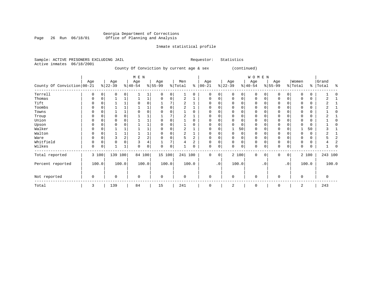#### Georgia Department of Corrections Page 26 Run 06/18/01 Office of Planning and Analysis

# Inmate statistical profile

 $\mathbb O$ 

| Sample: ACTIVE PRISONERS EXCLUDING JAIL | 06/18/2001 |             |                  |              |                           |             |                                           |             |                |          | Requestor:           |           | Statistics       |             |                           |           |                  |                |                  |       |                     |
|-----------------------------------------|------------|-------------|------------------|--------------|---------------------------|-------------|-------------------------------------------|-------------|----------------|----------|----------------------|-----------|------------------|-------------|---------------------------|-----------|------------------|----------------|------------------|-------|---------------------|
| Active inmates                          |            |             |                  |              |                           |             | County Of Conviction by current age & sex |             |                |          |                      |           |                  |             | (continued)               |           |                  |                |                  |       |                     |
| County Of Conviction 00-21              | Age        |             | Age<br>$ 22-39 $ |              | M E N<br>Age<br>$ 40-54 $ |             | Age<br>$8 55-99$                          |             | Men<br>% Total |          | Age<br>$8   00 - 21$ |           | Age<br>$ 22-39 $ |             | WOMEN<br>Age<br>$ 40-54 $ |           | Age<br>$8 55-99$ |                | Women<br>% Total | ⊱     | Grand<br>Total<br>៖ |
| Terrell                                 |            | 0           | 0                | 0            |                           | 1           | $\Omega$                                  | 0           |                | 0        | 0                    | 0         | $\Omega$         | 0           | 0                         |           | 0                | 0              | 0                | 0     |                     |
| Thomas                                  | 0          | $\mathbf 0$ |                  | $\mathbf{1}$ |                           | 1           | 0                                         | 0           | $\overline{a}$ |          | 0                    | 0         | 0                | 0           | 0                         | 0         | $\Omega$         | 0              | $\Omega$         | 0     | 2                   |
| Tift                                    | 0          | $\mathbf 0$ |                  | $\mathbf{1}$ | $\mathbf 0$               | 0           |                                           | 7           | $\overline{2}$ |          | $\Omega$             | 0         |                  | $\mathbf 0$ | 0                         | 0         | O                | 0              |                  | 0     |                     |
| Toombs                                  |            | $\mathbf 0$ |                  | $\mathbf{1}$ |                           | 1           | $\Omega$                                  | $\mathbf 0$ | 2              |          | $\Omega$             | 0         | $\Omega$         | $\Omega$    | $\Omega$                  | $\Omega$  | U                | 0              | $\Omega$         | 0     |                     |
| Towns                                   |            |             |                  | $\mathbf{1}$ | $\Omega$                  | 0           | $\Omega$                                  | $\Omega$    |                | $\Omega$ | $\Omega$             | 0         |                  | 0           | O                         |           |                  | $\Omega$       | $\Omega$         | 0     | ∩                   |
| Troup                                   |            | $\Omega$    |                  | 0            |                           |             |                                           |             | 2              |          | 0                    | 0         |                  | $\mathbf 0$ | 0                         |           |                  | 0              |                  | 0     |                     |
| Union                                   | $\Omega$   | $\Omega$    | $\Omega$         | 0            |                           | $\mathbf 1$ | $\Omega$                                  | $\mathbf 0$ |                | $\Omega$ | $\Omega$             | 0         | $\Omega$         | $\mathbf 0$ | 0                         | $\Omega$  | $\mathbf 0$      | 0              | $\Omega$         | 0     | U                   |
| Upson                                   | $\Omega$   | 0           |                  |              |                           | 1           |                                           | 0           |                | $\Omega$ | $\Omega$             | 0         |                  | $\Omega$    | 0                         | 0         | $\Omega$         | 0              |                  | 0     |                     |
| Walker                                  |            | $\mathbf 0$ |                  | 1            |                           |             |                                           | $\Omega$    | $\overline{a}$ |          | $\Omega$             | 0         |                  | 50          | 0                         | $\Omega$  | 0                | $\Omega$       |                  | 50    |                     |
| Walton                                  |            | $\Omega$    |                  | $\mathbf{1}$ |                           | $\mathbf 1$ |                                           | $\Omega$    | $\overline{2}$ |          | $\Omega$             | 0         |                  | $\mathbf 0$ | 0                         | U         | O                | $\Omega$       | $\Omega$         | 0     |                     |
| Ware                                    |            | 0           | 3                | 2            | $\overline{a}$            | 2           |                                           | 0           | 5              | 2        | $\Omega$             | 0         |                  | $\mathsf 0$ | 0                         | 0         | $\Omega$         | $\Omega$       |                  | 0     | 5                   |
| Whitfield                               | $\Omega$   | $\mathbf 0$ | $\mathbf 0$      | $\Omega$     | $\overline{\mathbf{3}}$   | 4           |                                           | 7           | 4              | 2        | $\Omega$             | 0         | $\Omega$         | $\mathbf 0$ | 0                         | $\Omega$  | $\mathbf 0$      | 0              | $\Omega$         | 0     | $\overline{2}$<br>4 |
| Wilkes                                  | $\Omega$   | 0           |                  | $\mathbf{1}$ | $\Omega$                  | 0           | $\cap$                                    | $\Omega$    |                | N        | $\Omega$             | 0         | $\Omega$         | 0           | $\Omega$                  | 0         | $\Omega$         | 0              | $\Omega$         | 0     |                     |
| Total reported                          |            | 3 100       | 139 100          |              | 84 100                    |             | 15 100                                    |             | 241 100        |          | $\Omega$             | 0         |                  | 2 100       | $\Omega$                  | $\Omega$  | $\Omega$         | 0 <sup>1</sup> |                  | 2 100 | 243 100             |
| Percent reported                        |            | 100.0       |                  | 100.0        |                           | 100.0       | 100.0                                     |             |                | 100.0    |                      | $\cdot$ 0 |                  | 100.0       |                           | $\cdot$ 0 |                  | $\cdot$ 0      |                  | 100.0 | 100.0               |
| Not reported                            | O          |             | O                |              | $\mathbf 0$               |             | 0                                         |             | $\Omega$       |          | $\Omega$             |           | $\Omega$         |             | $\Omega$                  |           | ∩                |                | $\Omega$         |       | 0                   |
| Total                                   | 3          |             | 139              |              | 84                        |             | 15                                        |             | 241            |          | 0                    |           | 2                |             | 0                         |           | $\mathbf 0$      |                | 2                |       | 243                 |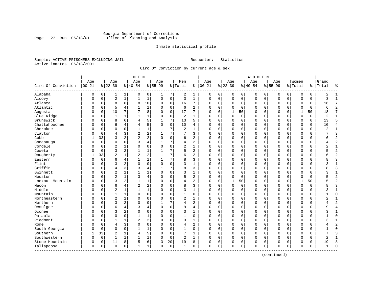# Georgia Department of Corrections Page 27 Run 06/18/01 Office of Planning and Analysis

# Inmate statistical profile

Sample: ACTIVE PRISONERS EXCLUDING JAIL **Requestor:** Statistics Active inmates 06/18/2001

Circ Of Conviction by current age & sex

| Age<br>Women<br>Age<br>Age<br>Age<br>Men<br>Age<br>Grand<br>Age<br>Age<br>Age<br>$ 00 - 21$<br>Circ Of Conviction<br>$8 22-39$<br>$8 40-54$<br>$8 55-99$<br>$ 00-21$<br>$8 22-39$<br>$8 40-54$<br>$8155 - 99$<br>% Total<br>ి<br>% Total<br>%   Total<br>Alapaha<br>0<br>0<br>0<br>2<br>0<br>$\mathbf 0$<br>0<br>0<br>0<br>1<br>0<br>7<br>1<br>0<br>0<br>0<br>0<br>0<br>2<br>1<br>1<br>$\sqrt{2}$<br>3<br>$\mathbf{1}$<br>Alcovy<br>$\mathbf{1}$<br>$\mathbf{1}$<br>$\mathbf{1}$<br>$\mathbf 0$<br>$\mathbf 0$<br>0<br>$\mathsf 0$<br>0<br>$\mathsf 0$<br>$\mathbf 0$<br>$\mathbf 0$<br>0<br>$\mathbf 0$<br>0<br>3<br>$\Omega$<br>0<br>$\Omega$<br>Atlanta<br>8<br>6<br>8<br>10<br>$\mathbf 0$<br>0<br>16<br>7<br>$\Omega$<br>0<br>0<br>0<br>$\mathbf 0$<br>$\mathbf 0$<br>0<br>0<br>0<br>16<br>$\Omega$<br>0<br>0<br>Atlantic<br>5<br>$\mathbf 0$<br>1<br>$\mathbf 0$<br>6<br>$\overline{a}$<br>$\Omega$<br>$\Omega$<br>$\mathbf 0$<br>$\Omega$<br>$\Omega$<br>$\mathbf 0$<br>$\Omega$<br>$\mathbf 0$<br>4<br>$\Omega$<br>0<br>0<br>6<br>10<br>7<br>8<br>$\Omega$<br>17<br>7<br>$\mathbf{1}$<br>50<br>$\mathbf{1}$<br>50<br>18<br>Augusta<br>$\Omega$<br>$\Omega$<br>$\Omega$<br>$\Omega$<br>0<br>$\Omega$<br>$\Omega$<br>$\Omega$<br>O<br>Blue Ridge<br>$\mathbf 0$<br>2<br>$\mathbf 0$<br>$\mathbf 0$<br>$\Omega$<br>$\mathbf 0$<br>$\mathbf 0$<br>$\overline{2}$<br>$\mathbf 0$<br>1<br>1<br>$\Omega$<br>$\Omega$<br>$\Omega$<br>$\mathbf 0$<br>$\Omega$<br>-1<br>$\Omega$<br>1<br>0<br>Brunswick<br>5<br>7<br>8<br>6<br>13<br>5<br>$\mathbf 0$<br>0<br>$\Omega$<br>$\mathbf 0$<br>$\mathbf 0$<br>13<br>0<br>4<br>$\Omega$<br>0<br>0<br>0<br>0<br>0<br>Chattahoochee<br>5<br>$\Omega$<br>6<br>10<br>4<br>$\Omega$<br>$\mathbf 0$<br>$\mathbf 0$<br>$\mathbf 0$<br>$\Omega$<br>$\mathbf 0$<br>$\Omega$<br>$\Omega$<br>$\Omega$<br>$\Omega$<br>10<br>$\mathbf 0$<br>4<br>4<br>$\Omega$<br>0<br>Cherokee<br>7<br>$\overline{2}$<br>$\Omega$<br>$\Omega$<br>$\mathbf{1}$<br>$\Omega$<br>$\Omega$<br>$\Omega$<br>$\mathbf 0$<br>$\Omega$<br>$\mathbf 0$<br>$\mathbf{0}$<br>$\Omega$<br>$\Omega$<br>$\overline{c}$<br>$\Omega$<br>$\mathbf{1}$<br>$\mathbf{1}$<br>0<br>N<br>1<br>2<br>$\overline{2}$<br>7<br>Clayton<br>$\overline{4}$<br>3<br>7<br>3<br>$\mathbf 0$<br>$\Omega$<br>$\mathbf 0$<br>$\Omega$<br>0<br>0<br>0<br>0<br>$\Omega$<br>$\Omega$<br>0<br>N<br>2<br>Cobb<br>33<br>3<br>2<br>$\overline{2}$<br>$\Omega$<br>6<br>2<br>$\mathbf 0$<br>$\mathbf 0$<br>$\Omega$<br>$\Omega$<br>$\Omega$<br>0<br>$\Omega$<br>$\mathbf 0$<br>$\mathbf 0$<br>$\Omega$<br>0<br>б<br>$\mathbf 0$<br>3<br>4<br>7<br>$\overline{a}$<br>$\mathbf 0$<br>0<br>0<br>0<br>0<br>0<br>$\mathbf 0$<br>$\Omega$<br>0<br>$\mathbf 0$<br>0<br>Conasauga<br>4<br>0<br>0<br>Cordele<br>$\sqrt{2}$<br>0<br>$\mathbf 0$<br>2<br>$\mathbf 0$<br>0<br>1<br>0<br>0<br>$\mathbf 0$<br>0<br>0<br>$\mathbf 0$<br>0<br>2<br>$\mathbf 0$<br>$\Omega$<br>0<br>0<br>0<br>3<br>2<br>2<br>Coweta<br>$\mathbf{1}$<br>1<br>7<br>5<br>$\Omega$<br>$\Omega$<br>$\mathbf 0$<br>$\mathbf 0$<br>$\mathbf 0$<br>$\mathbf 0$<br>$\Omega$<br>$\Omega$<br>$\Omega$<br>$\Omega$<br>0<br>0<br>Dougherty<br>$\overline{2}$<br>2<br>33<br>$\overline{c}$<br>7<br>6<br>$\overline{a}$<br>$\Omega$<br>$\mathbf 0$<br>$\mathbf 0$<br>0<br>0<br>$\Omega$<br>$\mathbf 0$<br>$\mathbf 0$<br>0<br>0<br>6<br>1<br>7<br>Eastern<br>0<br>4<br>8<br>3<br>$\Omega$<br>0<br>0<br>0<br>0<br>0<br>0<br>0<br>0<br>0<br>0<br>Flint<br>0<br>3<br>2<br>$\Omega$<br>0<br>3<br>1<br>$\Omega$<br>0<br>0<br>0<br>$\Omega$<br>$\mathbf 0$<br>0<br>$\Omega$<br>$\Omega$<br>0<br>$\mathbf 0$<br>$\Omega$<br>N<br>Griffin<br>7<br>8<br>$\overline{4}$<br>3<br>3<br>3<br>$\Omega$<br>$\Omega$<br>$\Omega$<br>$\Omega$<br>$\Omega$<br>4<br>$\Omega$<br>$\Omega$<br>$\Omega$<br>0<br>$\Omega$<br>$\Omega$<br>R<br>0<br>$\sqrt{2}$<br>Gwinnett<br>1<br>$\mathbf 0$<br>3<br>$\mathbf{1}$<br>0<br>$\mathbf 0$<br>$\Omega$<br>$\Omega$<br>$\mathbf 0$<br>0<br>$\Omega$<br>0<br>$\Omega$<br>$\mathbf 0$<br>0<br>N<br>3<br>$\overline{2}$<br>Houston<br>$\mathbf{1}$<br>3<br>4<br>$\mathbf 0$<br>5<br>2<br>$\mathbf 0$<br>$\mathbf 0$<br>$\Omega$<br>$\mathbf 0$<br>$\Omega$<br>0<br>0<br>$\Omega$<br>$\mathbf 0$<br>0<br>0<br>3<br>2<br>$\mathbf 0$<br>$\overline{a}$<br>50<br>50<br>Lookout Mountain<br>$\Omega$<br>1<br>1<br>$\Omega$<br>4<br>$\Omega$<br>0<br>$\mathbf{1}$<br>0<br>0<br>$\mathbf 0$<br>0<br>1<br>N<br>$\overline{2}$<br>2<br>6<br>4<br>0<br>8<br>3<br>$\Omega$<br>0<br>0<br>$\mathbf 0$<br>$\mathbf 0$<br>$\Omega$<br>$\mathbf 0$<br>Macon<br>$\mathbf 0$<br>$\Omega$<br>$\Omega$<br>$\Omega$<br>0<br>N<br>Middle<br>$\mathbf 1$<br>$\overline{c}$<br>$\mathbf{1}$<br>$\Omega$<br>3<br>$\mathbf 0$<br>$\mathbf 0$<br>$\mathbf 0$<br>$\Omega$<br>$\Omega$<br>$\mathbf{1}$<br>$\Omega$<br>0<br>$\Omega$<br>0<br>$\mathbf 0$<br>$\Omega$<br>0<br>Mountain<br>$\Omega$<br>$\mathbf 0$<br>$\mathbf 0$<br>$\mathbf 0$<br>$\Omega$<br>$\mathbf 0$<br>$\Omega$<br>1<br>1<br>$\Omega$<br>$\Omega$<br>$\Omega$<br>$\Omega$<br>0<br>$\mathbf 0$<br>$\Omega$<br>0<br>1<br>$\Omega$<br>U<br>Northeastern<br>$\sqrt{2}$<br>0<br>$\mathbf 0$<br>2<br>$\mathbf 0$<br>0<br>0<br>1<br>0<br>0<br>0<br>0<br>0<br>$\Omega$<br>0<br>0<br>$\Omega$<br>0<br>2<br>0<br>Northern<br>3<br>2<br>7<br>2<br>$\mathbf 0$<br>$\mathbf 0$<br>$\Omega$<br>0<br>4<br>0<br>0<br>0<br>0<br>0<br>0<br>$\mathbf 0$<br>0<br>0<br>0<br>Ocmulgee<br>6<br>4<br>3<br>4<br>$\Omega$<br>0<br>9<br>4<br>$\Omega$<br>0<br>0<br>0<br>0<br>$\mathbf 0$<br>$\mathbf 0$<br>0<br>0<br>$\Omega$<br>0<br>a<br>O<br>Oconee<br>3<br>2<br>0<br>$\mathbf 0$<br>3<br>$\mathbf 0$<br>$\Omega$<br>$\Omega$<br>$\Omega$<br>$\Omega$<br>$\Omega$<br>0<br>$\Omega$<br>$\mathbf 0$<br>$\mathbf 0$<br>$\Omega$<br>$\Omega$<br>0<br>N<br>1<br>3<br>Pataula<br>$\Omega$<br>$\mathbf 0$<br>$\Omega$<br>$\mathbf{1}$<br>1<br>1<br>$\Omega$<br>$\Omega$<br>0<br>0<br>0<br>0<br>$\mathbf 0$<br>$\Omega$<br>$\Omega$<br>$\mathbf 0$<br>0<br>n<br>N<br>Piedmont<br>2<br>$\overline{2}$<br>0<br>3<br>$\Omega$<br>$\Omega$<br>0<br>0<br>0<br>$\mathbf 0$<br>$\Omega$<br>$\Omega$<br>$\mathbf 0$<br>0<br>$\Omega$<br>∩<br>1<br>3<br>O<br>3<br>0<br>$\mathbf 0$<br>$\overline{a}$<br>$\overline{4}$<br>0<br>4<br>0<br>0<br>0<br>$\mathbf 0$<br>0<br>0<br>$\mathbf 0$<br>0<br>Rome<br>$\mathbf 0$<br>0<br>0<br>0<br>$\mathbf 0$<br>South Georgia<br>$\mathbf 0$<br>$\Omega$<br>$\Omega$<br>$\mathbf{1}$<br>$\mathbf{1}$<br>$\mathbf{1}$<br>$\Omega$<br>$\Omega$<br>$\mathbf 0$<br>$\mathbf 0$<br>$\mathbf 0$<br>$\Omega$<br>$\mathbf 0$<br>$\Omega$<br>$\mathbf 0$<br>$\Omega$<br>$\Omega$<br>0<br>Southern<br>$\overline{c}$<br>5<br>7<br>33<br>$\mathbf 0$<br>3<br>$\mathbf 0$<br>$\mathbf 0$<br>$\mathbf 0$<br>1<br>4<br>$\Omega$<br>0<br>$\Omega$<br>0<br>$\mathbf 0$<br>$\Omega$<br>0 |  |  | M E N |  |  |  |  | <b>WOMEN</b> |  |  |  |                |
|------------------------------------------------------------------------------------------------------------------------------------------------------------------------------------------------------------------------------------------------------------------------------------------------------------------------------------------------------------------------------------------------------------------------------------------------------------------------------------------------------------------------------------------------------------------------------------------------------------------------------------------------------------------------------------------------------------------------------------------------------------------------------------------------------------------------------------------------------------------------------------------------------------------------------------------------------------------------------------------------------------------------------------------------------------------------------------------------------------------------------------------------------------------------------------------------------------------------------------------------------------------------------------------------------------------------------------------------------------------------------------------------------------------------------------------------------------------------------------------------------------------------------------------------------------------------------------------------------------------------------------------------------------------------------------------------------------------------------------------------------------------------------------------------------------------------------------------------------------------------------------------------------------------------------------------------------------------------------------------------------------------------------------------------------------------------------------------------------------------------------------------------------------------------------------------------------------------------------------------------------------------------------------------------------------------------------------------------------------------------------------------------------------------------------------------------------------------------------------------------------------------------------------------------------------------------------------------------------------------------------------------------------------------------------------------------------------------------------------------------------------------------------------------------------------------------------------------------------------------------------------------------------------------------------------------------------------------------------------------------------------------------------------------------------------------------------------------------------------------------------------------------------------------------------------------------------------------------------------------------------------------------------------------------------------------------------------------------------------------------------------------------------------------------------------------------------------------------------------------------------------------------------------------------------------------------------------------------------------------------------------------------------------------------------------------------------------------------------------------------------------------------------------------------------------------------------------------------------------------------------------------------------------------------------------------------------------------------------------------------------------------------------------------------------------------------------------------------------------------------------------------------------------------------------------------------------------------------------------------------------------------------------------------------------------------------------------------------------------------------------------------------------------------------------------------------------------------------------------------------------------------------------------------------------------------------------------------------------------------------------------------------------------------------------------------------------------------------------------------------------------------------------------------------------------------------------------------------------------------------------------------------------------------------------------------------------------------------------------------------------------------------------------------------------------------------------------------------------------------------------------------------------------------------------------------------------------------------------------------------------------------------------------------------------------------------------------------------------------------------------------------------------------------------------------------------------------------------------------------------------------------------------------------------------------------------------------------------------------------------------------------------------------------------------------------------------------------------------------------------------------------------------------------------------------------------------------------------------------------------------------------------------------------------------------------------------------------------------------------------------------------------------------------------------------------------------------------------------------------------------------------------------------------------------------------------------------------------------------------------------------------------------------------------------------------------------------------------------------------------------------------------------------------------------------------------------------------------------------------------------------------------------------------------------------------------------------------------------------------------------------------------------------------------------------------------------------------------------------------------------------------------------------------------------------------------------------------|--|--|-------|--|--|--|--|--------------|--|--|--|----------------|
|                                                                                                                                                                                                                                                                                                                                                                                                                                                                                                                                                                                                                                                                                                                                                                                                                                                                                                                                                                                                                                                                                                                                                                                                                                                                                                                                                                                                                                                                                                                                                                                                                                                                                                                                                                                                                                                                                                                                                                                                                                                                                                                                                                                                                                                                                                                                                                                                                                                                                                                                                                                                                                                                                                                                                                                                                                                                                                                                                                                                                                                                                                                                                                                                                                                                                                                                                                                                                                                                                                                                                                                                                                                                                                                                                                                                                                                                                                                                                                                                                                                                                                                                                                                                                                                                                                                                                                                                                                                                                                                                                                                                                                                                                                                                                                                                                                                                                                                                                                                                                                                                                                                                                                                                                                                                                                                                                                                                                                                                                                                                                                                                                                                                                                                                                                                                                                                                                                                                                                                                                                                                                                                                                                                                                                                                                                                                                                                                                                                                                                                                                                                                                                                                                                                                                                                                                                          |  |  |       |  |  |  |  |              |  |  |  |                |
|                                                                                                                                                                                                                                                                                                                                                                                                                                                                                                                                                                                                                                                                                                                                                                                                                                                                                                                                                                                                                                                                                                                                                                                                                                                                                                                                                                                                                                                                                                                                                                                                                                                                                                                                                                                                                                                                                                                                                                                                                                                                                                                                                                                                                                                                                                                                                                                                                                                                                                                                                                                                                                                                                                                                                                                                                                                                                                                                                                                                                                                                                                                                                                                                                                                                                                                                                                                                                                                                                                                                                                                                                                                                                                                                                                                                                                                                                                                                                                                                                                                                                                                                                                                                                                                                                                                                                                                                                                                                                                                                                                                                                                                                                                                                                                                                                                                                                                                                                                                                                                                                                                                                                                                                                                                                                                                                                                                                                                                                                                                                                                                                                                                                                                                                                                                                                                                                                                                                                                                                                                                                                                                                                                                                                                                                                                                                                                                                                                                                                                                                                                                                                                                                                                                                                                                                                                          |  |  |       |  |  |  |  |              |  |  |  | ٩,             |
|                                                                                                                                                                                                                                                                                                                                                                                                                                                                                                                                                                                                                                                                                                                                                                                                                                                                                                                                                                                                                                                                                                                                                                                                                                                                                                                                                                                                                                                                                                                                                                                                                                                                                                                                                                                                                                                                                                                                                                                                                                                                                                                                                                                                                                                                                                                                                                                                                                                                                                                                                                                                                                                                                                                                                                                                                                                                                                                                                                                                                                                                                                                                                                                                                                                                                                                                                                                                                                                                                                                                                                                                                                                                                                                                                                                                                                                                                                                                                                                                                                                                                                                                                                                                                                                                                                                                                                                                                                                                                                                                                                                                                                                                                                                                                                                                                                                                                                                                                                                                                                                                                                                                                                                                                                                                                                                                                                                                                                                                                                                                                                                                                                                                                                                                                                                                                                                                                                                                                                                                                                                                                                                                                                                                                                                                                                                                                                                                                                                                                                                                                                                                                                                                                                                                                                                                                                          |  |  |       |  |  |  |  |              |  |  |  | 1              |
|                                                                                                                                                                                                                                                                                                                                                                                                                                                                                                                                                                                                                                                                                                                                                                                                                                                                                                                                                                                                                                                                                                                                                                                                                                                                                                                                                                                                                                                                                                                                                                                                                                                                                                                                                                                                                                                                                                                                                                                                                                                                                                                                                                                                                                                                                                                                                                                                                                                                                                                                                                                                                                                                                                                                                                                                                                                                                                                                                                                                                                                                                                                                                                                                                                                                                                                                                                                                                                                                                                                                                                                                                                                                                                                                                                                                                                                                                                                                                                                                                                                                                                                                                                                                                                                                                                                                                                                                                                                                                                                                                                                                                                                                                                                                                                                                                                                                                                                                                                                                                                                                                                                                                                                                                                                                                                                                                                                                                                                                                                                                                                                                                                                                                                                                                                                                                                                                                                                                                                                                                                                                                                                                                                                                                                                                                                                                                                                                                                                                                                                                                                                                                                                                                                                                                                                                                                          |  |  |       |  |  |  |  |              |  |  |  | $\mathbf{1}$   |
|                                                                                                                                                                                                                                                                                                                                                                                                                                                                                                                                                                                                                                                                                                                                                                                                                                                                                                                                                                                                                                                                                                                                                                                                                                                                                                                                                                                                                                                                                                                                                                                                                                                                                                                                                                                                                                                                                                                                                                                                                                                                                                                                                                                                                                                                                                                                                                                                                                                                                                                                                                                                                                                                                                                                                                                                                                                                                                                                                                                                                                                                                                                                                                                                                                                                                                                                                                                                                                                                                                                                                                                                                                                                                                                                                                                                                                                                                                                                                                                                                                                                                                                                                                                                                                                                                                                                                                                                                                                                                                                                                                                                                                                                                                                                                                                                                                                                                                                                                                                                                                                                                                                                                                                                                                                                                                                                                                                                                                                                                                                                                                                                                                                                                                                                                                                                                                                                                                                                                                                                                                                                                                                                                                                                                                                                                                                                                                                                                                                                                                                                                                                                                                                                                                                                                                                                                                          |  |  |       |  |  |  |  |              |  |  |  | 7              |
|                                                                                                                                                                                                                                                                                                                                                                                                                                                                                                                                                                                                                                                                                                                                                                                                                                                                                                                                                                                                                                                                                                                                                                                                                                                                                                                                                                                                                                                                                                                                                                                                                                                                                                                                                                                                                                                                                                                                                                                                                                                                                                                                                                                                                                                                                                                                                                                                                                                                                                                                                                                                                                                                                                                                                                                                                                                                                                                                                                                                                                                                                                                                                                                                                                                                                                                                                                                                                                                                                                                                                                                                                                                                                                                                                                                                                                                                                                                                                                                                                                                                                                                                                                                                                                                                                                                                                                                                                                                                                                                                                                                                                                                                                                                                                                                                                                                                                                                                                                                                                                                                                                                                                                                                                                                                                                                                                                                                                                                                                                                                                                                                                                                                                                                                                                                                                                                                                                                                                                                                                                                                                                                                                                                                                                                                                                                                                                                                                                                                                                                                                                                                                                                                                                                                                                                                                                          |  |  |       |  |  |  |  |              |  |  |  | $\overline{2}$ |
|                                                                                                                                                                                                                                                                                                                                                                                                                                                                                                                                                                                                                                                                                                                                                                                                                                                                                                                                                                                                                                                                                                                                                                                                                                                                                                                                                                                                                                                                                                                                                                                                                                                                                                                                                                                                                                                                                                                                                                                                                                                                                                                                                                                                                                                                                                                                                                                                                                                                                                                                                                                                                                                                                                                                                                                                                                                                                                                                                                                                                                                                                                                                                                                                                                                                                                                                                                                                                                                                                                                                                                                                                                                                                                                                                                                                                                                                                                                                                                                                                                                                                                                                                                                                                                                                                                                                                                                                                                                                                                                                                                                                                                                                                                                                                                                                                                                                                                                                                                                                                                                                                                                                                                                                                                                                                                                                                                                                                                                                                                                                                                                                                                                                                                                                                                                                                                                                                                                                                                                                                                                                                                                                                                                                                                                                                                                                                                                                                                                                                                                                                                                                                                                                                                                                                                                                                                          |  |  |       |  |  |  |  |              |  |  |  | 7              |
|                                                                                                                                                                                                                                                                                                                                                                                                                                                                                                                                                                                                                                                                                                                                                                                                                                                                                                                                                                                                                                                                                                                                                                                                                                                                                                                                                                                                                                                                                                                                                                                                                                                                                                                                                                                                                                                                                                                                                                                                                                                                                                                                                                                                                                                                                                                                                                                                                                                                                                                                                                                                                                                                                                                                                                                                                                                                                                                                                                                                                                                                                                                                                                                                                                                                                                                                                                                                                                                                                                                                                                                                                                                                                                                                                                                                                                                                                                                                                                                                                                                                                                                                                                                                                                                                                                                                                                                                                                                                                                                                                                                                                                                                                                                                                                                                                                                                                                                                                                                                                                                                                                                                                                                                                                                                                                                                                                                                                                                                                                                                                                                                                                                                                                                                                                                                                                                                                                                                                                                                                                                                                                                                                                                                                                                                                                                                                                                                                                                                                                                                                                                                                                                                                                                                                                                                                                          |  |  |       |  |  |  |  |              |  |  |  | $\mathbf{1}$   |
|                                                                                                                                                                                                                                                                                                                                                                                                                                                                                                                                                                                                                                                                                                                                                                                                                                                                                                                                                                                                                                                                                                                                                                                                                                                                                                                                                                                                                                                                                                                                                                                                                                                                                                                                                                                                                                                                                                                                                                                                                                                                                                                                                                                                                                                                                                                                                                                                                                                                                                                                                                                                                                                                                                                                                                                                                                                                                                                                                                                                                                                                                                                                                                                                                                                                                                                                                                                                                                                                                                                                                                                                                                                                                                                                                                                                                                                                                                                                                                                                                                                                                                                                                                                                                                                                                                                                                                                                                                                                                                                                                                                                                                                                                                                                                                                                                                                                                                                                                                                                                                                                                                                                                                                                                                                                                                                                                                                                                                                                                                                                                                                                                                                                                                                                                                                                                                                                                                                                                                                                                                                                                                                                                                                                                                                                                                                                                                                                                                                                                                                                                                                                                                                                                                                                                                                                                                          |  |  |       |  |  |  |  |              |  |  |  | 5              |
|                                                                                                                                                                                                                                                                                                                                                                                                                                                                                                                                                                                                                                                                                                                                                                                                                                                                                                                                                                                                                                                                                                                                                                                                                                                                                                                                                                                                                                                                                                                                                                                                                                                                                                                                                                                                                                                                                                                                                                                                                                                                                                                                                                                                                                                                                                                                                                                                                                                                                                                                                                                                                                                                                                                                                                                                                                                                                                                                                                                                                                                                                                                                                                                                                                                                                                                                                                                                                                                                                                                                                                                                                                                                                                                                                                                                                                                                                                                                                                                                                                                                                                                                                                                                                                                                                                                                                                                                                                                                                                                                                                                                                                                                                                                                                                                                                                                                                                                                                                                                                                                                                                                                                                                                                                                                                                                                                                                                                                                                                                                                                                                                                                                                                                                                                                                                                                                                                                                                                                                                                                                                                                                                                                                                                                                                                                                                                                                                                                                                                                                                                                                                                                                                                                                                                                                                                                          |  |  |       |  |  |  |  |              |  |  |  | $\overline{4}$ |
|                                                                                                                                                                                                                                                                                                                                                                                                                                                                                                                                                                                                                                                                                                                                                                                                                                                                                                                                                                                                                                                                                                                                                                                                                                                                                                                                                                                                                                                                                                                                                                                                                                                                                                                                                                                                                                                                                                                                                                                                                                                                                                                                                                                                                                                                                                                                                                                                                                                                                                                                                                                                                                                                                                                                                                                                                                                                                                                                                                                                                                                                                                                                                                                                                                                                                                                                                                                                                                                                                                                                                                                                                                                                                                                                                                                                                                                                                                                                                                                                                                                                                                                                                                                                                                                                                                                                                                                                                                                                                                                                                                                                                                                                                                                                                                                                                                                                                                                                                                                                                                                                                                                                                                                                                                                                                                                                                                                                                                                                                                                                                                                                                                                                                                                                                                                                                                                                                                                                                                                                                                                                                                                                                                                                                                                                                                                                                                                                                                                                                                                                                                                                                                                                                                                                                                                                                                          |  |  |       |  |  |  |  |              |  |  |  | $\mathbf{1}$   |
|                                                                                                                                                                                                                                                                                                                                                                                                                                                                                                                                                                                                                                                                                                                                                                                                                                                                                                                                                                                                                                                                                                                                                                                                                                                                                                                                                                                                                                                                                                                                                                                                                                                                                                                                                                                                                                                                                                                                                                                                                                                                                                                                                                                                                                                                                                                                                                                                                                                                                                                                                                                                                                                                                                                                                                                                                                                                                                                                                                                                                                                                                                                                                                                                                                                                                                                                                                                                                                                                                                                                                                                                                                                                                                                                                                                                                                                                                                                                                                                                                                                                                                                                                                                                                                                                                                                                                                                                                                                                                                                                                                                                                                                                                                                                                                                                                                                                                                                                                                                                                                                                                                                                                                                                                                                                                                                                                                                                                                                                                                                                                                                                                                                                                                                                                                                                                                                                                                                                                                                                                                                                                                                                                                                                                                                                                                                                                                                                                                                                                                                                                                                                                                                                                                                                                                                                                                          |  |  |       |  |  |  |  |              |  |  |  | 3              |
|                                                                                                                                                                                                                                                                                                                                                                                                                                                                                                                                                                                                                                                                                                                                                                                                                                                                                                                                                                                                                                                                                                                                                                                                                                                                                                                                                                                                                                                                                                                                                                                                                                                                                                                                                                                                                                                                                                                                                                                                                                                                                                                                                                                                                                                                                                                                                                                                                                                                                                                                                                                                                                                                                                                                                                                                                                                                                                                                                                                                                                                                                                                                                                                                                                                                                                                                                                                                                                                                                                                                                                                                                                                                                                                                                                                                                                                                                                                                                                                                                                                                                                                                                                                                                                                                                                                                                                                                                                                                                                                                                                                                                                                                                                                                                                                                                                                                                                                                                                                                                                                                                                                                                                                                                                                                                                                                                                                                                                                                                                                                                                                                                                                                                                                                                                                                                                                                                                                                                                                                                                                                                                                                                                                                                                                                                                                                                                                                                                                                                                                                                                                                                                                                                                                                                                                                                                          |  |  |       |  |  |  |  |              |  |  |  | $\overline{2}$ |
|                                                                                                                                                                                                                                                                                                                                                                                                                                                                                                                                                                                                                                                                                                                                                                                                                                                                                                                                                                                                                                                                                                                                                                                                                                                                                                                                                                                                                                                                                                                                                                                                                                                                                                                                                                                                                                                                                                                                                                                                                                                                                                                                                                                                                                                                                                                                                                                                                                                                                                                                                                                                                                                                                                                                                                                                                                                                                                                                                                                                                                                                                                                                                                                                                                                                                                                                                                                                                                                                                                                                                                                                                                                                                                                                                                                                                                                                                                                                                                                                                                                                                                                                                                                                                                                                                                                                                                                                                                                                                                                                                                                                                                                                                                                                                                                                                                                                                                                                                                                                                                                                                                                                                                                                                                                                                                                                                                                                                                                                                                                                                                                                                                                                                                                                                                                                                                                                                                                                                                                                                                                                                                                                                                                                                                                                                                                                                                                                                                                                                                                                                                                                                                                                                                                                                                                                                                          |  |  |       |  |  |  |  |              |  |  |  | $\overline{2}$ |
|                                                                                                                                                                                                                                                                                                                                                                                                                                                                                                                                                                                                                                                                                                                                                                                                                                                                                                                                                                                                                                                                                                                                                                                                                                                                                                                                                                                                                                                                                                                                                                                                                                                                                                                                                                                                                                                                                                                                                                                                                                                                                                                                                                                                                                                                                                                                                                                                                                                                                                                                                                                                                                                                                                                                                                                                                                                                                                                                                                                                                                                                                                                                                                                                                                                                                                                                                                                                                                                                                                                                                                                                                                                                                                                                                                                                                                                                                                                                                                                                                                                                                                                                                                                                                                                                                                                                                                                                                                                                                                                                                                                                                                                                                                                                                                                                                                                                                                                                                                                                                                                                                                                                                                                                                                                                                                                                                                                                                                                                                                                                                                                                                                                                                                                                                                                                                                                                                                                                                                                                                                                                                                                                                                                                                                                                                                                                                                                                                                                                                                                                                                                                                                                                                                                                                                                                                                          |  |  |       |  |  |  |  |              |  |  |  | $\mathbf 1$    |
|                                                                                                                                                                                                                                                                                                                                                                                                                                                                                                                                                                                                                                                                                                                                                                                                                                                                                                                                                                                                                                                                                                                                                                                                                                                                                                                                                                                                                                                                                                                                                                                                                                                                                                                                                                                                                                                                                                                                                                                                                                                                                                                                                                                                                                                                                                                                                                                                                                                                                                                                                                                                                                                                                                                                                                                                                                                                                                                                                                                                                                                                                                                                                                                                                                                                                                                                                                                                                                                                                                                                                                                                                                                                                                                                                                                                                                                                                                                                                                                                                                                                                                                                                                                                                                                                                                                                                                                                                                                                                                                                                                                                                                                                                                                                                                                                                                                                                                                                                                                                                                                                                                                                                                                                                                                                                                                                                                                                                                                                                                                                                                                                                                                                                                                                                                                                                                                                                                                                                                                                                                                                                                                                                                                                                                                                                                                                                                                                                                                                                                                                                                                                                                                                                                                                                                                                                                          |  |  |       |  |  |  |  |              |  |  |  | $\overline{2}$ |
|                                                                                                                                                                                                                                                                                                                                                                                                                                                                                                                                                                                                                                                                                                                                                                                                                                                                                                                                                                                                                                                                                                                                                                                                                                                                                                                                                                                                                                                                                                                                                                                                                                                                                                                                                                                                                                                                                                                                                                                                                                                                                                                                                                                                                                                                                                                                                                                                                                                                                                                                                                                                                                                                                                                                                                                                                                                                                                                                                                                                                                                                                                                                                                                                                                                                                                                                                                                                                                                                                                                                                                                                                                                                                                                                                                                                                                                                                                                                                                                                                                                                                                                                                                                                                                                                                                                                                                                                                                                                                                                                                                                                                                                                                                                                                                                                                                                                                                                                                                                                                                                                                                                                                                                                                                                                                                                                                                                                                                                                                                                                                                                                                                                                                                                                                                                                                                                                                                                                                                                                                                                                                                                                                                                                                                                                                                                                                                                                                                                                                                                                                                                                                                                                                                                                                                                                                                          |  |  |       |  |  |  |  |              |  |  |  | $\overline{2}$ |
|                                                                                                                                                                                                                                                                                                                                                                                                                                                                                                                                                                                                                                                                                                                                                                                                                                                                                                                                                                                                                                                                                                                                                                                                                                                                                                                                                                                                                                                                                                                                                                                                                                                                                                                                                                                                                                                                                                                                                                                                                                                                                                                                                                                                                                                                                                                                                                                                                                                                                                                                                                                                                                                                                                                                                                                                                                                                                                                                                                                                                                                                                                                                                                                                                                                                                                                                                                                                                                                                                                                                                                                                                                                                                                                                                                                                                                                                                                                                                                                                                                                                                                                                                                                                                                                                                                                                                                                                                                                                                                                                                                                                                                                                                                                                                                                                                                                                                                                                                                                                                                                                                                                                                                                                                                                                                                                                                                                                                                                                                                                                                                                                                                                                                                                                                                                                                                                                                                                                                                                                                                                                                                                                                                                                                                                                                                                                                                                                                                                                                                                                                                                                                                                                                                                                                                                                                                          |  |  |       |  |  |  |  |              |  |  |  | 3              |
|                                                                                                                                                                                                                                                                                                                                                                                                                                                                                                                                                                                                                                                                                                                                                                                                                                                                                                                                                                                                                                                                                                                                                                                                                                                                                                                                                                                                                                                                                                                                                                                                                                                                                                                                                                                                                                                                                                                                                                                                                                                                                                                                                                                                                                                                                                                                                                                                                                                                                                                                                                                                                                                                                                                                                                                                                                                                                                                                                                                                                                                                                                                                                                                                                                                                                                                                                                                                                                                                                                                                                                                                                                                                                                                                                                                                                                                                                                                                                                                                                                                                                                                                                                                                                                                                                                                                                                                                                                                                                                                                                                                                                                                                                                                                                                                                                                                                                                                                                                                                                                                                                                                                                                                                                                                                                                                                                                                                                                                                                                                                                                                                                                                                                                                                                                                                                                                                                                                                                                                                                                                                                                                                                                                                                                                                                                                                                                                                                                                                                                                                                                                                                                                                                                                                                                                                                                          |  |  |       |  |  |  |  |              |  |  |  | 1              |
|                                                                                                                                                                                                                                                                                                                                                                                                                                                                                                                                                                                                                                                                                                                                                                                                                                                                                                                                                                                                                                                                                                                                                                                                                                                                                                                                                                                                                                                                                                                                                                                                                                                                                                                                                                                                                                                                                                                                                                                                                                                                                                                                                                                                                                                                                                                                                                                                                                                                                                                                                                                                                                                                                                                                                                                                                                                                                                                                                                                                                                                                                                                                                                                                                                                                                                                                                                                                                                                                                                                                                                                                                                                                                                                                                                                                                                                                                                                                                                                                                                                                                                                                                                                                                                                                                                                                                                                                                                                                                                                                                                                                                                                                                                                                                                                                                                                                                                                                                                                                                                                                                                                                                                                                                                                                                                                                                                                                                                                                                                                                                                                                                                                                                                                                                                                                                                                                                                                                                                                                                                                                                                                                                                                                                                                                                                                                                                                                                                                                                                                                                                                                                                                                                                                                                                                                                                          |  |  |       |  |  |  |  |              |  |  |  | 3              |
|                                                                                                                                                                                                                                                                                                                                                                                                                                                                                                                                                                                                                                                                                                                                                                                                                                                                                                                                                                                                                                                                                                                                                                                                                                                                                                                                                                                                                                                                                                                                                                                                                                                                                                                                                                                                                                                                                                                                                                                                                                                                                                                                                                                                                                                                                                                                                                                                                                                                                                                                                                                                                                                                                                                                                                                                                                                                                                                                                                                                                                                                                                                                                                                                                                                                                                                                                                                                                                                                                                                                                                                                                                                                                                                                                                                                                                                                                                                                                                                                                                                                                                                                                                                                                                                                                                                                                                                                                                                                                                                                                                                                                                                                                                                                                                                                                                                                                                                                                                                                                                                                                                                                                                                                                                                                                                                                                                                                                                                                                                                                                                                                                                                                                                                                                                                                                                                                                                                                                                                                                                                                                                                                                                                                                                                                                                                                                                                                                                                                                                                                                                                                                                                                                                                                                                                                                                          |  |  |       |  |  |  |  |              |  |  |  | $1\,$          |
|                                                                                                                                                                                                                                                                                                                                                                                                                                                                                                                                                                                                                                                                                                                                                                                                                                                                                                                                                                                                                                                                                                                                                                                                                                                                                                                                                                                                                                                                                                                                                                                                                                                                                                                                                                                                                                                                                                                                                                                                                                                                                                                                                                                                                                                                                                                                                                                                                                                                                                                                                                                                                                                                                                                                                                                                                                                                                                                                                                                                                                                                                                                                                                                                                                                                                                                                                                                                                                                                                                                                                                                                                                                                                                                                                                                                                                                                                                                                                                                                                                                                                                                                                                                                                                                                                                                                                                                                                                                                                                                                                                                                                                                                                                                                                                                                                                                                                                                                                                                                                                                                                                                                                                                                                                                                                                                                                                                                                                                                                                                                                                                                                                                                                                                                                                                                                                                                                                                                                                                                                                                                                                                                                                                                                                                                                                                                                                                                                                                                                                                                                                                                                                                                                                                                                                                                                                          |  |  |       |  |  |  |  |              |  |  |  | $\overline{a}$ |
|                                                                                                                                                                                                                                                                                                                                                                                                                                                                                                                                                                                                                                                                                                                                                                                                                                                                                                                                                                                                                                                                                                                                                                                                                                                                                                                                                                                                                                                                                                                                                                                                                                                                                                                                                                                                                                                                                                                                                                                                                                                                                                                                                                                                                                                                                                                                                                                                                                                                                                                                                                                                                                                                                                                                                                                                                                                                                                                                                                                                                                                                                                                                                                                                                                                                                                                                                                                                                                                                                                                                                                                                                                                                                                                                                                                                                                                                                                                                                                                                                                                                                                                                                                                                                                                                                                                                                                                                                                                                                                                                                                                                                                                                                                                                                                                                                                                                                                                                                                                                                                                                                                                                                                                                                                                                                                                                                                                                                                                                                                                                                                                                                                                                                                                                                                                                                                                                                                                                                                                                                                                                                                                                                                                                                                                                                                                                                                                                                                                                                                                                                                                                                                                                                                                                                                                                                                          |  |  |       |  |  |  |  |              |  |  |  | $\overline{2}$ |
|                                                                                                                                                                                                                                                                                                                                                                                                                                                                                                                                                                                                                                                                                                                                                                                                                                                                                                                                                                                                                                                                                                                                                                                                                                                                                                                                                                                                                                                                                                                                                                                                                                                                                                                                                                                                                                                                                                                                                                                                                                                                                                                                                                                                                                                                                                                                                                                                                                                                                                                                                                                                                                                                                                                                                                                                                                                                                                                                                                                                                                                                                                                                                                                                                                                                                                                                                                                                                                                                                                                                                                                                                                                                                                                                                                                                                                                                                                                                                                                                                                                                                                                                                                                                                                                                                                                                                                                                                                                                                                                                                                                                                                                                                                                                                                                                                                                                                                                                                                                                                                                                                                                                                                                                                                                                                                                                                                                                                                                                                                                                                                                                                                                                                                                                                                                                                                                                                                                                                                                                                                                                                                                                                                                                                                                                                                                                                                                                                                                                                                                                                                                                                                                                                                                                                                                                                                          |  |  |       |  |  |  |  |              |  |  |  | $\overline{3}$ |
|                                                                                                                                                                                                                                                                                                                                                                                                                                                                                                                                                                                                                                                                                                                                                                                                                                                                                                                                                                                                                                                                                                                                                                                                                                                                                                                                                                                                                                                                                                                                                                                                                                                                                                                                                                                                                                                                                                                                                                                                                                                                                                                                                                                                                                                                                                                                                                                                                                                                                                                                                                                                                                                                                                                                                                                                                                                                                                                                                                                                                                                                                                                                                                                                                                                                                                                                                                                                                                                                                                                                                                                                                                                                                                                                                                                                                                                                                                                                                                                                                                                                                                                                                                                                                                                                                                                                                                                                                                                                                                                                                                                                                                                                                                                                                                                                                                                                                                                                                                                                                                                                                                                                                                                                                                                                                                                                                                                                                                                                                                                                                                                                                                                                                                                                                                                                                                                                                                                                                                                                                                                                                                                                                                                                                                                                                                                                                                                                                                                                                                                                                                                                                                                                                                                                                                                                                                          |  |  |       |  |  |  |  |              |  |  |  | $\mathbf{1}$   |
|                                                                                                                                                                                                                                                                                                                                                                                                                                                                                                                                                                                                                                                                                                                                                                                                                                                                                                                                                                                                                                                                                                                                                                                                                                                                                                                                                                                                                                                                                                                                                                                                                                                                                                                                                                                                                                                                                                                                                                                                                                                                                                                                                                                                                                                                                                                                                                                                                                                                                                                                                                                                                                                                                                                                                                                                                                                                                                                                                                                                                                                                                                                                                                                                                                                                                                                                                                                                                                                                                                                                                                                                                                                                                                                                                                                                                                                                                                                                                                                                                                                                                                                                                                                                                                                                                                                                                                                                                                                                                                                                                                                                                                                                                                                                                                                                                                                                                                                                                                                                                                                                                                                                                                                                                                                                                                                                                                                                                                                                                                                                                                                                                                                                                                                                                                                                                                                                                                                                                                                                                                                                                                                                                                                                                                                                                                                                                                                                                                                                                                                                                                                                                                                                                                                                                                                                                                          |  |  |       |  |  |  |  |              |  |  |  | $\mathbf{0}$   |
|                                                                                                                                                                                                                                                                                                                                                                                                                                                                                                                                                                                                                                                                                                                                                                                                                                                                                                                                                                                                                                                                                                                                                                                                                                                                                                                                                                                                                                                                                                                                                                                                                                                                                                                                                                                                                                                                                                                                                                                                                                                                                                                                                                                                                                                                                                                                                                                                                                                                                                                                                                                                                                                                                                                                                                                                                                                                                                                                                                                                                                                                                                                                                                                                                                                                                                                                                                                                                                                                                                                                                                                                                                                                                                                                                                                                                                                                                                                                                                                                                                                                                                                                                                                                                                                                                                                                                                                                                                                                                                                                                                                                                                                                                                                                                                                                                                                                                                                                                                                                                                                                                                                                                                                                                                                                                                                                                                                                                                                                                                                                                                                                                                                                                                                                                                                                                                                                                                                                                                                                                                                                                                                                                                                                                                                                                                                                                                                                                                                                                                                                                                                                                                                                                                                                                                                                                                          |  |  |       |  |  |  |  |              |  |  |  | $\mathbf{1}$   |
|                                                                                                                                                                                                                                                                                                                                                                                                                                                                                                                                                                                                                                                                                                                                                                                                                                                                                                                                                                                                                                                                                                                                                                                                                                                                                                                                                                                                                                                                                                                                                                                                                                                                                                                                                                                                                                                                                                                                                                                                                                                                                                                                                                                                                                                                                                                                                                                                                                                                                                                                                                                                                                                                                                                                                                                                                                                                                                                                                                                                                                                                                                                                                                                                                                                                                                                                                                                                                                                                                                                                                                                                                                                                                                                                                                                                                                                                                                                                                                                                                                                                                                                                                                                                                                                                                                                                                                                                                                                                                                                                                                                                                                                                                                                                                                                                                                                                                                                                                                                                                                                                                                                                                                                                                                                                                                                                                                                                                                                                                                                                                                                                                                                                                                                                                                                                                                                                                                                                                                                                                                                                                                                                                                                                                                                                                                                                                                                                                                                                                                                                                                                                                                                                                                                                                                                                                                          |  |  |       |  |  |  |  |              |  |  |  | $\overline{2}$ |
|                                                                                                                                                                                                                                                                                                                                                                                                                                                                                                                                                                                                                                                                                                                                                                                                                                                                                                                                                                                                                                                                                                                                                                                                                                                                                                                                                                                                                                                                                                                                                                                                                                                                                                                                                                                                                                                                                                                                                                                                                                                                                                                                                                                                                                                                                                                                                                                                                                                                                                                                                                                                                                                                                                                                                                                                                                                                                                                                                                                                                                                                                                                                                                                                                                                                                                                                                                                                                                                                                                                                                                                                                                                                                                                                                                                                                                                                                                                                                                                                                                                                                                                                                                                                                                                                                                                                                                                                                                                                                                                                                                                                                                                                                                                                                                                                                                                                                                                                                                                                                                                                                                                                                                                                                                                                                                                                                                                                                                                                                                                                                                                                                                                                                                                                                                                                                                                                                                                                                                                                                                                                                                                                                                                                                                                                                                                                                                                                                                                                                                                                                                                                                                                                                                                                                                                                                                          |  |  |       |  |  |  |  |              |  |  |  | $\overline{4}$ |
|                                                                                                                                                                                                                                                                                                                                                                                                                                                                                                                                                                                                                                                                                                                                                                                                                                                                                                                                                                                                                                                                                                                                                                                                                                                                                                                                                                                                                                                                                                                                                                                                                                                                                                                                                                                                                                                                                                                                                                                                                                                                                                                                                                                                                                                                                                                                                                                                                                                                                                                                                                                                                                                                                                                                                                                                                                                                                                                                                                                                                                                                                                                                                                                                                                                                                                                                                                                                                                                                                                                                                                                                                                                                                                                                                                                                                                                                                                                                                                                                                                                                                                                                                                                                                                                                                                                                                                                                                                                                                                                                                                                                                                                                                                                                                                                                                                                                                                                                                                                                                                                                                                                                                                                                                                                                                                                                                                                                                                                                                                                                                                                                                                                                                                                                                                                                                                                                                                                                                                                                                                                                                                                                                                                                                                                                                                                                                                                                                                                                                                                                                                                                                                                                                                                                                                                                                                          |  |  |       |  |  |  |  |              |  |  |  | 1              |
|                                                                                                                                                                                                                                                                                                                                                                                                                                                                                                                                                                                                                                                                                                                                                                                                                                                                                                                                                                                                                                                                                                                                                                                                                                                                                                                                                                                                                                                                                                                                                                                                                                                                                                                                                                                                                                                                                                                                                                                                                                                                                                                                                                                                                                                                                                                                                                                                                                                                                                                                                                                                                                                                                                                                                                                                                                                                                                                                                                                                                                                                                                                                                                                                                                                                                                                                                                                                                                                                                                                                                                                                                                                                                                                                                                                                                                                                                                                                                                                                                                                                                                                                                                                                                                                                                                                                                                                                                                                                                                                                                                                                                                                                                                                                                                                                                                                                                                                                                                                                                                                                                                                                                                                                                                                                                                                                                                                                                                                                                                                                                                                                                                                                                                                                                                                                                                                                                                                                                                                                                                                                                                                                                                                                                                                                                                                                                                                                                                                                                                                                                                                                                                                                                                                                                                                                                                          |  |  |       |  |  |  |  |              |  |  |  | $\Omega$       |
|                                                                                                                                                                                                                                                                                                                                                                                                                                                                                                                                                                                                                                                                                                                                                                                                                                                                                                                                                                                                                                                                                                                                                                                                                                                                                                                                                                                                                                                                                                                                                                                                                                                                                                                                                                                                                                                                                                                                                                                                                                                                                                                                                                                                                                                                                                                                                                                                                                                                                                                                                                                                                                                                                                                                                                                                                                                                                                                                                                                                                                                                                                                                                                                                                                                                                                                                                                                                                                                                                                                                                                                                                                                                                                                                                                                                                                                                                                                                                                                                                                                                                                                                                                                                                                                                                                                                                                                                                                                                                                                                                                                                                                                                                                                                                                                                                                                                                                                                                                                                                                                                                                                                                                                                                                                                                                                                                                                                                                                                                                                                                                                                                                                                                                                                                                                                                                                                                                                                                                                                                                                                                                                                                                                                                                                                                                                                                                                                                                                                                                                                                                                                                                                                                                                                                                                                                                          |  |  |       |  |  |  |  |              |  |  |  | $\mathbf{1}$   |
|                                                                                                                                                                                                                                                                                                                                                                                                                                                                                                                                                                                                                                                                                                                                                                                                                                                                                                                                                                                                                                                                                                                                                                                                                                                                                                                                                                                                                                                                                                                                                                                                                                                                                                                                                                                                                                                                                                                                                                                                                                                                                                                                                                                                                                                                                                                                                                                                                                                                                                                                                                                                                                                                                                                                                                                                                                                                                                                                                                                                                                                                                                                                                                                                                                                                                                                                                                                                                                                                                                                                                                                                                                                                                                                                                                                                                                                                                                                                                                                                                                                                                                                                                                                                                                                                                                                                                                                                                                                                                                                                                                                                                                                                                                                                                                                                                                                                                                                                                                                                                                                                                                                                                                                                                                                                                                                                                                                                                                                                                                                                                                                                                                                                                                                                                                                                                                                                                                                                                                                                                                                                                                                                                                                                                                                                                                                                                                                                                                                                                                                                                                                                                                                                                                                                                                                                                                          |  |  |       |  |  |  |  |              |  |  |  | $\overline{2}$ |
|                                                                                                                                                                                                                                                                                                                                                                                                                                                                                                                                                                                                                                                                                                                                                                                                                                                                                                                                                                                                                                                                                                                                                                                                                                                                                                                                                                                                                                                                                                                                                                                                                                                                                                                                                                                                                                                                                                                                                                                                                                                                                                                                                                                                                                                                                                                                                                                                                                                                                                                                                                                                                                                                                                                                                                                                                                                                                                                                                                                                                                                                                                                                                                                                                                                                                                                                                                                                                                                                                                                                                                                                                                                                                                                                                                                                                                                                                                                                                                                                                                                                                                                                                                                                                                                                                                                                                                                                                                                                                                                                                                                                                                                                                                                                                                                                                                                                                                                                                                                                                                                                                                                                                                                                                                                                                                                                                                                                                                                                                                                                                                                                                                                                                                                                                                                                                                                                                                                                                                                                                                                                                                                                                                                                                                                                                                                                                                                                                                                                                                                                                                                                                                                                                                                                                                                                                                          |  |  |       |  |  |  |  |              |  |  |  | $\Omega$       |
|                                                                                                                                                                                                                                                                                                                                                                                                                                                                                                                                                                                                                                                                                                                                                                                                                                                                                                                                                                                                                                                                                                                                                                                                                                                                                                                                                                                                                                                                                                                                                                                                                                                                                                                                                                                                                                                                                                                                                                                                                                                                                                                                                                                                                                                                                                                                                                                                                                                                                                                                                                                                                                                                                                                                                                                                                                                                                                                                                                                                                                                                                                                                                                                                                                                                                                                                                                                                                                                                                                                                                                                                                                                                                                                                                                                                                                                                                                                                                                                                                                                                                                                                                                                                                                                                                                                                                                                                                                                                                                                                                                                                                                                                                                                                                                                                                                                                                                                                                                                                                                                                                                                                                                                                                                                                                                                                                                                                                                                                                                                                                                                                                                                                                                                                                                                                                                                                                                                                                                                                                                                                                                                                                                                                                                                                                                                                                                                                                                                                                                                                                                                                                                                                                                                                                                                                                                          |  |  |       |  |  |  |  |              |  |  |  | $\overline{3}$ |
| Southwestern<br>1<br>2<br>0<br>$\mathbf{1}$<br>1<br>0<br>$\Omega$<br>0<br>0<br>0<br>0<br>0<br>0<br>0<br>$\mathbf 0$<br>0<br>2<br>0<br>1<br>$\Omega$<br>1                                                                                                                                                                                                                                                                                                                                                                                                                                                                                                                                                                                                                                                                                                                                                                                                                                                                                                                                                                                                                                                                                                                                                                                                                                                                                                                                                                                                                                                                                                                                                                                                                                                                                                                                                                                                                                                                                                                                                                                                                                                                                                                                                                                                                                                                                                                                                                                                                                                                                                                                                                                                                                                                                                                                                                                                                                                                                                                                                                                                                                                                                                                                                                                                                                                                                                                                                                                                                                                                                                                                                                                                                                                                                                                                                                                                                                                                                                                                                                                                                                                                                                                                                                                                                                                                                                                                                                                                                                                                                                                                                                                                                                                                                                                                                                                                                                                                                                                                                                                                                                                                                                                                                                                                                                                                                                                                                                                                                                                                                                                                                                                                                                                                                                                                                                                                                                                                                                                                                                                                                                                                                                                                                                                                                                                                                                                                                                                                                                                                                                                                                                                                                                                                                 |  |  |       |  |  |  |  |              |  |  |  | $\mathbf{1}$   |
| 5<br>6<br>19<br>Stone Mountain<br>11<br>8<br>20<br>8<br>0<br>0<br>0<br>19<br>0<br>0<br>3<br>0<br>0<br>0<br>0<br>0<br>0<br>0                                                                                                                                                                                                                                                                                                                                                                                                                                                                                                                                                                                                                                                                                                                                                                                                                                                                                                                                                                                                                                                                                                                                                                                                                                                                                                                                                                                                                                                                                                                                                                                                                                                                                                                                                                                                                                                                                                                                                                                                                                                                                                                                                                                                                                                                                                                                                                                                                                                                                                                                                                                                                                                                                                                                                                                                                                                                                                                                                                                                                                                                                                                                                                                                                                                                                                                                                                                                                                                                                                                                                                                                                                                                                                                                                                                                                                                                                                                                                                                                                                                                                                                                                                                                                                                                                                                                                                                                                                                                                                                                                                                                                                                                                                                                                                                                                                                                                                                                                                                                                                                                                                                                                                                                                                                                                                                                                                                                                                                                                                                                                                                                                                                                                                                                                                                                                                                                                                                                                                                                                                                                                                                                                                                                                                                                                                                                                                                                                                                                                                                                                                                                                                                                                                              |  |  |       |  |  |  |  |              |  |  |  | 8              |
| $\mathbf 0$<br>0<br>$\Omega$<br>$\mathbf{1}$<br>1<br>0<br>$\mathbf 0$<br>0<br>$\Omega$<br>$\mathbf 0$<br>0<br>$\mathbf 0$<br>0<br>Tallapoosa<br>$\mathbf 0$<br>0<br>$\Omega$<br>1<br>$\Omega$<br>0<br>$\mathbf 0$<br>-1<br>-------------                                                                                                                                                                                                                                                                                                                                                                                                                                                                                                                                                                                                                                                                                                                                                                                                                                                                                                                                                                                                                                                                                                                                                                                                                                                                                                                                                                                                                                                                                                                                                                                                                                                                                                                                                                                                                                                                                                                                                                                                                                                                                                                                                                                                                                                                                                                                                                                                                                                                                                                                                                                                                                                                                                                                                                                                                                                                                                                                                                                                                                                                                                                                                                                                                                                                                                                                                                                                                                                                                                                                                                                                                                                                                                                                                                                                                                                                                                                                                                                                                                                                                                                                                                                                                                                                                                                                                                                                                                                                                                                                                                                                                                                                                                                                                                                                                                                                                                                                                                                                                                                                                                                                                                                                                                                                                                                                                                                                                                                                                                                                                                                                                                                                                                                                                                                                                                                                                                                                                                                                                                                                                                                                                                                                                                                                                                                                                                                                                                                                                                                                                                                                 |  |  |       |  |  |  |  |              |  |  |  | $\cap$         |

(continued)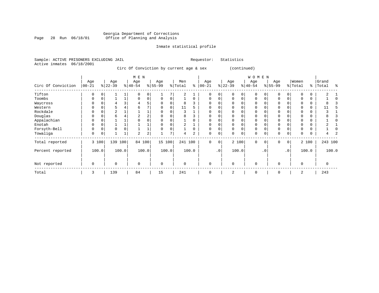#### Georgia Department of Corrections Page 28 Run 06/18/01 Office of Planning and Analysis

# Inmate statistical profile

|  | Sample: ACTIVE PRISONERS EXCLUDING JAIL |  |                                         | Requestor: | Statistics  |
|--|-----------------------------------------|--|-----------------------------------------|------------|-------------|
|  | Active inmates 06/18/2001               |  |                                         |            |             |
|  |                                         |  | Circ Of Conviction by current age & sex |            | (continued) |

|                    |                   |       |                  |       | M E N            |       |                  |        |                |          |                   |    |                 |          | WOMEN           |           |                  |                 |                  |       |                |       |
|--------------------|-------------------|-------|------------------|-------|------------------|-------|------------------|--------|----------------|----------|-------------------|----|-----------------|----------|-----------------|-----------|------------------|-----------------|------------------|-------|----------------|-------|
| Circ Of Conviction | Age<br>$ 00 - 21$ |       | Age<br>$ 22-39 $ |       | Age<br>$ 40-54 $ |       | Age<br>$8 55-99$ |        | Men<br>% Total | နွ       | Age<br>$ 00 - 21$ |    | Age<br>$ 22-39$ |          | Age<br>$ 40-54$ |           | Age<br>$8 55-99$ |                 | Women<br>% Total | ွေ    | Grand<br>Total | ႜ     |
| Tifton             | $\Omega$          |       |                  |       |                  | 0     |                  |        |                |          | O                 | 0  |                 |          |                 |           |                  | $\Omega$        |                  |       |                |       |
| Toombs             | 0                 |       |                  |       |                  | 0     | 0                |        |                | 0        | 0                 | 0  |                 | $\Omega$ | 0               |           | $\Omega$         |                 |                  | 0     |                |       |
| Waycross           |                   |       |                  |       | 4                |       |                  |        | 8              |          | $\Omega$          |    |                 |          |                 |           |                  |                 |                  | 0     |                |       |
| Western            | O                 |       | 5                |       | 6                |       | U                | $\cap$ | 11             | 5        | $\Omega$          |    |                 |          | O               |           |                  |                 |                  | 0     | 11             |       |
| Rockdale           |                   |       | 2                |       |                  |       |                  |        | ર              |          |                   |    |                 |          |                 |           |                  |                 |                  |       |                |       |
| Douglas            | U                 |       | б                |       |                  |       |                  |        | 8              |          |                   |    |                 |          |                 |           |                  |                 |                  |       |                |       |
| Appalachian        | 0                 |       |                  |       |                  |       |                  |        |                |          |                   |    |                 |          |                 |           |                  |                 |                  | 0     |                |       |
| Enotah             |                   |       |                  |       |                  |       |                  |        |                |          | $\Omega$          |    |                 |          | O               |           |                  |                 |                  | 0     |                |       |
| Forsyth-Bell       | $\Omega$          |       | $\mathbf 0$      |       |                  |       | U                |        |                | $\Omega$ | $\Omega$          |    |                 |          | $\Omega$        |           | $\Omega$         |                 |                  | 0     |                |       |
| Towaliga           | $\mathbf 0$       |       |                  | 1     | 2                | 2     |                  |        | 4              | 2        | 0                 | 0  |                 | 0        | 0               |           | 0                | 0               | 0                | 0     |                |       |
| Total reported     |                   | 3 100 | 139              | 100   | 84 100           |       | 15 100           |        | 241            | 100      | 0                 | 0  |                 | 2 100    | 0               | 0         | 0                | $\overline{0}$  |                  | 2 100 | 243 100        |       |
| Percent reported   |                   | 100.0 |                  | 100.0 |                  | 100.0 |                  | 100.0  |                | 100.0    |                   | .0 |                 | 100.0    |                 | $\cdot$ 0 |                  | .0 <sup>1</sup> |                  | 100.0 |                | 100.0 |
| Not reported       | $\mathbf 0$       |       | $\mathbf 0$      |       | $\Omega$         |       | $\mathbf 0$      |        | $\mathbf 0$    |          | 0                 |    | $\Omega$        |          | 0               |           | $\Omega$         |                 | $\Omega$         |       | 0              |       |
| Total              | 3                 |       | 139              |       | 84               |       | 15               |        | 241            |          | $\Omega$          |    | $\overline{2}$  |          | 0               |           | $\Omega$         |                 | 2                |       | 243            |       |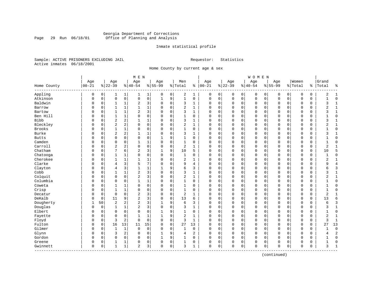# Georgia Department of Corrections Page 29 Run 06/18/01 Office of Planning and Analysis

# Inmate statistical profile

Sample: ACTIVE PRISONERS EXCLUDING JAIL **Requestor:** Statistics Active inmates 06/18/2001

Home County by current age & sex

|                      |                  |             |                  |                | M E N                   |                |                  |             |                |                |                   |   |                  |             | WOMEN            |             |                  |             |                  |             |                |                |
|----------------------|------------------|-------------|------------------|----------------|-------------------------|----------------|------------------|-------------|----------------|----------------|-------------------|---|------------------|-------------|------------------|-------------|------------------|-------------|------------------|-------------|----------------|----------------|
| Home County          | Age<br>$00 - 21$ |             | Age<br>$8 22-39$ |                | Age<br>$ 40-54$         |                | Age<br>$8 55-99$ |             | Men<br>% Total |                | Age<br>$% 100-21$ |   | Age<br>$8 22-39$ |             | Age<br>$8 40-54$ |             | Age<br>$8 55-99$ |             | Women<br>% Total | ి           | Grand<br>Total | ႜ              |
| Appling              | 0                | 0           | 1                | 1              | 1                       | $\mathbf{1}$   | 0                | 0           | 2              | 1              | 0                 | 0 | 0                | 0           | 0                | 0           | 0                | $\mathbf 0$ | O                | 0           | 2              | $\mathbf{1}$   |
| Atkinson             | 0                | $\mathbf 0$ | $\mathbf 0$      | $\mathsf 0$    | $\mathbf 0$             | 0              | $\mathbf 1$      | 9           | $\mathbf{1}$   | 0              | $\mathbf 0$       | 0 | $\mathbf 0$      | $\mathbf 0$ | $\Omega$         | $\mathbf 0$ | $\Omega$         | $\mathbf 0$ | O                | 0           | $\mathbf{1}$   | $\mathbf 0$    |
| Baldwin              | 0                | 0           | 1                | 1              | 2                       | 3              | $\mathbf 0$      | 0           | 3              | 1              | 0                 | 0 | 0                | 0           | 0                | $\mathbf 0$ | 0                | 0           | O                | 0           | 3              | 1              |
| Barrow               | $\Omega$         | $\Omega$    | $\mathbf{1}$     | $\mathbf{1}$   | $\mathbf{1}$            | $\mathbf 1$    | $\Omega$         | $\Omega$    | 2              | $\mathbf{1}$   | $\Omega$          | 0 | $\Omega$         | $\Omega$    | $\Omega$         | $\mathbf 0$ | $\Omega$         | $\Omega$    | $\Omega$         | $\Omega$    | 2              | $\mathbf{1}$   |
| Bartow               | O                | $\Omega$    | $\mathbf{1}$     | 1              | $\overline{2}$          | 3              | O                | $\Omega$    | 3              | 1              | $\Omega$          | 0 | $\Omega$         | $\Omega$    | 0                | $\Omega$    | $\Omega$         | $\Omega$    | $\Omega$         | 0           | ζ              | $\mathbf{1}$   |
| Ben Hill             | 0                | 0           | $\mathbf{1}$     | 1              | $\Omega$                | 0              | O                | $\mathbf 0$ | $\mathbf{1}$   | 0              | $\Omega$          | 0 | $\Omega$         | $\mathbf 0$ | 0                | $\mathbf 0$ | $\Omega$         | $\mathbf 0$ | $\Omega$         | 0           | 1              | $\mathbf 0$    |
| Bibb                 | 0                | 0           | $\overline{2}$   | $\overline{c}$ | $\mathbf 1$             | $\mathbf 1$    |                  | 0           | 3              | $\mathbf{1}$   | 0                 | 0 | $\Omega$         | $\mathsf 0$ | 0                | 0           | $\Omega$         | 0           | O                | 0           | 3              | $\mathbf{1}$   |
| Bleckley             | 0                | 0           | $\overline{c}$   | 2              | $\Omega$                | 0              | $\Omega$         | $\mathbf 0$ | 2              | $\mathbf{1}$   | $\Omega$          | 0 | $\Omega$         | $\mathbf 0$ | $\Omega$         | 0           | $\Omega$         | $\Omega$    | $\Omega$         | 0           | 2              | $\mathbf{1}$   |
| Brooks               | 0                | 0           | 1                | $\mathbf{1}$   | $\Omega$                | 0              | $\Omega$         | $\mathbf 0$ | $\mathbf{1}$   | 0              | $\mathbf 0$       | 0 | $\Omega$         | 0           | 0                | $\mathbf 0$ | $\Omega$         | $\mathbf 0$ | $\Omega$         | 0           | 1              | $\mathbf 0$    |
| <b>Burke</b>         | 0                | 0           | $\overline{2}$   | 2              | 1                       | 1              | $\Omega$         | $\mathbf 0$ | 3              | 1              | $\Omega$          | 0 | $\Omega$         | $\mathbf 0$ | 0                | 0           | $\Omega$         | 0           | $\Omega$         | 0           | 3              | $\mathbf{1}$   |
| <b>Butts</b>         | 0                | $\Omega$    | $\Omega$         | $\Omega$       | $\mathbf 0$             | 0              | $\mathbf{1}$     | 9           | 1              | $\Omega$       | $\Omega$          | 0 | $\Omega$         | 0           | 0                | $\Omega$    | $\Omega$         | $\Omega$    | $\mathbf 0$      | 0           | 1              | $\mathbf 0$    |
| Camden               | 0                | $\Omega$    | $\Omega$         | $\Omega$       | $\mathbf{1}$            | $\mathbf{1}$   | $\Omega$         | $\Omega$    | $\mathbf{1}$   | $\Omega$       | $\Omega$          | 0 | $\Omega$         | $\mathbf 0$ | $\Omega$         | $\mathbf 0$ | $\Omega$         | $\Omega$    | $\Omega$         | $\mathbf 0$ | $\mathbf{1}$   | $\mathbf 0$    |
| Carroll              | N                | $\mathbf 0$ | 2                | 2              | $\Omega$                | 0              | $\Omega$         | $\mathbf 0$ | 2              | $\mathbf{1}$   | $\Omega$          | 0 | $\Omega$         | $\mathbf 0$ | $\Omega$         | $\Omega$    | $\Omega$         | $\mathbf 0$ | $\Omega$         | 0           | $\overline{2}$ | $\mathbf{1}$   |
| Chatham              | 0                | $\Omega$    | 7                | 6              | $\overline{\mathbf{c}}$ | 3              | 1                | 9           | 10             | 5              | $\Omega$          | 0 | $\Omega$         | $\mathbf 0$ | $\Omega$         | 0           | $\Omega$         | $\Omega$    | O                | 0           | 10             | 5              |
| Chatooga             | 0                | $\Omega$    | $\mathbf{1}$     | 1              | $\Omega$                | 0              | $\mathbf 0$      | 0           | 1              | 0              | $\mathbf 0$       | 0 | $\Omega$         | 0           | 0                | 0           | $\Omega$         | 0           | O                | 0           |                | $\mathbf 0$    |
| Cherokee             | 0                | $\Omega$    |                  |                | $\mathbf{1}$            | 1              | $\Omega$         | $\mathbf 0$ | 2              | 1              | $\Omega$          | 0 | $\Omega$         | $\mathbf 0$ | 0                | $\mathbf 0$ | $\Omega$         | $\Omega$    | $\Omega$         | 0           | 2              | $\mathbf{1}$   |
| Clarke               | N                | $\Omega$    | $\overline{4}$   | 3              | 5                       | 7              | $\Omega$         | $\Omega$    | 9              | 4              | $\Omega$          | 0 | $\Omega$         | $\Omega$    | $\Omega$         | $\Omega$    | $\Omega$         | $\Omega$    | $\bigcap$        | 0           | 9              | $\overline{4}$ |
| Clayton              | 0                | $\Omega$    | $\overline{4}$   | 3              | $\mathbf{1}$            | $\mathbf 1$    | -1               | 9           | 6              | 3              | $\Omega$          | 0 | $\Omega$         | $\mathbf 0$ | 0                | $\mathbf 0$ | $\Omega$         | $\mathbf 0$ | $\Omega$         | 0           | 6              | 3              |
| Cobb                 | 0                | 0           | 1                | 1              | $\overline{c}$          | 3              | $\Omega$         | $\mathbf 0$ | 3              | $\mathbf 1$    | $\Omega$          | 0 | $\Omega$         | $\mathbf 0$ | 0                | $\mathbf 0$ | $\Omega$         | $\mathbf 0$ | O                | 0           | 3              | $\mathbf{1}$   |
| Colquit              | 0                | 0           | $\mathbf 0$      | $\mathbf 0$    | $\overline{c}$          | 3              | $\Omega$         | $\mathbf 0$ | $\overline{c}$ | $\mathbf{1}$   | 0                 | 0 | 0                | 0           | 0                | $\mathbf 0$ | $\Omega$         | 0           | O                | 0           | 2              | $\mathbf{1}$   |
| Columbia             | $\Omega$         | 0           | $\Omega$         | $\mathbf 0$    | $\mathbf{1}$            | $\mathbf 1$    | $\Omega$         | $\mathbf 0$ | $\mathbf{1}$   | $\Omega$       | $\Omega$          | 0 | $\Omega$         | $\mathbf 0$ | $\Omega$         | $\mathbf 0$ | $\Omega$         | $\mathbf 0$ | $\Omega$         | 0           |                | $\mathbf 0$    |
| Coweta               | 0                | 0           |                  | 1              | $\Omega$                | 0              | O                | 0           | 1              | 0              | 0                 | 0 | $\Omega$         | 0           | 0                | 0           | $\Omega$         | 0           | 0                | 0           |                | $\mathbf 0$    |
| Crisp                | 0                | $\mathbf 0$ | 1                | $\mathbf{1}$   | 0                       | 0              | $\Omega$         | $\mathbf 0$ | 1              | 0              | $\Omega$          | 0 | $\Omega$         | 0           | 0                | $\Omega$    | $\Omega$         | $\Omega$    | $\Omega$         | 0           | 1              | $\mathbf 0$    |
| Decatur              | 0                | 0           | $\mathbf 0$      | $\mathbf 0$    | $\overline{a}$          | 3              | $\Omega$         | $\mathbf 0$ | $\overline{2}$ | 1              | 0                 | 0 | $\Omega$         | 0           | 0                | $\mathbf 0$ | $\Omega$         | 0           | $\mathbf 0$      | 0           | $\overline{2}$ | 1              |
| DeKalb               | 0                | $\mathbf 0$ | 11               | 9              | 2                       | 3              | $\Omega$         | $\mathbf 0$ | 13             | 6              | $\Omega$          | 0 | $\Omega$         | $\mathbf 0$ | 0                | $\mathbf 0$ | $\Omega$         | $\Omega$    | O                | $\mathbf 0$ | 13             | 6              |
| Dougherty            | 1                | 50          | $\overline{2}$   | $\overline{2}$ | 2                       | 3              | $\mathbf{1}$     | 9           | 6              | 3              | $\Omega$          | 0 | $\Omega$         | $\mathbf 0$ | $\Omega$         | $\mathbf 0$ | $\Omega$         | $\mathbf 0$ | O                | 0           | 6              | 3              |
| Douglas              | $\Omega$         | $\mathbf 0$ | 1                | 1              | 2                       | 3              | $\mathbf 0$      | $\mathbf 0$ | 3              | 1              | $\Omega$          | 0 | $\Omega$         | 0           | 0                | $\mathbf 0$ | $\Omega$         | 0           | $\Omega$         | 0           | 3              | $\mathbf{1}$   |
| Elbert               | 0                | 0           | $\Omega$         | $\Omega$       | $\Omega$                | 0              |                  | 9           | 1              | $\Omega$       | $\mathbf 0$       | 0 | $\Omega$         | 0           | 0                | $\mathbf 0$ | $\Omega$         | $\Omega$    | $\Omega$         | 0           |                | $\mathbf 0$    |
| Fayette              | N                | $\Omega$    | $\Omega$         | $\mathbf 0$    | $\mathbf{1}$            | $\mathbf 1$    |                  | 9           | 2              | $\mathbf 1$    | $\Omega$          | 0 | $\Omega$         | $\Omega$    | $\Omega$         | $\Omega$    | $\Omega$         | $\Omega$    | $\bigcap$        | $\Omega$    | 2              | $\mathbf{1}$   |
| Floyd                | 0                | 0           | $\overline{3}$   | $\overline{c}$ | $\Omega$                | 0              | $\Omega$         | $\Omega$    | 3              | $\mathbf{1}$   | $\Omega$          | 0 | $\Omega$         | $\Omega$    | 0                | $\mathbf 0$ | $\Omega$         | $\Omega$    | $\mathbf 0$      | 0           | 3              | $\mathbf{1}$   |
| Fulton               | 0                | 0           | 16               | 13             | 11                      | 15             | 0                | 0           | 27             | 13             | 0                 | 0 | $\Omega$         | $\mathsf 0$ | 0                | 0           | 0                | $\mathbf 0$ | 0                | 0           | 27             | 13             |
| Gilmer               | $\Omega$         | 0           | 1                | $\mathbf{1}$   | $\mathbf 0$             | 0              | $\Omega$         | $\mathbf 0$ | 1              | 0              | $\Omega$          | 0 | $\Omega$         | 0           | 0                | $\mathbf 0$ | $\Omega$         | 0           | O                | 0           |                | $\mathbf 0$    |
| Glynn                | $\Omega$         | 0           | 3                | $\overline{c}$ | $\Omega$                | 0              | 1                | 9           | 4              | $\overline{c}$ | $\Omega$          | 0 | $\Omega$         | 0           | $\Omega$         | $\mathbf 0$ | $\Omega$         | $\Omega$    | $\Omega$         | 0           | 4              | $\overline{a}$ |
| Gordon               | 0                | 0           | 0                | 0              | 0                       | 0              |                  | 9           | 1              | 0              | $\mathbf 0$       | 0 | $\Omega$         | 0           | 0                | 0           | $\Omega$         | 0           | 0                | 0           |                | $\mathbf 0$    |
| Greene               | 0                | 0           |                  | 1              | 0                       | 0              | 0                | 0           | 1              | 0              | 0                 | 0 | $\Omega$         | 0           | 0                | 0           | $\Omega$         | 0           | $\Omega$         | 0           |                | 0              |
| Gwinnett<br>-------- | 0                | 0           | 1                | 1              | $\overline{a}$          | 3 <sup>1</sup> | $\Omega$         | $\mathbf 0$ | 3              | 1              | $\mathbf 0$       | 0 | $\Omega$         | $\mathbf 0$ | 0                | 0           | 0                | 0           | $\mathbf 0$      | 0           | 3              | $\mathbf{1}$   |

(continued)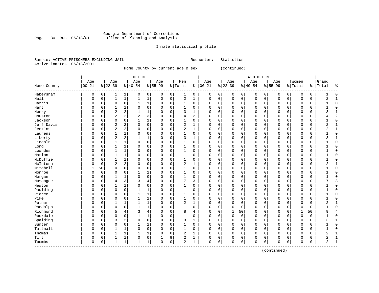# Georgia Department of Corrections Page 30 Run 06/18/01 Office of Planning and Analysis

# Inmate statistical profile

|  | Sample: ACTIVE PRISONERS EXCLUDING JAIL | Requestor: Statistics |
|--|-----------------------------------------|-----------------------|
|  | Active inmates 06/18/2001               |                       |

Home County by current age & sex (continued)

|                              |              |             |                |                | M E N          |                |             |             |                |                |          |          |             |             | WOMEN     |          |             |             |             |          |                |                |
|------------------------------|--------------|-------------|----------------|----------------|----------------|----------------|-------------|-------------|----------------|----------------|----------|----------|-------------|-------------|-----------|----------|-------------|-------------|-------------|----------|----------------|----------------|
|                              | Age          |             | Age            |                | Age            |                | Age         |             | Men            |                | Age      |          | Age         |             | Age       |          | Age         |             | Women       |          | Grand          |                |
| Home County<br>------------- | $00 - 21$    |             | $8 22-39$      |                | $ 40-54$       |                | $8 55-99$   |             | % Total        | နွ             | $ 00-21$ |          | $8 22-39$   |             | $8 40-54$ |          | $8 55-99$   |             | % Total     | ႜ        | Total          | $\approx$      |
| Habersham                    | 0            | 0           | 1              | 1              | 0              | 0              | 0           | 0           | 1              | 0              | 0        | 0        | $\mathbf 0$ | 0           | 0         | 0        | 0           | 0           | $\Omega$    | 0        |                | $\Omega$       |
| Hall                         | 0            | 0           | 1              | $1\,$          | 1              | $\mathbf 1$    | 0           | $\mathbf 0$ | $\overline{2}$ | 1              | $\Omega$ | 0        | $\Omega$    | $\mathbf 0$ | 0         | 0        | $\mathbf 0$ | 0           | $\Omega$    | 0        | $\overline{2}$ | $\mathbf{1}$   |
| Harris                       | 0            | 0           | 0              | 0              | $\mathbf{1}$   | $\mathbf 1$    | 0           | 0           | 1              | 0              | $\Omega$ | 0        | $\Omega$    | 0           | 0         | 0        | $\Omega$    | 0           | $\Omega$    | 0        |                | $\Omega$       |
| Hart                         | O            | $\Omega$    | 1              | $\mathbf{1}$   | $\Omega$       | $\mathbf 0$    | $\Omega$    | $\mathbf 0$ | $\mathbf 1$    | $\Omega$       | $\Omega$ | $\Omega$ | $\Omega$    | $\Omega$    | $\Omega$  | $\Omega$ | $\Omega$    | $\Omega$    | $\Omega$    | $\Omega$ |                | $\Omega$       |
| Henry                        | 0            | $\Omega$    | $\overline{2}$ | 2              | $\mathbf{1}$   | $\mathbf{1}$   | $\Omega$    | 0           | 3              | 1              | 0        | $\Omega$ | $\Omega$    | $\Omega$    | $\Omega$  | $\Omega$ | $\Omega$    | $\Omega$    | $\Omega$    | $\Omega$ | 3              | 1              |
| Houston                      | 0            | $\Omega$    | $\overline{c}$ | $\overline{a}$ | $\overline{2}$ | 3              | $\Omega$    | $\mathbf 0$ | $\overline{4}$ | $\overline{c}$ | 0        | $\Omega$ | $\Omega$    | $\Omega$    | 0         | $\Omega$ | $\Omega$    | $\Omega$    | $\Omega$    | 0        | 4              | $\overline{c}$ |
| Jackson                      | 0            | $\mathbf 0$ | $\mathbf 0$    | $\mathbf 0$    | $\mathbf{1}$   | $\mathbf{1}$   | 0           | $\mathbf 0$ | $\mathbf 1$    | $\mathbf 0$    | $\Omega$ | 0        | $\Omega$    | $\mathbf 0$ | 0         | 0        | $\Omega$    | 0           | $\mathbf 0$ | 0        |                | $\mathbf 0$    |
| Jeff Davis                   | 0            | 0           | $\overline{2}$ | 2              | 0              | 0              | $\Omega$    | $\mathbf 0$ | $\overline{a}$ | $\mathbf{1}$   | $\Omega$ | 0        | $\Omega$    | $\mathbf 0$ | 0         | 0        | $\Omega$    | 0           | $\Omega$    | 0        | $\overline{2}$ | $\mathbf{1}$   |
| Jenkins                      | 0            | 0           | $\overline{2}$ | $\sqrt{2}$     | 0              | $\mathsf 0$    | $\Omega$    | $\mathbf 0$ | $\overline{2}$ | $\mathbf{1}$   | $\Omega$ | $\Omega$ | 0           | $\Omega$    | 0         | 0        | $\Omega$    | $\Omega$    | $\Omega$    | 0        | $\overline{2}$ | $\mathbf{1}$   |
| Laurens                      | 0            | 0           | $\mathbf{1}$   | 1              | 0              | 0              | 0           | 0           | 1              | 0              | $\Omega$ | 0        | 0           | 0           | 0         | 0        | $\mathbf 0$ | 0           | 0           | 0        |                | $\Omega$       |
| Liberty                      | 0            | 0           | $\overline{2}$ | 2              | 1              | 1              | 0           | $\mathbf 0$ | 3              | 1              | 0        | 0        | 0           | $\mathbf 0$ | 0         | 0        | $\Omega$    | 0           | 0           | 0        | 3              | 1              |
| Lincoln                      | O            | $\Omega$    | $\mathbf{1}$   | $\mathbf{1}$   | $\mathbf 0$    | $\mathsf 0$    | $\Omega$    | $\mathbf 0$ | $\mathbf 1$    | 0              | $\Omega$ | 0        | $\Omega$    | $\Omega$    | 0         | 0        | $\Omega$    | $\Omega$    | $\Omega$    | 0        |                | $\Omega$       |
| Long                         | 0            | $\Omega$    | 1              | 1              | $\mathbf 0$    | $\mathbf 0$    | $\Omega$    | $\mathbf 0$ | $\mathbf 1$    | 0              | $\Omega$ | $\Omega$ | $\Omega$    | $\Omega$    | $\Omega$  | $\Omega$ | $\Omega$    | $\Omega$    | $\Omega$    | 0        |                | $\sqrt{ }$     |
| Lowndes                      | 0            | 0           | $\mathbf{1}$   | $\mathbf{1}$   | $\mathbf 0$    | 0              | $\Omega$    | $\mathbf 0$ | $\mathbf 1$    | $\mathbf 0$    | 0        | 0        | $\Omega$    | $\mathbf 0$ | 0         | 0        | $\mathbf 0$ | $\Omega$    | $\Omega$    | 0        |                | $\Omega$       |
| Marion                       | 0            | $\mathbf 0$ | $\mathbf{1}$   | $\mathbf{1}$   | $\Omega$       | 0              | $\Omega$    | $\mathbf 0$ | $\mathbf 1$    | $\mathbf 0$    | 0        | 0        | $\Omega$    | $\mathbf 0$ | $\Omega$  | 0        | $\Omega$    | $\mathbf 0$ | $\Omega$    | 0        |                | $\Omega$       |
| McDuffie                     | 0            | 0           | $\mathbf{1}$   | $\mathbf{1}$   | $\mathsf 0$    | 0              | 0           | $\mathbf 0$ | $\mathbf{1}$   | $\mathbf 0$    | $\Omega$ | 0        | $\Omega$    | $\mathbf 0$ | $\Omega$  | 0        | $\Omega$    | 0           | $\mathbf 0$ | 0        |                | ſ              |
| McIntosh                     | O            | 0           | $\overline{c}$ | 2              | $\mathbf 0$    | 0              | $\Omega$    | $\mathbf 0$ | $\overline{2}$ | $\mathbf 1$    | $\Omega$ | 0        | $\Omega$    | $\mathbf 0$ | 0         | 0        | $\Omega$    | $\Omega$    | $\Omega$    | 0        | 2              | $\mathbf{1}$   |
| Mitchell                     | $\mathbf{1}$ | 50          | $\mathbf 0$    | 0              | 0              | 0              | $\Omega$    | 0           | 1              | 0              | $\Omega$ | 0        | $\Omega$    | $\mathbf 0$ | 0         | 0        | $\Omega$    | 0           | $\Omega$    | 0        |                | $\Omega$       |
| Monroe                       | O            | 0           | $\mathbf 0$    | 0              | $\mathbf{1}$   | 1              | $\Omega$    | 0           | 1              | $\Omega$       | $\Omega$ | 0        | $\Omega$    | $\Omega$    | 0         | $\Omega$ | $\Omega$    | $\Omega$    | $\Omega$    | 0        |                | $\Omega$       |
| Morgan                       | O            | $\Omega$    | 1              | 1              | $\Omega$       | $\mathbf 0$    | $\Omega$    | $\mathbf 0$ | 1              | $\Omega$       | $\Omega$ | 0        | $\Omega$    | $\mathbf 0$ | 0         | 0        | $\Omega$    | 0           | $\Omega$    | 0        |                | $\sqrt{ }$     |
| Muscogee                     | 0            | $\Omega$    | $\overline{4}$ | 3              | 3              | $\overline{4}$ | $\Omega$    | $\mathbf 0$ | 7              | 3              | 0        | $\Omega$ | $\Omega$    | $\Omega$    | $\Omega$  | $\Omega$ | $\Omega$    | $\Omega$    | $\Omega$    | $\Omega$ |                | 3              |
| Newton                       | 0            | $\Omega$    | 1              | 1              | 0              | 0              | $\Omega$    | $\mathbf 0$ | 1              | $\Omega$       | $\Omega$ | $\Omega$ | $\Omega$    | $\Omega$    | $\Omega$  | $\Omega$ | $\Omega$    | $\Omega$    | $\Omega$    | 0        |                | $\Omega$       |
| Paulding                     | 0            | $\Omega$    | $\mathbf 0$    | $\mathbf 0$    | $\mathbf{1}$   | $\mathbf 1$    | $\Omega$    | $\mathbf 0$ | 1              | $\Omega$       | $\Omega$ | $\Omega$ | $\Omega$    | $\Omega$    | 0         | $\Omega$ | $\Omega$    | $\Omega$    | $\Omega$    | 0        |                | $\Omega$       |
| Pierce                       | 0            | 0           | 0              | 0              | $\mathbf{1}$   | $\mathbf 1$    | $\Omega$    | $\mathbf 0$ | $\mathbf 1$    | 0              | 0        | 0        | $\Omega$    | $\mathbf 0$ | 0         | 0        | $\Omega$    | $\Omega$    | $\Omega$    | 0        |                | $\Omega$       |
| Pike                         | 0            | 0           | $\mathbf 0$    | 0              | $\mathbf{1}$   | $\mathbf 1$    | $\Omega$    | $\mathbf 0$ | $\mathbf 1$    | $\Omega$       | $\Omega$ | $\Omega$ | O           | $\Omega$    | 0         | 0        | $\Omega$    | $\Omega$    | $\Omega$    | 0        |                | $\Omega$       |
| Putnam                       | 0            | 0           | 1              | 1              | $\mathbf{1}$   | 1              | $\Omega$    | $\mathbf 0$ | $\overline{2}$ | 1              | $\Omega$ | 0        | $\Omega$    | 0           | 0         | 0        | $\mathbf 0$ | 0           | $\Omega$    | 0        | $\overline{2}$ | $\mathbf{1}$   |
| Randolph                     | 0            | 0           | $\mathbf 0$    | $\mathbf 0$    | 1              | 1              | 0           | $\mathbf 0$ | 1              | 0              | $\Omega$ | 0        | 0           | $\mathbf 0$ | 0         | 0        | $\mathbf 0$ | 0           | $\Omega$    | 0        |                | $\Omega$       |
| Richmond                     | 0            | 0           | 5              | 4              | 3              | $\overline{4}$ | 0           | $\mathbf 0$ | 8              | 4              | 0        | 0        |             | 50          | 0         | 0        | 0           | 0           | 1           | 50       | 9              | 4              |
| Rockdale                     | 0            | $\Omega$    | $\mathbf 0$    | 0              | $\mathbf{1}$   | 1              | 0           | $\mathbf 0$ | $\mathbf{1}$   | 0              | $\Omega$ | 0        | $\mathbf 0$ | $\mathbf 0$ | 0         | 0        | $\mathbf 0$ | 0           | $\mathbf 0$ | 0        |                | $\Omega$       |
| Spalding                     | 0            | $\Omega$    | 3              | 2              | $\mathbf 0$    | $\mathbf 0$    | 0           | $\mathbf 0$ | 3              | 1              | $\Omega$ | $\Omega$ | $\Omega$    | $\Omega$    | 0         | 0        | $\Omega$    | $\Omega$    | $\Omega$    | 0        | 3              | -1             |
| Sumter                       | 0            | 0           | $\mathbf 0$    | $\mathbf 0$    | 1              | $\mathbf 1$    | 0           | $\mathbf 0$ | $\mathbf 1$    | 0              | $\Omega$ | 0        | $\Omega$    | $\mathbf 0$ | 0         | 0        | $\mathbf 0$ | $\Omega$    | $\Omega$    | 0        |                | $\Omega$       |
| Tattnall                     | 0            | $\mathsf 0$ | 1              | $\mathbf{1}$   | $\mathbf 0$    | 0              | $\Omega$    | $\mathbf 0$ | $\mathbf 1$    | $\mathbf 0$    | $\Omega$ | 0        | $\Omega$    | $\mathbf 0$ | 0         | 0        | $\Omega$    | $\Omega$    | $\Omega$    | 0        | 1              | $\Omega$       |
| Thomas                       | 0            | 0           | 1              | $\mathbf{1}$   | $\mathbf{1}$   | $\mathbf 1$    | 0           | $\mathbf 0$ | $\overline{2}$ | $\mathbf{1}$   | $\Omega$ | 0        | $\Omega$    | $\mathbf 0$ | 0         | 0        | $\Omega$    | 0           | $\mathbf 0$ | 0        | $\overline{2}$ | $\mathbf{1}$   |
| Tift                         | 0            | 0           | $\mathbf{1}$   | $\mathbf{1}$   | $\mathbf 0$    | 0              | 1           | 9           | $\overline{a}$ | $\mathbf 1$    | $\Omega$ | 0        | O           | 0           | 0         | 0        | $\mathbf 0$ | 0           | $\Omega$    | 0        | 2              | $\mathbf{1}$   |
| Toombs                       | $\mathbf 0$  | 0           | $\mathbf{1}$   | $\mathbf{1}$   | $\mathbf{1}$   | $\mathbf 1$    | $\mathbf 0$ | $\mathbf 0$ | $\overline{c}$ | 1              | $\Omega$ | 0        | O           | $\mathbf 0$ | 0         | 0        | $\Omega$    | $\mathbf 0$ | 0           | 0        | $\overline{a}$ | $\overline{1}$ |

(continued)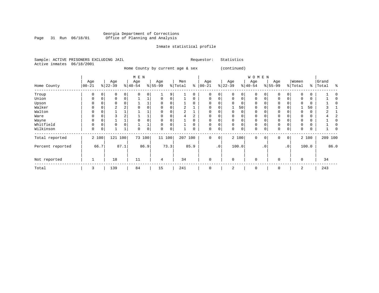#### Georgia Department of Corrections Page 31 Run 06/18/01 Office of Planning and Analysis

# Inmate statistical profile

|  | Sample: ACTIVE PRISONERS EXCLUDING JAIL |  |                                  |  | Requestor: | Statistics  |
|--|-----------------------------------------|--|----------------------------------|--|------------|-------------|
|  | Active inmates 06/18/2001               |  |                                  |  |            |             |
|  |                                         |  | Home County by current age & sex |  |            | (continued) |

|                  |                  |       |                  |                   | M E N            |             |                  |          |                |          |                  |           |                  |             | <b>WOMEN</b>     |           |                 |           |                  |          |                 |      |
|------------------|------------------|-------|------------------|-------------------|------------------|-------------|------------------|----------|----------------|----------|------------------|-----------|------------------|-------------|------------------|-----------|-----------------|-----------|------------------|----------|-----------------|------|
| Home County      | Age<br>$00 - 21$ |       | Age<br>$ 22-39 $ |                   | Age<br>$ 40-54 $ |             | Age<br>$ 55-99 $ |          | Men<br>% Total | နွ       | Age<br>$ 00-21 $ |           | Age<br>$ 22-39 $ |             | Age<br>$ 40-54 $ |           | Age<br>$ 55-99$ |           | Women<br>% Total | နွ       | Grand<br>'Total | န္   |
| Troup            | 0                |       | 0                | 0                 | 0                | 0           |                  | 9        |                |          | 0                | 0         | 0                | 0           | $\mathbf 0$      |           | $\mathbf 0$     | 0         |                  | 0        |                 |      |
| Union            | $\Omega$         |       | $\mathbf 0$      | 0                 |                  |             | $\Omega$         | $\Omega$ |                | $\Omega$ | 0                | 0         | $\Omega$         | $\Omega$    | $\Omega$         |           | $\mathbf 0$     | 0         |                  | $\Omega$ |                 |      |
| Upson            | 0                |       | 0                |                   |                  |             | 0                |          |                |          | 0                | 0         |                  | 0           | $\mathbf 0$      |           | $\Omega$        |           |                  | 0        |                 |      |
| Walker           | 0                | 0     | 2                | 2                 | 0                | 0           | 0                | 0        |                |          | 0                | $\Omega$  |                  | 50          | $\mathbf 0$      |           | $\mathbf 0$     | 0         |                  | 50       |                 |      |
| Walton           |                  |       |                  |                   |                  |             |                  |          |                |          | 0                |           |                  | $\Omega$    | $\Omega$         |           | $\Omega$        |           |                  | $\Omega$ |                 |      |
| Ware             |                  |       |                  |                   |                  |             |                  |          |                |          | $\Omega$         |           |                  |             | $\Omega$         |           | $\Omega$        |           |                  | $\Omega$ |                 |      |
| Wayne            | 0                | 0     |                  | ┸                 |                  | 0           | 0                | 0        |                |          | 0                | 0         |                  | $\mathbf 0$ | $\mathbf 0$      |           | $\mathbf 0$     | 0         |                  | 0        |                 |      |
| Whitfield        | 0                |       | 0                |                   |                  |             | 0                | $\Omega$ |                | $\Omega$ | 0                | 0         | 0                | $\Omega$    | $\mathbf 0$      |           | $\mathbf 0$     | 0         |                  | $\Omega$ |                 |      |
| Wilkinson        | 0                | 0     | $\mathbf{1}$     | $\mathbf{r}$<br>⊥ | 0                | $\mathbf 0$ | 0                | 0        |                | 0        | 0                | 0         | 0                | 0           | $\mathbf 0$      |           | 0               | 0         | 0                | 0        |                 |      |
| Total reported   |                  | 2 100 |                  | 121 100           |                  | 73 100      | 11 100           |          | 207            | 100      | 0                | 0         |                  | 2 100       | $\Omega$         | $\Omega$  | $\mathbf 0$     | 0         |                  | 2 100    | 209 100         |      |
| Percent reported |                  | 66.7  |                  | 87.1              |                  | 86.9        |                  | 73.3     |                | 85.9     |                  | $\cdot$ 0 |                  | 100.0       |                  | $\cdot$ 0 |                 | $\cdot$ 0 |                  | 100.0    |                 | 86.0 |
| Not reported     | 1                |       | 18               |                   | 11               |             | 4                |          | 34             |          | $\mathbf{0}$     |           | $\mathbf 0$      |             | $\mathbf 0$      |           | $\mathbf 0$     |           | $\mathbf 0$      |          | 34              |      |
| Total            | 3                |       | 139              |                   | 84               |             | 15               |          | 241            |          | 0                |           | 2                |             | $\mathbf 0$      |           | $\mathbf 0$     |           | 2                |          | 243             |      |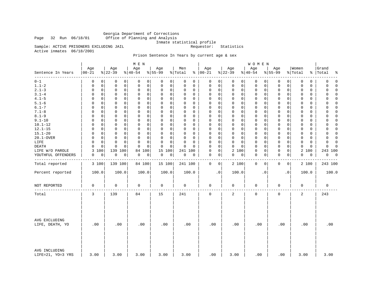Georgia Department of Corrections Office of Planning and Analysis

Inmate statistical profile<br>Requestor: Statistics

Sample: ACTIVE PRISONERS EXCLUDING JAIL Active inmates 06/18/2001

# Prison Sentence In Years by current age & sex

|                                    |                   |                 | M E N                        |                  |                |                            |                 | WOMEN            |                             |                  |                         |
|------------------------------------|-------------------|-----------------|------------------------------|------------------|----------------|----------------------------|-----------------|------------------|-----------------------------|------------------|-------------------------|
| Sentence In Years<br>--------      | Age<br>$ 00 - 21$ | Age<br>$ 22-39$ | Age<br>$\frac{1}{6}$   40-54 | Age<br>$8 55-99$ | Men<br>% Total | Age<br>$% 100-21$          | Age<br>$ 22-39$ | Age<br>$ 40-54$  | Age<br>$8 55-99$            | Women<br>% Total | Grand<br>%   Total<br>ႜ |
| $0 - 1$                            | 0                 | $\mathbf 0$     | 0                            | 0                | 0              | 0                          | $\mathbf 0$     | $\mathbf 0$      | 0                           | 0                | $\mathbf 0$             |
|                                    | $\Omega$          | 0               | 0                            | 0                | 0              | 0                          | 0               | 0                | 0                           | $\mathbf 0$      | 0                       |
| $1.1 - 2$                          | 0                 | $\mathsf 0$     | $\mathbf 0$                  | 0                | 0              | $\mathsf 0$                | $\mathbf 0$     | $\mathbf 0$      | $\mathsf{O}$                | $\Omega$         | 0                       |
|                                    | 0                 | 0               | 0                            | $\mathbf 0$      | 0              | 0                          | $\mathbf 0$     | 0                | 0                           | 0                | $\Omega$                |
| $2.1 - 3$                          | $\mathsf 0$       | $\mathsf 0$     | $\mathbf 0$                  | 0                | $\Omega$       | $\mathbf 0$                | $\mathbf 0$     | 0                | $\mathbf 0$                 | 0                | 0                       |
|                                    | $\mathbf 0$       | $\mathbf 0$     | $\mathbf 0$                  | $\mathbf 0$      | 0              | 0                          | $\mathbf 0$     | 0                | 0                           | $\mathbf 0$      | $\Omega$                |
| $3.1 - 4$                          | $\Omega$          | 0               | $\mathbf 0$                  | 0                | $\Omega$       | $\mathbf 0$                | 0               | 0                | 0                           | $\mathbf 0$      | $\Omega$                |
|                                    | 0                 | 0               | 0                            | 0                | 0              | 0                          | $\mathbf 0$     | 0                | 0                           | 0                | $\Omega$                |
| $4.1 - 5$                          | $\Omega$          | $\mathbf 0$     | $\mathbf 0$                  | 0                | $\Omega$       | $\mathsf 0$                | $\mathbf 0$     | 0                | 0                           | $\mathbf 0$      | $\Omega$                |
|                                    | 0                 | 0               | 0                            | 0                | 0              | 0                          | $\mathbf 0$     | 0                | 0                           | 0                | 0                       |
| $5.1 - 6$                          | $\Omega$          | $\Omega$        | $\mathbf 0$                  | 0                | $\Omega$       | $\mathbf 0$                | $\mathbf 0$     | 0                | $\mathbf 0$                 | $\mathbf 0$      | $\mathbf 0$             |
|                                    | 0                 | 0               | $\Omega$                     | 0                | $\Omega$       | 0                          | $\mathbf 0$     | 0                | $\mathbf 0$                 | 0                | 0                       |
| $6.1 - 7$                          | $\Omega$          | $\Omega$        | $\Omega$                     | 0                | $\Omega$       | $\Omega$                   | $\Omega$        | $\mathbf 0$      | $\mathbf 0$                 | $\Omega$         | $\Omega$                |
|                                    | $\Omega$          | 0               | $\Omega$                     | $\mathbf 0$      | $\Omega$       | $\Omega$                   | $\Omega$        | $\Omega$         | $\Omega$                    | $\Omega$         | $\Omega$                |
| $7.1 - 8$                          | 0                 | 0               | $\mathsf 0$                  | 0                | 0              | $\mathsf 0$                | $\mathsf{O}$    | 0                | $\mathsf{O}$                | $\mathbf 0$      | $\Omega$                |
|                                    | 0                 | 0               | $\mathbf 0$                  | $\mathsf 0$      | 0              | $\mathbf 0$                | $\mathbf 0$     | 0                | $\mathbf 0$                 | $\mathbf 0$      | 0                       |
| $8.1 - 9$                          | 0                 | 0               | $\Omega$                     | 0                | 0              | $\Omega$                   | $\mathbf 0$     | $\mathbf 0$      | $\mathbf 0$                 | $\Omega$         | 0                       |
|                                    | $\Omega$          | 0               | 0                            | 0                | $\Omega$       | $\mathbf 0$                | $\mathbf 0$     | 0                | $\mathbf 0$                 | 0                | $\Omega$                |
| $9.1 - 10$                         | $\Omega$          | 0               | $\Omega$                     | $\mathbf 0$      | $\Omega$       | $\mathbf 0$                | $\mathbf 0$     | $\mathbf 0$      | $\mathbf 0$                 | $\mathbf 0$      | $\Omega$                |
|                                    | $\Omega$          | 0               | $\mathbf 0$                  | 0                | 0              | $\mathbf 0$                | $\mathbf 0$     | 0                | $\mathbf 0$                 | $\mathbf 0$      | 0                       |
| $10.1 - 12$                        | 0                 | $\mathbf 0$     | $\mathbf 0$                  | 0                | $\Omega$       | $\mathbf 0$                | $\mathbf 0$     | $\mathbf 0$      | $\mathbf 0$                 | $\mathbf 0$      | $\mathbf 0$             |
|                                    | 0                 | 0               | $\mathbf 0$                  | $\mathbf 0$      | 0              | 0                          | $\mathbf 0$     | 0                | 0                           | 0                | 0                       |
| $12.1 - 15$                        | $\Omega$          | 0               | 0                            | 0                | 0              | $\Omega$                   | $\mathbf 0$     | 0                | $\mathbf 0$                 | 0                | $\mathbf 0$             |
|                                    | $\Omega$          | 0               | 0                            | 0                | $\Omega$       | 0                          | 0               | 0                | 0                           | 0                | 0                       |
| $15.1 - 20$                        | $\Omega$          | 0               | $\mathbf 0$                  | 0                | $\Omega$       | $\mathbf 0$                | $\mathbf 0$     | $\mathbf 0$      | $\mathbf 0$                 | $\mathbf 0$      | $\Omega$                |
|                                    | $\Omega$          | 0               | $\Omega$                     | $\mathbf 0$      | 0              | 0                          | $\mathbf 0$     | 0                | $\mathbf 0$                 | 0                | $\Omega$                |
| 20.1-OVER                          | $\Omega$          | $\mathbf 0$     | $\mathbf 0$                  | 0                | 0              | 0                          | $\mathbf 0$     | 0                | 0                           | $\mathbf 0$      | $\Omega$                |
|                                    | 0                 | 0               | 0                            | 0                | $\Omega$       | 0                          | $\mathbf 0$     | 0                | 0                           | 0                | 0                       |
| LIFE                               | 0                 | $\mathbf 0$     | $\mathbf 0$                  | 0                | $\mathbf 0$    | $\Omega$                   | $\mathbf 0$     | 0                | $\mathbf 0$                 | $\mathbf 0$      | 0                       |
|                                    | 0                 | 0               | 0                            | 0                | $\Omega$       | 0                          | $\mathbf 0$     | 0                | 0                           | $\mathbf 0$      | $\mathbf 0$             |
| <b>DEATH</b>                       | $\Omega$          | 0               | $\Omega$                     | 0                | $\Omega$       | $\mathbf 0$                | $\Omega$        | 0                | $\mathbf 0$                 | $\mathbf 0$      | 0                       |
|                                    | $\Omega$          | $\Omega$        | $\Omega$                     | $\Omega$         | $\Omega$       | $\Omega$                   | $\mathbf 0$     | 0                | 0                           | 0                | $\Omega$                |
| LIFE W/O PAROLE                    | 3<br>100          | 139 100         | 84 100                       | 15<br>100        | 241<br>100     | $\mathsf 0$<br>$\mathbf 0$ | 2 100           | $\mathsf 0$<br>0 | $\mathsf{O}$<br>$\mathbf 0$ | 2 100            | 243 100                 |
| YOUTHFUL OFFENDERS                 | 0                 | 0               | 0                            | 0                | 0              | 0                          | 0               | 0                | $\mathbf 0$                 | 0                | 0                       |
|                                    | 0                 | 0               | 0                            | 0                | 0              | 0                          | 0               | 0                | 0                           | 0                | $\overline{0}$          |
|                                    |                   |                 |                              |                  |                |                            |                 |                  |                             |                  |                         |
| Total reported                     | 3 100             | 139 100         | 84 100                       | 15 100           | 241 100        | 0<br>$\mathbf{0}$          | 2 100           | $\mathbf 0$<br>0 | 0<br>0                      | 2 100            | 243 100                 |
| Percent reported                   | 100.0             | 100.0           | 100.0                        | 100.0            | 100.0          | $\cdot$ 0                  | 100.0           | $\cdot$ 0        | $\cdot$ 0                   | 100.0            | 100.0                   |
| NOT REPORTED                       | 0                 | $\mathbf 0$     | 0                            | 0                | 0              | 0                          | 0               | 0                | 0                           | 0                | $\mathbf 0$             |
| Total                              | 3                 | 139             | 84                           | 15               | 241            | $\mathbf 0$                | 2               | $\mathbf 0$      | $\mathbf 0$                 | 2                | 243                     |
| AVG EXCLUDING<br>LIFE, DEATH, YO   | .00               | .00             | .00                          | .00              | .00            | .00                        | .00             | .00              | .00                         | .00              | .00                     |
| AVG INCLUDING<br>LIFE=21, YO=3 YRS | 3.00              | 3.00            | 3.00                         | 3.00             | 3.00           | .00                        | 3.00            | .00              | .00                         | 3.00             | 3.00                    |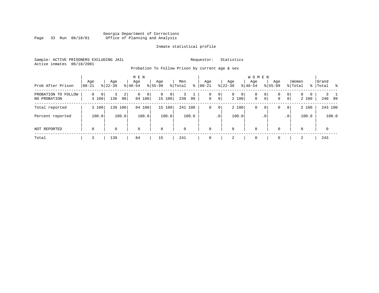# Georgia Department of Corrections<br>Page 33 Run 06/18/01 Office of Planning and Analysis Page 33 Run 06/18/01 Office of Planning and Analysis

# Inmate statistical profile

Sample: ACTIVE PRISONERS EXCLUDING JAIL **Requestor:** Statistics Active inmates 06/18/2001

Probation To Follow Prison by current age & sex

| Prob After Prison                      | Age<br>$ 00-21$        | Age<br>$ 22-39 $ | M E N<br>Age<br>$8 40-54$ | Age<br>$8 55-99$              | Men<br>% Total<br>∻ | Age<br>$ 00 - 21 $ | Aqe<br>$8$   22-39              | <b>WOMEN</b><br>Age<br>$ 40-54$             | Age<br>$8155 - 99$                                    | Women<br>% Total                                         | Grand<br>%   Total<br>- 왕 |
|----------------------------------------|------------------------|------------------|---------------------------|-------------------------------|---------------------|--------------------|---------------------------------|---------------------------------------------|-------------------------------------------------------|----------------------------------------------------------|---------------------------|
| PROBATION TO<br>FOLLOW<br>NO PROBATION | $\Omega$<br>0<br>3 100 | 2<br>136<br>98   | 0 <sup>1</sup><br>84 100  | 0<br>$\overline{0}$<br>15 100 | 238<br>99           | 0<br>0             | $\circ$<br>$\overline{0}$<br> 0 | 0 <sup>1</sup><br>0<br>2 100<br>$\mathbf 0$ | 0 <sup>1</sup><br>0<br>0 <sup>1</sup><br>$\mathbf{0}$ | $\mathbf{0}$<br>0<br>$\Omega$<br>0 <sup>1</sup><br>2 100 | 240 99                    |
| Total reported                         | 3 100                  | 139<br>100       | 84<br>100                 | 15 100                        | 241 100             | 0                  | $\circ$                         | 2 100<br>0                                  | 0 <sup>1</sup><br>0                                   | 2 100<br> 0                                              | 243 100                   |
| Percent reported                       | 100.0                  | 100.0            | 100.0                     | 100.0                         | 100.0               |                    | .0 <sup>1</sup>                 | 100.0                                       | .0 <sup>1</sup>                                       | 100.0<br>.0'                                             | 100.0                     |
| NOT REPORTED                           | $\mathbf 0$            | 0                | $\mathbf 0$               | $\mathbf 0$                   | $\Omega$            | $\Omega$           | 0                               | $\mathbf 0$                                 | $\Omega$                                              | 0                                                        | $\mathbf{0}$              |
| Total                                  |                        | 139              | 84                        | 15                            | 241                 |                    | 2                               | $\Omega$                                    |                                                       | 2                                                        | 243                       |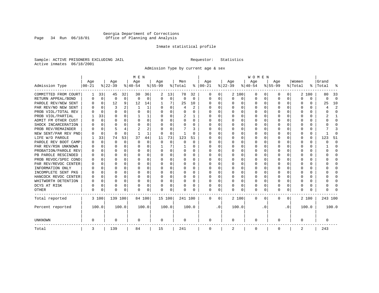# Georgia Department of Corrections<br>Page 34 Run 06/18/01 Office of Planning and Analysis Page 34 Run 06/18/01 Office of Planning and Analysis

# Inmate statistical profile

Sample: ACTIVE PRISONERS EXCLUDING JAIL **Requestor:** Statistics Active inmates 06/18/2001

Admission Type by current age & sex

|                      |           |             |           |              | M E N     |          |           |          |          |              |          |           |          |          | <b>WOMEN</b> |          |              |              |         |          |         |                         |
|----------------------|-----------|-------------|-----------|--------------|-----------|----------|-----------|----------|----------|--------------|----------|-----------|----------|----------|--------------|----------|--------------|--------------|---------|----------|---------|-------------------------|
|                      | Age       |             | Age       |              | Age       |          | Aqe       |          | Men      |              | Age      |           | Age      |          | Age          |          | Aqe          |              | Women   |          | Grand   |                         |
| Admission Type       | $00 - 21$ |             | $ 22-39 $ |              | $ 40-54 $ |          | $8 55-99$ |          | % Total  | ႜ            | $ 00-21$ |           | $ 22-39$ |          | $ 40-54$     |          | $8 55-99$    |              | % Total | ွေ       | Total   |                         |
| COMMITTED FROM COURT | 1         | 33          | 45        | 32           | 30        | 36       | 2         | 13       | 78       | 32           | 0        | 0         |          | 2 100    | 0            | U        | 0            | 0            |         | 2 100    | 80      | 33                      |
| RETURN APPEAL/BOND   | 0         | $\mathbf 0$ | 0         | $\mathbf 0$  | $\Omega$  | 0        | $\Omega$  | 0        | $\Omega$ | $\Omega$     | 0        | 0         | $\Omega$ | 0        | 0            | $\Omega$ | <sup>0</sup> | $\Omega$     | O       | 0        | 0       | $\Omega$                |
| PAROLE REV/NEW SENT  | 0         | $\Omega$    | 12        | 9            | 12        | 14       |           | 7        | 25       | 10           | n        | 0         | ∩        | $\Omega$ | 0            | $\Omega$ | $\cap$       | 0            | U       | U        | 25      | 10                      |
| PAR REV/NO NEW SENT  | U         | $\Omega$    | 3         |              | -1        | 1        |           | $\Omega$ | 4        | $\mathbf{2}$ | $\Omega$ | 0         | ∩        | $\Omega$ | O            | C        | ∩            | <sup>n</sup> | U       | O        |         | $\overline{\mathbf{c}}$ |
| PROB VIOL/TOTAL REV  |           | $\Omega$    | $\Omega$  | $\Omega$     | $\Omega$  | 0        |           | $\Omega$ | $\Omega$ | O            | n        | O         | $\Omega$ | $\Omega$ | 0            | C        | <sup>0</sup> | <sup>n</sup> | O       | O        |         | <sup>0</sup>            |
| PROB VIOL/PARTIAL    |           | 33          | O         | 0            |           | 1        |           | $\Omega$ | 2        |              | O        | 0         | O        | $\Omega$ | O            | C        |              |              |         | U        |         |                         |
| ADMIT FM OTHER CUST  | O         | $\Omega$    | O         | 0            | O         | 0        | O         | $\Omega$ | O        | 0            | $\Omega$ | 0         | O        | $\Omega$ | O            | O        | O            | 0            | O       | U        |         | <sup>0</sup>            |
| SHOCK INCARCERATION  |           | 0           | U         | 0            | O         | 0        | ∩         | $\Omega$ | O        | U            | $\Omega$ | 0         | O        | $\Omega$ | 0            | C        | <sup>0</sup> | 0            | U       | 0        |         | ∩                       |
| PROB REV/REMAINDER   |           | $\mathbf 0$ |           |              | 2         | 2        |           | $\Omega$ | 7        | 3            | $\Omega$ | 0         | $\Omega$ | $\Omega$ | 0            | $\Omega$ | ∩            | $\Omega$     | U       | 0        |         |                         |
| NEW SENT/PAR REV PND |           | $\Omega$    | $\Omega$  | $\Omega$     |           | 1        | $\Omega$  | $\Omega$ | -1       | U            | 0        | 0         | $\Omega$ | $\Omega$ | 0            | C        | <sup>0</sup> | 0            |         | $\Omega$ |         | ſ                       |
| LIFE W/O PAROLE      |           | 33          | 74        | 53           | 37        | 44       | 11        | 73       | 123      | 51           |          | O         |          | $\Omega$ | 0            | O        |              | $\Omega$     | O       | $\Omega$ | 123     | 51                      |
| PAROLE REV BOOT CAMP |           | $\Omega$    | $\Omega$  | $\Omega$     | $\Omega$  | $\Omega$ | $\Omega$  | $\Omega$ | 0        | $\Omega$     | 0        | O         |          | $\Omega$ | 0            | $\Omega$ |              |              |         | $\Omega$ | ი       | $\Omega$                |
| PAR REV/RSN UNKNOWN  |           | $\Omega$    | O         | $\Omega$     | O         | 0        |           | 7        |          | 0            | 0        | O         |          | $\Omega$ | 0            | $\Omega$ |              | 0            | O       | 0        |         | <sup>0</sup>            |
| PROBATION/PAROLE REV |           | $\Omega$    | U         | $\Omega$     | O         | 0        |           | $\Omega$ | 0        | 0            | O        | 0         | O        | $\Omega$ | 0            | $\Omega$ |              | <sup>n</sup> | O       | 0        | U       | ∩                       |
| PB PAROLE RESCINDED  |           | $\Omega$    | U         | $\Omega$     | O         | 0        |           | $\Omega$ | 0        | 0            | n        | 0         | O        | $\Omega$ | 0            | O        | n            | 0            | U       | U        |         | n                       |
| PROB REVOC/SPEC COND | n         | 0           | U         | <sup>n</sup> | n         | U        |           | ∩        | 0        | U            | $\Omega$ | U         | ∩        | ∩        | U            | C        | ∩            | <sup>n</sup> |         | 0        |         | ∩                       |
| PAR REV/REVOC CENTER | O         | 0           | U         | 0            | O         | 0        |           | $\Omega$ | 0        | O            | $\Omega$ | U         | $\Omega$ | $\Omega$ | U            | C        | ∩            | <sup>n</sup> | Λ       | 0        |         | ∩                       |
| INFORMATION ONLY     |           | $\mathbf 0$ | U         | $\Omega$     | O         | 0        |           | $\Omega$ | 0        |              | n        | O         | O        | $\Omega$ | 0            | C        |              | 0            |         | 0        |         | ∩                       |
| INCOMPLETE SENT PKG  | O         | 0           | U         | $\Omega$     | O         | 0        |           | $\Omega$ | 0        | O            | $\Omega$ | O         | O        | $\Omega$ | 0            | O        |              | 0            |         | 0        |         | <sup>0</sup>            |
| HANCOCK REVOC CENTER | 0         | 0           | U         | $\Omega$     | O         | 0        |           | $\Omega$ | 0        | 0            | $\Omega$ | 0         | O        | $\Omega$ | 0            | 0        | O            | 0            | O       | 0        |         | ∩                       |
| WHITWORTH DETENTION  | O         | $\Omega$    | U         | $\Omega$     | O         | 0        | ∩         | $\Omega$ | 0        | 0            | $\Omega$ | 0         | O        | $\Omega$ | 0            | $\Omega$ | ∩            | $\Omega$     | U       | 0        |         | ∩                       |
| DCYS AT RISK         | O         | 0           | O         | $\Omega$     | O         | 0        |           | $\Omega$ | O        | O            | $\Omega$ | 0         | $\Omega$ | $\Omega$ | O            | $\Omega$ | <sup>0</sup> | 0            |         | 0        |         | ſ                       |
| <b>OTHER</b>         | 0         | 0           | $\Omega$  | 0            | O         | 0        | $\Omega$  | 0        | N        | O            | $\Omega$ | 0         | $\Omega$ | 0        | 0            | 0        | $\Omega$     | 0            | U       | U        |         |                         |
| Total reported       |           | 3 100       | 139 100   |              | 84 100    |          | 15 100    |          | 241 100  |              | 0        | 0         |          | 2 100    | 0            | $\Omega$ | $\Omega$     | 0            |         | 2 100    | 243 100 |                         |
| Percent reported     |           | 100.0       |           | 100.0        |           | 100.0    |           | 100.0    |          | 100.0        |          | $\cdot$ 0 |          | 100.0    |              | . 0      |              | $\cdot$ 0    |         | 100.0    |         | 100.0                   |
| <b>UNKNOWN</b>       | 0         |             | 0         |              | 0         |          | 0         |          | 0        |              | 0        |           | 0        |          | 0            |          | 0            |              | O       |          | 0       |                         |
| Total                | 3         |             | 139       |              | 84        |          | 15        |          | 241      |              | 0        |           | 2        |          | 0            |          | 0            |              | 2       |          | 243     |                         |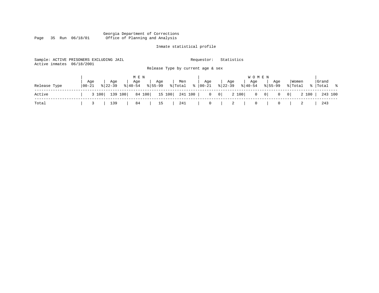#### Georgia Department of Corrections Page 35 Run 06/18/01 Office of Planning and Analysis

# Inmate statistical profile

| Active inmates | Sample: ACTIVE PRISONERS EXCLUDING JAIL<br>06/18/2001 |                                                            | Statistics<br>Requestor:                                        |                                        |                         |                      |
|----------------|-------------------------------------------------------|------------------------------------------------------------|-----------------------------------------------------------------|----------------------------------------|-------------------------|----------------------|
|                |                                                       | Release Type by current age & sex                          |                                                                 |                                        |                         |                      |
|                |                                                       | M E N                                                      |                                                                 | <b>WOMEN</b>                           |                         |                      |
| Release Type   | Aqe<br>Age<br>$ 00-21 $<br>$8122 - 39$                | Age<br>Age<br>Men<br>% Total %<br>$8155 - 99$<br>$ 40-54 $ | Age<br>Age<br>$8 22-39$<br>00-21                                | Age<br>Aqe<br>$8 40-54$<br>$8155 - 99$ | Women<br>% Total        | Grand<br>%   Total % |
| Active         | 139 100<br>3 100                                      | 84 100<br>15 100<br>241 100                                | 2 100<br>$\overline{0}$<br>$\begin{array}{c c} 0 & \end{array}$ | $0 \qquad 0 \mid$<br>$\circ$           | 2 100<br>$\overline{0}$ | 243 100              |
| Total          | 139                                                   | 84<br>241<br>15                                            | $\mathbf{0}$<br>2                                               | 0<br>0                                 |                         | 243                  |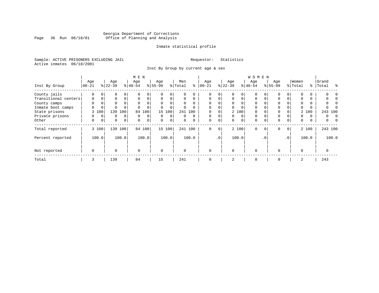# Georgia Department of Corrections Page 36 Run 06/18/01 Office of Planning and Analysis

# Inmate statistical profile

Sample: ACTIVE PRISONERS EXCLUDING JAIL **Requestor:** Statistics Active inmates 06/18/2001

Inst By Group by current age & sex

|                      |             |          |           |                | M E N       |              |             |             |          |          |             |                 |          |             | WOMEN       |          |             |                 |          |       |           |          |
|----------------------|-------------|----------|-----------|----------------|-------------|--------------|-------------|-------------|----------|----------|-------------|-----------------|----------|-------------|-------------|----------|-------------|-----------------|----------|-------|-----------|----------|
|                      | Age         |          | Age       |                | Age         |              | Age         |             | Men      |          | Age         |                 | Age      |             | Age         |          | Age         |                 | Women    |       | Grand     |          |
| Inst By Group        | $00 - 21$   |          | $ 22-39 $ |                | $ 40-54 $   |              | $8 55-99$   |             | % Total  | နွ       | $ 00-21 $   |                 | $ 22-39$ |             | $ 40-54 $   |          | $8155 - 99$ |                 | % Total  |       | %   Total | ႜ        |
| County jails         | 0           | 0        | 0         | 0              |             | 0            |             | $\Omega$    | U        |          |             | 0               |          |             | $\Omega$    |          |             |                 |          |       |           |          |
| Transitional centers | $\mathbf 0$ | 0        | 0         | $\Omega$       | 0           | 0            | $\Omega$    | $\Omega$    | 0        | $\Omega$ | 0           | $\Omega$        | 0        | $\mathbf 0$ | $\Omega$    | $\Omega$ | $\Omega$    |                 | 0        |       |           |          |
| County camps         | $\Omega$    |          | 0         |                | $\Omega$    | 0            |             |             | $\Omega$ | $\Omega$ | $\Omega$    |                 | $\Omega$ |             | $\Omega$    |          | $\Omega$    |                 | $\Omega$ |       | N         |          |
| Inmate boot camps    | 0           | 0        | $\Omega$  |                |             |              |             |             | 0        |          | 0           |                 |          |             | $\Omega$    |          | 0           |                 |          |       |           |          |
| State prisons        |             | 3 100    | 139       | 100            | 84          | 100          |             | 15 100      |          | 241 100  |             |                 |          | 2 100       | $\Omega$    |          | $\Omega$    |                 |          | 2 100 | 243 100   |          |
| Private prisons      | 0           | $\Omega$ | 0         | $\Omega$       | $\Omega$    | $\mathbf{0}$ | $\Omega$    | $\Omega$    | 0        | $\Omega$ | $\Omega$    | $\Omega$        | $\Omega$ | $\Omega$    | $\Omega$    |          | $\Omega$    |                 | 0        | 0     | 0         | $\Omega$ |
| Other                | 0           | 0        | 0         | $\overline{0}$ | 0           | $\mathbf 0$  | $\mathbf 0$ | $\mathbf 0$ | 0        | $\Omega$ | $\mathbf 0$ | $\mathbf 0$     | 0        | 0           | $\mathbf 0$ | $\Omega$ | $\mathbf 0$ | 0               | 0        | 0     | 0         |          |
| Total reported       |             | 3 100    |           | 139 100        |             | 84 100       |             | 15 100      |          | 241 100  | $\mathbf 0$ | 0               |          | 2 100       | $\Omega$    | $\Omega$ | $\Omega$    | 0 <sup>1</sup>  |          | 2 100 | 243 100   |          |
| Percent reported     |             | 100.0    |           | 100.0          |             | 100.0        |             | 100.0       |          | 100.0    |             | .0 <sup>1</sup> |          | 100.0       |             | . 0      |             | .0 <sup>1</sup> |          | 100.0 | 100.0     |          |
| Not reported         | $\mathbf 0$ |          | $\Omega$  |                | $\mathbf 0$ |              | $\Omega$    |             | $\Omega$ |          | $\Omega$    |                 | $\Omega$ |             | $\mathbf 0$ |          | $\Omega$    |                 | $\Omega$ |       | 0         |          |
| Total                | 3           |          | 139       |                | 84          |              | 15          |             | 241      |          | 0           |                 | 2        |             | $\mathbf 0$ |          | 0           |                 | 2        |       | 243       |          |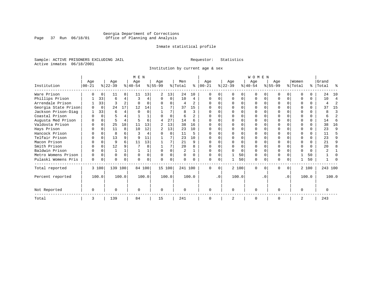# Georgia Department of Corrections<br>Page 37 Run 06/18/01 Office of Planning and Analysis Page 37 Run 06/18/01 Office of Planning and Analysis

# Inmate statistical profile

Sample: ACTIVE PRISONERS EXCLUDING JAIL **Requestor:** Statistics Active inmates 06/18/2001

Institution by current age & sex

|                      |           |          |           |          | M E N     |          |                |          |                |                |           |           |                |          | WOMEN     |              |           |           |                |          |           |                |
|----------------------|-----------|----------|-----------|----------|-----------|----------|----------------|----------|----------------|----------------|-----------|-----------|----------------|----------|-----------|--------------|-----------|-----------|----------------|----------|-----------|----------------|
|                      | Age       |          | Age       |          | Age       |          | Age            |          | Men            |                | Age       |           | Age            |          | Age       |              | Age       |           | Women          |          | Grand     |                |
| Institution          | $00 - 21$ |          | $ 22-39 $ |          | $ 40-54 $ |          | $8 55-99$      |          | % Total        | ႜႂ             | $ 00-21 $ |           | $ 22-39 $      |          | $ 40-54 $ |              | $ 55-99 $ |           | % Total        |          | %   Total | °              |
| Ware Prison          |           | $\Omega$ | 11        | 8        | 11        | 13       | $\overline{2}$ | 13       | 24             | 10             |           |           | $\Omega$       | 0        | $\Omega$  | <sup>0</sup> |           | $\Omega$  | ∩              |          | 24        | 10             |
| Phillips Prison      |           | 33       | 6         | 4        | 3         |          | 0              | 0        | 10             | 4              | 0         | $\Omega$  | $\Omega$       | 0        | $\Omega$  | $\Omega$     | ი         | $\Omega$  | $\Omega$       | $\Omega$ | 10        | 4              |
| Arrendale Prison     |           | 33       | ζ         |          |           |          |                | 0        | 4              | 2              | ∩         |           | $\Omega$       | O        | $\Omega$  | O            |           | $\Omega$  |                | $\Omega$ | 4         | $\overline{2}$ |
| Georgia State Prison |           | $\Omega$ | 24        | 17       | 12        | 14       |                |          | 37             | 15             |           |           |                |          | O         |              |           |           |                | 0        | 37        | 15             |
| Jackson Prison-Diag  |           | 33       | 6         | 4        |           |          |                |          | 8              | ζ              |           |           | ∩              | U        | $\Omega$  |              |           | U         |                | $\Omega$ | 8         | 3              |
| Coastal Prison       |           | $\Omega$ | 5         |          |           |          |                | $\Omega$ | 6              | $\overline{c}$ |           |           | $\cap$         | O        | $\Omega$  | $\Omega$     |           | U         |                | $\Omega$ | 6         | $\overline{a}$ |
| Augusta Med Prison   |           | $\Omega$ |           |          |           |          | 4              | 27       | 14             | 6              |           |           | <sup>0</sup>   |          | ∩         |              |           | U         |                | $\Omega$ | 14        | 6              |
| Valdosta Prison      |           | $\Omega$ | 25        | 18       | 11        | 13       |                | 13       | 38             | 16             | U         |           | ∩              |          | $\Omega$  |              | U         | U         | ∩              | $\Omega$ | 38        | 16             |
| Hays Prison          |           | $\Omega$ | 11        | 8        | 10        | 12       | $\mathbf{2}$   | 13       | 23             | 10             |           |           | $\Omega$       | U        | $\Omega$  | 0            |           | $\Omega$  | ∩              | $\Omega$ | 23        | 9              |
| Hancock Prison       |           | $\Omega$ | 8         |          | 3         |          |                | $\Omega$ | 11             | 5              |           |           | $\Omega$       | U        | $\Omega$  | $\Omega$     |           | $\Omega$  | ∩              | $\Omega$ | 11        | 5              |
| Telfair Prison       |           | $\Omega$ | 13        |          |           | 11       |                |          | 23             | 10             |           |           |                | U        |           |              |           | U         |                |          | 23        | 9              |
| Macon Prison         |           | $\Omega$ | 9         |          | 11        | 13       |                |          | 21             | 9              | $\Omega$  |           | $\Omega$       | O        | $\Omega$  | $\Omega$     |           | $\Omega$  | $\Omega$       | $\Omega$ | 2.1       | 9              |
| Smith Prison         |           | $\Omega$ | 12        |          |           |          |                | 7        | 20             |                |           |           | $\Omega$       | O        | $\Omega$  | $\Omega$     |           | U         | $\Omega$       | $\Omega$ | 20        | 8              |
| Baldwin Prison       |           | $\Omega$ |           |          |           |          | $\cap$         |          | $\overline{c}$ |                | $\Omega$  |           | $\Omega$       | $\Omega$ | $\Omega$  | $\Omega$     |           | O         | $\Omega$       | $\Omega$ |           |                |
| Metro Womens Prison  |           | $\Omega$ | $\Omega$  | $\Omega$ |           | $\Omega$ |                | 0        |                |                | U         |           |                | 50       | $\Omega$  | $\Omega$     |           | O         |                | 50       |           | U              |
| Pulaski Womens Pris  | 0         | 0        | 0         | $\Omega$ |           |          |                | 0        |                |                | U         | 0         |                | 50       | 0         | 0            | N         | 0         |                | 50       |           |                |
| Total reported       |           | 3 100    | 139 100   |          |           | 84 100   |                | 15 100   | 241 100        |                | $\Omega$  | $\Omega$  |                | 2 100    | $\Omega$  | 0            | 0         | 0         |                | 2 100    | 243 100   |                |
| Percent reported     |           | 100.0    |           | 100.0    |           | 100.0    |                | 100.0    |                | 100.0          |           | $\cdot$ 0 |                | 100.0    |           | . 0          |           | $\cdot$ 0 |                | 100.0    |           | 100.0          |
| Not Reported         | $\Omega$  |          |           |          |           |          | $\Omega$       |          |                |                | $\Omega$  |           | $\Omega$       |          | $\Omega$  |              | U         |           | $\Omega$       |          | $\Omega$  |                |
| Total                | 3         |          | 139       |          | 84        |          | 15             |          | 241            |                | $\Omega$  |           | $\overline{2}$ |          | $\Omega$  |              | O         |           | $\overline{2}$ |          | 243       |                |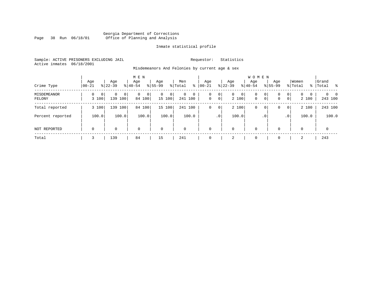# Georgia Department of Corrections Page 38 Run 06/18/01 Office of Planning and Analysis

# Inmate statistical profile

Sample: ACTIVE PRISONERS EXCLUDING JAIL **Requestor:** Statistics Active inmates 06/18/2001

Misdemeanors And Felonies by current age & sex

| Crime Type                   | Aqe<br>$00 - 21$ | Age<br>$8122 - 39$                     | M E N<br>Age<br>$8140 - 54$        | Age<br>$8155 - 99$          | Men<br>⊱<br>% Total               | Age<br>$00 - 21$ | Age<br>$ 22-39 $                    | <b>WOMEN</b><br>Aqe<br>$8 40-54$          | Age<br>$8155 - 99$ | Women<br>% Total                                                    | Grand<br>%   Total<br>း         |
|------------------------------|------------------|----------------------------------------|------------------------------------|-----------------------------|-----------------------------------|------------------|-------------------------------------|-------------------------------------------|--------------------|---------------------------------------------------------------------|---------------------------------|
| <b>MISDEMEANOR</b><br>FELONY | 0<br>3 100       | $\mathbf{0}$<br>$\Omega$<br>139<br>100 | 0 <sup>1</sup><br>0<br>0<br>84 100 | $\mathbf{0}$<br>0<br>15 100 | $\mathbf 0$<br>$\circ$<br>241 100 | 0<br>$\mathbf 0$ | 0<br>$\mathbf{0}$<br>$\overline{0}$ | 0<br>$\mathbf 0$<br>$\mathbf{0}$<br>2 100 | 0<br>0<br> 0 <br>0 | $\mathbf{0}$<br>$\Omega$<br>$\mathbf{0}$<br>$\overline{0}$<br>2 100 | $\Omega$<br>$\Omega$<br>243 100 |
| Total reported               | 3 100            | 139<br>100                             | 84<br>100                          | 15 100                      | 241 100                           | 0                | 0                                   | 2 100<br>0                                | 0<br>0             | 2 100<br>$\overline{0}$                                             | 243 100                         |
| Percent reported             | 100.0            | 100.0                                  | 100.0                              | 100.0                       | 100.0                             |                  | $\cdot$ 0                           | 100.0                                     | $\cdot$ 0          | 100.0<br>.0 <sup>1</sup>                                            | 100.0                           |
| NOT REPORTED                 | $\mathbf 0$      | 0                                      | $\mathbf 0$                        | $\mathbf 0$                 | $\mathbf 0$                       | $\mathbf 0$      | 0                                   | $\mathbf 0$                               | 0                  | $\mathbf 0$                                                         | $\mathbf 0$                     |
| Total                        |                  | 139                                    | 84                                 | 15                          | 241                               | 0                | 2                                   | $\mathbf 0$                               | $\Omega$           | 2                                                                   | 243                             |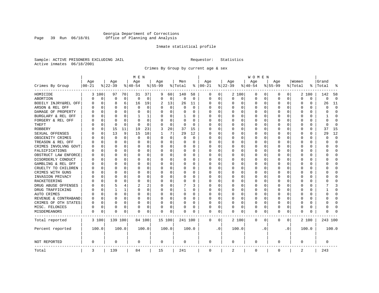# Georgia Department of Corrections<br>Page 39 Run 06/18/01 Office of Planning and Analysis Page 39 Run 06/18/01 Office of Planning and Analysis

# Inmate statistical profile

Sample: ACTIVE PRISONERS EXCLUDING JAIL **Requestor:** Statistics Active inmates 06/18/2001

Crimes By Group by current age & sex

|                      |            |             |          |              | M E N       |          |           |             |          |          |             |           |             |          | W O M E N   |          |           |           |          |          |              |             |
|----------------------|------------|-------------|----------|--------------|-------------|----------|-----------|-------------|----------|----------|-------------|-----------|-------------|----------|-------------|----------|-----------|-----------|----------|----------|--------------|-------------|
|                      | Age        |             | Age      |              | Age         |          | Age       |             | Men      |          | Age         |           | Age         |          | Age         |          | Age       |           | Women    |          | Grand        |             |
| Crimes By Group      | $ 00 - 21$ |             | $ 22-39$ |              | $ 40-54$    |          | $8 55-99$ |             | % Total  | ႜ        | $ 00-21$    |           | $ 22-39$    |          | $ 40-54$    |          | $8 55-99$ |           | % Total  | ႜ        | Total        | 읏           |
| HOMICIDE             |            | 3 100       | 97       | 70           | 31          | 37       | 9         | 60          | 140      | 58       | 0           | 0         |             | 2 100    | 0           | 0        | 0         | 0         |          | 2 100    | 142          | 58          |
| ABORTION             | U          | 0           | $\Omega$ | $\mathbf 0$  | $\mathbf 0$ | 0        | $\Omega$  | $\mathbf 0$ | 0        | 0        | 0           | 0         | $\mathbf 0$ | 0        | 0           | 0        | $\Omega$  | 0         | $\Omega$ | 0        | $\Omega$     | $\mathbf 0$ |
| BODILY INJRY&REL OFF | 0          | $\mathbf 0$ | 8        | 6            | 16          | 19       | 2         | 13          | 26       | 11       | 0           | 0         | 0           | 0        | 0           | 0        | $\Omega$  | 0         | O        | 0        | 26           | 11          |
| ARSON & REL OFF      | O          | $\Omega$    | $\Omega$ | 0            | $\Omega$    | $\Omega$ |           | $\Omega$    | $\Omega$ | $\Omega$ | $\Omega$    | $\Omega$  | 0           | $\Omega$ | $\Omega$    | $\Omega$ | $\Omega$  | $\Omega$  | O        | 0        | $\cap$       | $\Omega$    |
| DAMAGE OF PROPERTY   | U          | $\Omega$    | $\Omega$ | 0            | $\Omega$    | 0        | O         | $\Omega$    | 0        | 0        | $\Omega$    | 0         | $\Omega$    | 0        | $\Omega$    | $\Omega$ | $\Omega$  | $\Omega$  | C        | 0        | O            | $\Omega$    |
| BURGLARY & REL OFF   |            | $\Omega$    | $\Omega$ | $\Omega$     | 1           | 1        |           | $\Omega$    | 1        | 0        | $\Omega$    | $\Omega$  | 0           | $\Omega$ | 0           | $\Omega$ | $\Omega$  | $\Omega$  | O        | $\Omega$ |              | $\Omega$    |
| FORGERY & REL OFF    |            | $\Omega$    | $\Omega$ | $\Omega$     | n           | 0        |           | $\Omega$    | 0        | O        | O           | $\Omega$  | 0           | $\Omega$ | 0           | $\Omega$ | $\Omega$  | $\Omega$  | C        | 0        | U            | $\bigcap$   |
| THEFT                |            | 0           | $\Omega$ | $\Omega$     | $\cap$      | 0        |           | 0           | 0        | $\Omega$ | $\Omega$    | $\Omega$  | U           | O        | U           | 0        | $\Omega$  | $\Omega$  | C        | 0        | <sup>0</sup> | $\Omega$    |
| <b>ROBBERY</b>       | U          | 0           | 15       | 11           | 19          | 23       | 3         | 20          | 37       | 15       | $\Omega$    | 0         | 0           | O        | 0           | 0        | $\Omega$  | $\Omega$  | C        | 0        | 37           | 15          |
| SEXUAL OFFENSES      | U          | $\Omega$    | 13       | 9            | 15          | 18       |           | 7           | 29       | 12       | $\Omega$    | 0         | U           | O        | $\Omega$    | $\Omega$ | $\Omega$  | $\Omega$  | C        | 0        | 29           | 12          |
| OBSCENITY CRIMES     |            | $\Omega$    | $\Omega$ | 0            | 0           | 0        | $\Omega$  | 0           | 0        | 0        | $\Omega$    | 0         | U           | O        | 0           | 0        | $\Omega$  | $\Omega$  | C        | 0        | ∩            | $\mathbf 0$ |
| TREASON & REL OFF    |            | 0           | $\Omega$ | 0            | 0           | 0        | $\Omega$  | 0           | 0        | 0        | $\Omega$    | 0         | 0           | 0        | 0           | 0        | $\Omega$  | 0         | O        | 0        | O            | $\mathbf 0$ |
| CRIMES INVOLVNG GOVT |            | $\Omega$    | $\Omega$ | $\Omega$     | 0           | 0        |           | 0           | 0        | $\Omega$ | $\Omega$    | $\Omega$  | $\Omega$    | $\Omega$ | 0           | $\Omega$ | $\Omega$  | $\Omega$  | $\Omega$ | 0        | U            | $\Omega$    |
| FALSIFICATIONS       | O          | $\Omega$    | $\Omega$ | $\Omega$     | $\Omega$    | 0        | ∩         | 0           | 0        | 0        | $\Omega$    | 0         | 0           | $\Omega$ | 0           | 0        | $\Omega$  | $\Omega$  | O        | 0        | U            | $\mathbf 0$ |
| OBSTRUCT LAW ENFORCE | U          | $\Omega$    | $\Omega$ | 0            | 0           | 0        |           | 0           | 0        | 0        | $\Omega$    | 0         | 0           | $\Omega$ | 0           | 0        | $\Omega$  | 0         | C        | 0        |              | $\mathbf 0$ |
| DISORDERLY CONDUCT   | O          | $\Omega$    | $\Omega$ | <sup>0</sup> | n           | 0        |           | $\Omega$    | 0        | O        | $\Omega$    | $\Omega$  | U           | $\Omega$ | $\Omega$    | $\Omega$ | $\Omega$  | $\Omega$  | C        | 0        |              | $\cap$      |
| GAMBLING & REL OFF   | U          | $\Omega$    | O        | 0            | n           | 0        | $\Omega$  | $\Omega$    | 0        | 0        | $\Omega$    | $\Omega$  | O           | $\Omega$ | U           | O        | $\Omega$  | $\Omega$  | O        | 0        |              | $\Omega$    |
| CRUELTY TO CHILDREN  | 0          | 0           | $\Omega$ | $\Omega$     | $\Omega$    | 0        |           | $\mathbf 0$ | 0        | 0        | $\Omega$    | $\Omega$  | 0           | 0        | 0           | 0        | $\Omega$  | $\Omega$  | C        | 0        |              | $\Omega$    |
| CRIMES WITH GUNS     | Ω          | $\Omega$    | $\Omega$ | 0            | n           | 0        |           | $\Omega$    | 0        | $\Omega$ | $\Omega$    | $\Omega$  | U           | O        | U           | $\Omega$ | $\Omega$  | $\Omega$  | C        | 0        |              | $\Omega$    |
| INVASION PRIVACY     | U          | 0           | ∩        | 0            | n           | 0        |           | 0           | 0        | 0        | $\Omega$    | $\Omega$  | $\Omega$    | 0        | 0           | 0        | $\Omega$  | $\Omega$  | O        | 0        |              | $\Omega$    |
| RACKETEERING         |            | $\Omega$    | ∩        | <sup>0</sup> | n           | 0        |           | 0           | 0        | O        | $\Omega$    | 0         | O           | O        | 0           | $\Omega$ | $\Omega$  | $\Omega$  | O        | 0        |              | $\cap$      |
| DRUG ABUSE OFFENSES  | N          | $\Omega$    | 5        | 4            |             | 2        |           | $\Omega$    |          | 3        | $\Omega$    | $\Omega$  | $\Omega$    | $\Omega$ | 0           | $\Omega$ | $\Omega$  | $\Omega$  | $\cap$   | 0        |              | 3           |
| DRUG TRAFFICKING     | Ω          | $\Omega$    |          | 1            | $\Omega$    | 0        | $\Omega$  | 0           | 1        | 0        | $\Omega$    | $\Omega$  | 0           | 0        | 0           | $\Omega$ | $\Omega$  | $\Omega$  | O        | 0        |              | $\Omega$    |
| AUTO CRIMES          |            | $\Omega$    | $\Omega$ | 0            | $\Omega$    | 0        |           | 0           | $\Omega$ | 0        | 0           | 0         | 0           | 0        | 0           | 0        | $\Omega$  | 0         | O        | 0        |              | $\mathbf 0$ |
| REVENUE & CONTRABAND | 0          | $\Omega$    | $\Omega$ | $\Omega$     | 0           | 0        | $\Omega$  | 0           | 0        | $\Omega$ | $\Omega$    | 0         | 0           | 0        | 0           | $\Omega$ | $\Omega$  | 0         | O        | 0        | U            | $\Omega$    |
| CRIMES OF OTH STATES | 0          | $\Omega$    | $\Omega$ | $\Omega$     | $\Omega$    | 0        | $\Omega$  | $\Omega$    | 0        | 0        | $\Omega$    | $\Omega$  | $\Omega$    | $\Omega$ | 0           | $\Omega$ | $\Omega$  | $\Omega$  | $\Omega$ | 0        | U            | $\Omega$    |
| MISC. FELONIES       | 0          | $\Omega$    | $\Omega$ | 0            | 0           | 0        |           | 0           | 0        | 0        | $\Omega$    | 0         | 0           | $\Omega$ | 0           | $\Omega$ | $\Omega$  | $\Omega$  | O        | 0        |              | $\bigcap$   |
| MISDEMEANORS         | 0          | 0           | $\Omega$ | 0            | n           | 0        | $\Omega$  | 0           | 0        | O        | 0           | 0         | U           | 0        | $\Omega$    | 0        | $\Omega$  | 0         | C        | 0        | Λ            |             |
| Total reported       |            | 3 100       | 139 100  |              |             | 84 100   |           | 15 100      | 241 100  |          | 0           | 0         |             | 2 100    | 0           | 0        | 0         | 0         |          | 2 100    | 243 100      |             |
| Percent reported     |            | 100.0       |          | 100.0        |             | 100.0    |           | 100.0       |          | 100.0    |             | $\cdot$ 0 |             | 100.0    |             | . 0      |           | $\cdot$ 0 |          | 100.0    |              | 100.0       |
| NOT REPORTED         | 0          |             | 0        |              | 0           |          | 0         |             | 0        |          | 0           |           | 0           |          | 0           |          | 0         |           | 0        |          | 0            |             |
| Total                | 3          |             | 139      |              | 84          |          | 15        |             | 241      |          | $\mathbf 0$ |           | 2           |          | $\mathbf 0$ |          | 0         |           | 2        |          | 243          |             |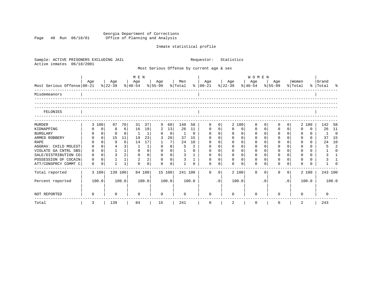Georgia Department of Corrections Page 40 Run 06/18/01 Office of Planning and Analysis

# Inmate statistical profile

| Sample: ACTIVE PRISONERS EXCLUDING JAIL<br>Active inmates<br>06/18/2001 |             |                |                |                |                                |                |             |                |                |              | Requestor:                                |                | Statistics                                                               |                |              |             |             |                |                  |          |                    |                |
|-------------------------------------------------------------------------|-------------|----------------|----------------|----------------|--------------------------------|----------------|-------------|----------------|----------------|--------------|-------------------------------------------|----------------|--------------------------------------------------------------------------|----------------|--------------|-------------|-------------|----------------|------------------|----------|--------------------|----------------|
|                                                                         |             |                |                |                |                                |                |             |                |                |              | Most Serious Offense by current age & sex |                |                                                                          |                |              |             |             |                |                  |          |                    |                |
|                                                                         |             |                |                |                | M E N                          |                |             |                |                |              |                                           |                |                                                                          |                | <b>WOMEN</b> |             |             |                |                  |          |                    |                |
| Most Serious Offense 00-21                                              | Aqe         |                | Age<br>% 22-39 |                | Age<br>% 40-54 % 55-99 % Total |                | Age         |                | Men            |              | Age<br>$8   00 - 21$                      |                | Age<br>$\frac{1}{2}$   22-39 $\frac{1}{8}$   40-54 $\frac{1}{8}$   55-99 |                | Age          |             | Age         |                | Women<br>% Total |          | Grand<br>% Total % |                |
| Misdemeanors                                                            |             |                |                |                |                                |                |             |                |                |              |                                           |                |                                                                          |                |              |             |             |                |                  |          |                    |                |
| FELONIES                                                                |             |                |                |                |                                |                |             |                |                |              |                                           |                |                                                                          |                |              |             |             |                |                  |          |                    |                |
| <b>MURDER</b>                                                           |             | 3 100          | 97             | 70             | 31                             | 37             | 9           | 60             | 140            | 58           | 0                                         | 0              |                                                                          | 2 100          | $\Omega$     |             | 0           | 0 <sup>1</sup> |                  | 2 100    | 142                | 58             |
| KIDNAPPING                                                              | 0           | 0              | 8              | $6 \mid$       | 16                             | 19             | 2           | 13             | 26             | 11           | $\mathbf 0$                               | $\overline{0}$ | 0                                                                        | 0              | 0            | $\mathbf 0$ | $\mathbf 0$ | $\Omega$       | $\Omega$         | $\Omega$ | 26                 | 11             |
| <b>BURGLARY</b>                                                         | 0           | $\overline{0}$ | $\Omega$       | $\overline{0}$ | $\mathbf{1}$                   | 1              | 0           | $\overline{0}$ | $\mathbf{1}$   | $\Omega$     | $\mathbf{0}$                              | 0 <sup>1</sup> | $\mathbf 0$                                                              | $\mathbf 0$    | 0            | $\Omega$    | $\mathbf 0$ | $\Omega$       | $\mathbf 0$      | $\Omega$ | 1                  | $\overline{0}$ |
| ARMED ROBBERY                                                           | $\Omega$    | 0 <sup>1</sup> | 15             | 11             | 19                             | 23             | 3           | 20             | 37             | 15           | $\Omega$                                  | $\Omega$       | $\Omega$                                                                 | $\Omega$       | $\Omega$     | $\Omega$    | $\Omega$    | $\Omega$       | $\Omega$         | $\Omega$ |                    | 37 15          |
| <b>RAPE</b>                                                             |             | $\Omega$       | 9              | $6 \mid$       | 14                             | 17             |             | 7              | 24             | 10           | $\Omega$                                  | $\Omega$       | $\Omega$                                                                 | $\Omega$       | $\Omega$     | $\Omega$    | $\Omega$    | $\Omega$       | $\Omega$         | $\Omega$ | 24                 | 10             |
| AGGRAV. CHILD MOLEST                                                    | $\mathbf 0$ | $\Omega$       | $\overline{4}$ | 3              | 1                              | $\mathbf 1$    | $\Omega$    | 0 <sup>1</sup> | 5              | 2            | $\Omega$                                  | $\Omega$       | $\Omega$                                                                 | $\Omega$       | $\Omega$     | $\Omega$    | $\Omega$    | $\Omega$       | $\Omega$         | $\Omega$ | 5                  | $\overline{2}$ |
| VIOLATE GA CNTRL SBS                                                    | $\mathbf 0$ | 0 <sup>1</sup> | $\mathbf{1}$   | 1              | $\mathbf 0$                    | $\mathbf 0$    | $\mathbf 0$ | 0 <sup>1</sup> | $\mathbf{1}$   | $\Omega$     | $\mathbf 0$                               | 0 <sup>1</sup> | $\mathbf 0$                                                              | $\mathbf 0$    | $\mathbf 0$  | $\Omega$    | $\mathbf 0$ | 0 <sup>1</sup> | $\Omega$         | $\Omega$ | $\mathbf{1}$       | $\Omega$       |
| SALE/DISTRIBUTION CO                                                    | $\mathbf 0$ | $\Omega$       | $\overline{3}$ | 2 <sup>1</sup> | $\mathbf{0}$                   | $\mathbf 0$    | $\mathbf 0$ | 0 <sup>1</sup> | $\mathbf{3}$   | $\mathbf{1}$ | $\mathbf{0}$                              | 0 <sup>1</sup> | $\mathbf 0$                                                              | 0 <sup>1</sup> | $\mathbf 0$  | $\Omega$    | $\mathbf 0$ | $\Omega$       | $\Omega$         | $\Omega$ | 3                  | $\overline{1}$ |
| POSSESSION OF COCAIN                                                    | $\Omega$    | $\Omega$       | $\mathbf{1}$   | $1\vert$       | $\overline{2}$                 | $\overline{2}$ | $\Omega$    | $\Omega$       | $\overline{3}$ | $\mathbf{1}$ | $\Omega$                                  | $\Omega$       | $\Omega$                                                                 | $\overline{0}$ | $\Omega$     | $\cap$      | $\Omega$    | $\cap$         | $\Omega$         | $\Omega$ | 3                  |                |
| ATT/CONSPRCY COMMT C                                                    | $\mathbf 0$ | 0              | $\mathbf{1}$   | $\mathbf{1}$   | $\Omega$                       | $\Omega$       | $\Omega$    | $\mathbf 0$    |                | $\Omega$     | $\Omega$                                  | $\Omega$       | $\Omega$                                                                 | $\Omega$       | $\Omega$     |             | $\Omega$    | $\Omega$       | $\Omega$         | $\Omega$ | $\mathbf{1}$       |                |
| Total reported                                                          |             | 3 100          | 139 100        |                |                                | 84 100         |             | 15 100         | 241 100        |              | $\Omega$                                  | $\Omega$       |                                                                          | 2 100          | $\Omega$     | $\Omega$    | $\Omega$    | $\Omega$       |                  | 2 100    | 243 100            |                |
| Percent reported                                                        |             | 100.0          |                | 100.0          |                                | 100.0          |             | 100.0          |                | 100.0        |                                           | .0             |                                                                          | 100.0          |              | $\cdot$ 0   |             | $\cdot$ 0      |                  | 100.0    |                    | 100.0          |
| <b>NOT REPORTED</b>                                                     | 0           |                | 0              |                | $\Omega$                       |                | $\Omega$    |                | $\Omega$       |              | $\Omega$                                  |                | $\Omega$                                                                 |                | $\Omega$     |             | ∩           |                | $\Omega$         |          | 0                  |                |
| Total                                                                   | 3           |                | 139            |                | 84                             |                | 15          |                | 241            |              | $\mathsf{O}$                              |                | 2                                                                        |                | 0            |             | $\mathbf 0$ |                | 2                |          | 243                |                |